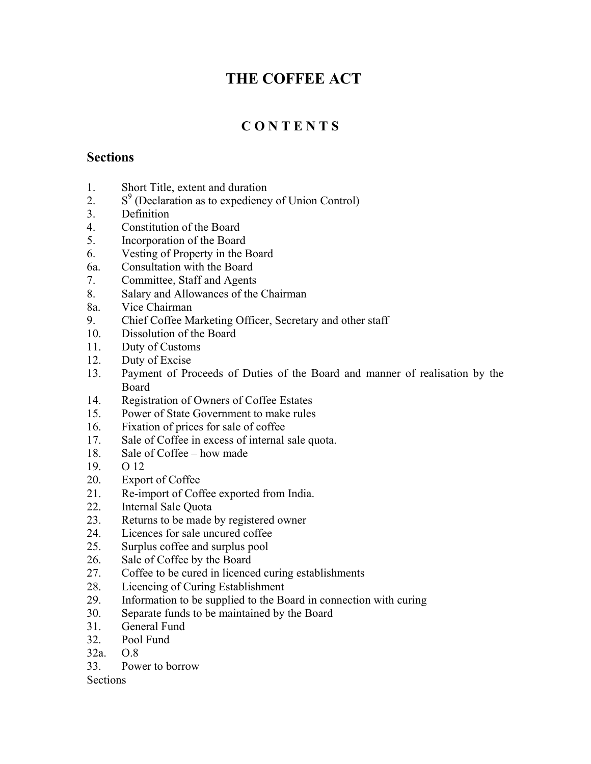# **THE COFFEE ACT**

# **C O N T E N T S**

## **Sections**

- 1. Short Title, extent and duration
- 2.  $S<sup>9</sup>$  (Declaration as to expediency of Union Control)
- 3. Definition
- 4. Constitution of the Board
- 5. Incorporation of the Board
- 6. Vesting of Property in the Board
- 6a. Consultation with the Board
- 7. Committee, Staff and Agents
- 8. Salary and Allowances of the Chairman
- 8a. Vice Chairman
- 9. Chief Coffee Marketing Officer, Secretary and other staff
- 10. Dissolution of the Board
- 11. Duty of Customs
- 12. Duty of Excise
- 13. Payment of Proceeds of Duties of the Board and manner of realisation by the Board
- 14. Registration of Owners of Coffee Estates
- 15. Power of State Government to make rules
- 16. Fixation of prices for sale of coffee
- 17. Sale of Coffee in excess of internal sale quota.
- 18. Sale of Coffee how made
- 19. O 12
- 20. Export of Coffee
- 21. Re-import of Coffee exported from India.
- 22. Internal Sale Quota
- 23. Returns to be made by registered owner
- 24. Licences for sale uncured coffee
- 25. Surplus coffee and surplus pool
- 26. Sale of Coffee by the Board
- 27. Coffee to be cured in licenced curing establishments
- 28. Licencing of Curing Establishment
- 29. Information to be supplied to the Board in connection with curing
- 30. Separate funds to be maintained by the Board
- 31. General Fund
- 32. Pool Fund
- 32a. O.8
- 33. Power to borrow

Sections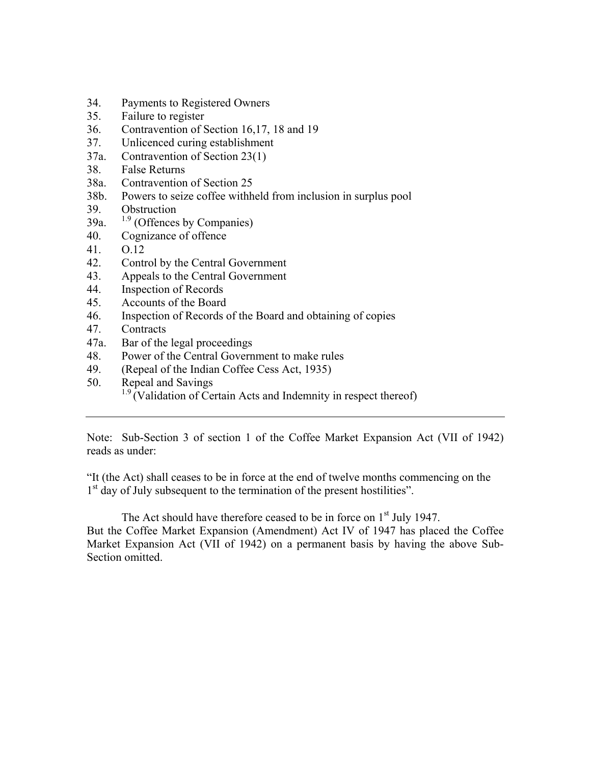- 34. Payments to Registered Owners
- 35. Failure to register
- 36. Contravention of Section 16,17, 18 and 19
- 37. Unlicenced curing establishment
- 37a. Contravention of Section 23(1)
- 38. False Returns
- 38a. Contravention of Section 25
- 38b. Powers to seize coffee withheld from inclusion in surplus pool
- 39. Obstruction
- 39a.  $1.9$  (Offences by Companies)
- 40. Cognizance of offence
- 41. O.12
- 42. Control by the Central Government
- 43. Appeals to the Central Government
- 44. Inspection of Records
- 45. Accounts of the Board
- 46. Inspection of Records of the Board and obtaining of copies
- 47. Contracts
- 47a. Bar of the legal proceedings
- 48. Power of the Central Government to make rules
- 49. (Repeal of the Indian Coffee Cess Act, 1935)
- 50. Repeal and Savings
	- $1.9$  (Validation of Certain Acts and Indemnity in respect thereof)

Note: Sub-Section 3 of section 1 of the Coffee Market Expansion Act (VII of 1942) reads as under:

"It (the Act) shall ceases to be in force at the end of twelve months commencing on the 1<sup>st</sup> day of July subsequent to the termination of the present hostilities".

The Act should have therefore ceased to be in force on 1<sup>st</sup> July 1947. But the Coffee Market Expansion (Amendment) Act IV of 1947 has placed the Coffee Market Expansion Act (VII of 1942) on a permanent basis by having the above Sub-Section omitted.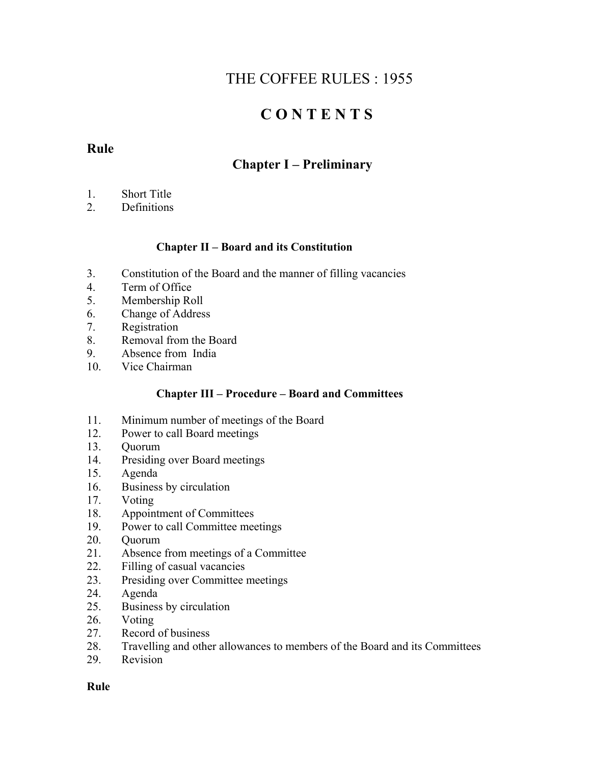# THE COFFEE RULES : 1955

# **C O N T E N T S**

## **Rule**

## **Chapter I – Preliminary**

- 1. Short Title
- 2. Definitions

## **Chapter II – Board and its Constitution**

- 3. Constitution of the Board and the manner of filling vacancies
- 4. Term of Office
- 5. Membership Roll
- 6. Change of Address
- 7. Registration
- 8. Removal from the Board
- 9. Absence from India
- 10. Vice Chairman

## **Chapter III – Procedure – Board and Committees**

- 11. Minimum number of meetings of the Board
- 12. Power to call Board meetings
- 13. Quorum
- 14. Presiding over Board meetings
- 15. Agenda
- 16. Business by circulation
- 17. Voting
- 18. Appointment of Committees
- 19. Power to call Committee meetings
- 20. Quorum
- 21. Absence from meetings of a Committee
- 22. Filling of casual vacancies
- 23. Presiding over Committee meetings
- 24. Agenda
- 25. Business by circulation
- 26. Voting
- 27. Record of business
- 28. Travelling and other allowances to members of the Board and its Committees
- 29. Revision

## **Rule**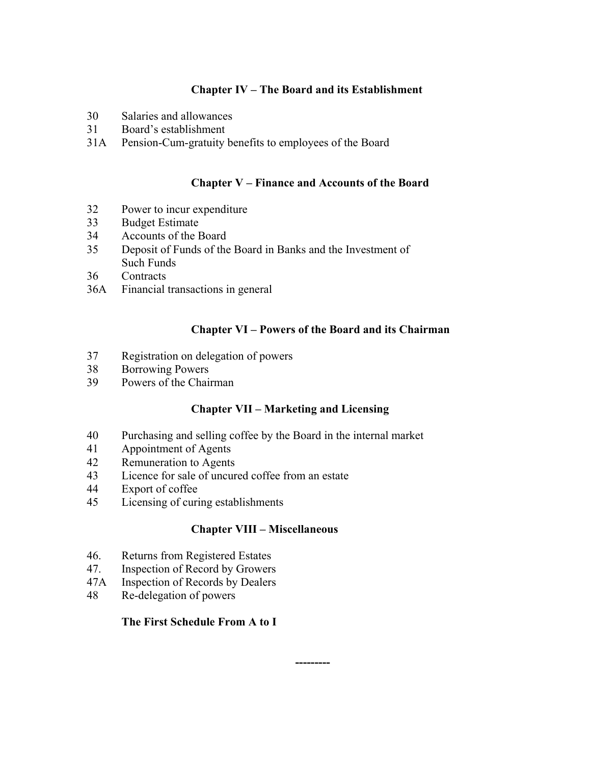## **Chapter IV – The Board and its Establishment**

- 30 Salaries and allowances
- 31 Board's establishment
- 31A Pension-Cum-gratuity benefits to employees of the Board

## **Chapter V – Finance and Accounts of the Board**

- 32 Power to incur expenditure
- 33 Budget Estimate
- 34 Accounts of the Board
- 35 Deposit of Funds of the Board in Banks and the Investment of Such Funds
- 36 Contracts
- 36A Financial transactions in general

## **Chapter VI – Powers of the Board and its Chairman**

- 37 Registration on delegation of powers
- 38 Borrowing Powers
- 39 Powers of the Chairman

## **Chapter VII – Marketing and Licensing**

- 40 Purchasing and selling coffee by the Board in the internal market
- 41 Appointment of Agents
- 42 Remuneration to Agents
- 43 Licence for sale of uncured coffee from an estate
- 44 Export of coffee
- 45 Licensing of curing establishments

## **Chapter VIII – Miscellaneous**

- 46. Returns from Registered Estates
- 47. Inspection of Record by Growers
- 47A Inspection of Records by Dealers
- 48 Re-delegation of powers

## **The First Schedule From A to I**

 **---------**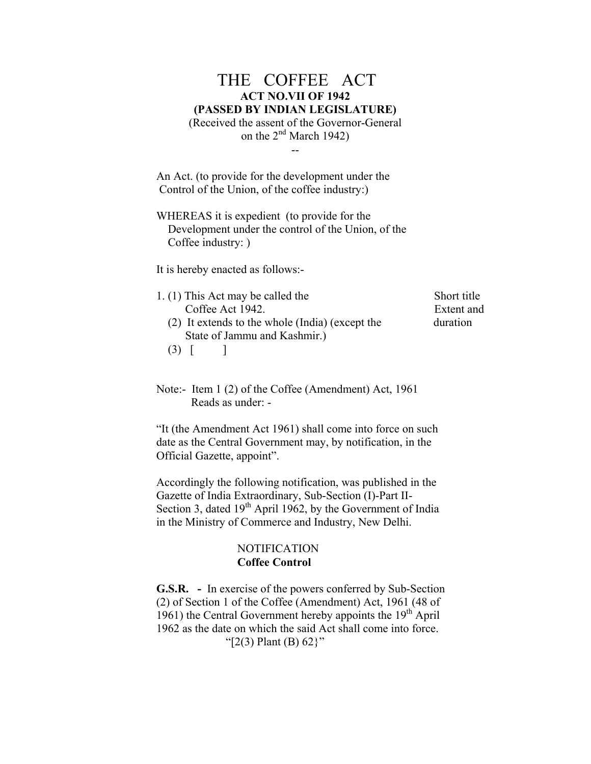## THE COFFEE ACT **ACT NO.VII OF 1942 (PASSED BY INDIAN LEGISLATURE)** (Received the assent of the Governor-General

on the  $2<sup>nd</sup>$  March 1942) --

An Act. (to provide for the development under the Control of the Union, of the coffee industry:)

WHEREAS it is expedient (to provide for the Development under the control of the Union, of the Coffee industry: )

It is hereby enacted as follows:-

1. (1) This Act may be called the Short title Coffee Act 1942. Extent and (2) It extends to the whole (India) (except the duration State of Jammu and Kashmir.)

Note:- Item 1 (2) of the Coffee (Amendment) Act, 1961

Reads as under: -

 $(3)$  [ ]

"It (the Amendment Act 1961) shall come into force on such date as the Central Government may, by notification, in the Official Gazette, appoint".

Accordingly the following notification, was published in the Gazette of India Extraordinary, Sub-Section (I)-Part II-Section 3, dated  $19<sup>th</sup>$  April 1962, by the Government of India in the Ministry of Commerce and Industry, New Delhi.

## **NOTIFICATION Coffee Control**

**G.S.R. -** In exercise of the powers conferred by Sub-Section (2) of Section 1 of the Coffee (Amendment) Act, 1961 (48 of 1961) the Central Government hereby appoints the  $19<sup>th</sup>$  April 1962 as the date on which the said Act shall come into force. " $[2(3)$  Plant (B) 62 }"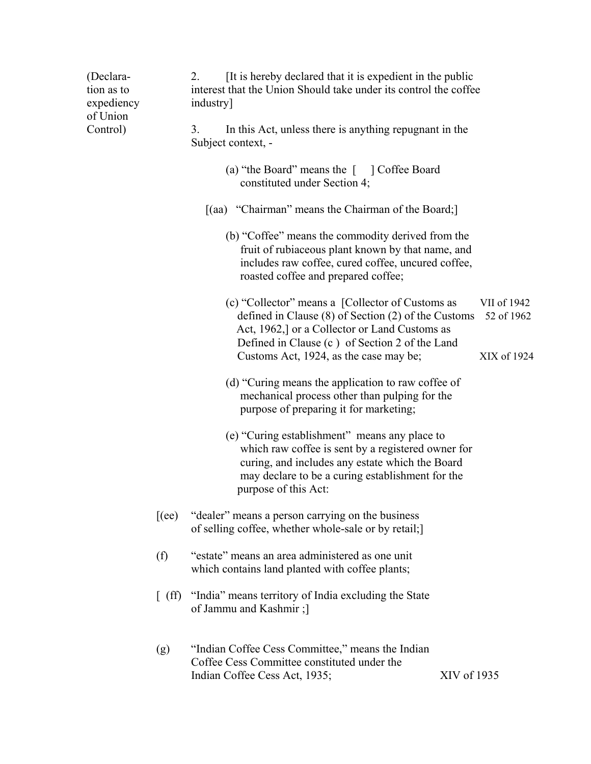| (Declara-<br>tion as to<br>expediency<br>of Union<br>Control) | It is hereby declared that it is expedient in the public<br>2.<br>interest that the Union Should take under its control the coffee<br>industry] |                                                                                                                                                                                                                                    |             |                           |
|---------------------------------------------------------------|-------------------------------------------------------------------------------------------------------------------------------------------------|------------------------------------------------------------------------------------------------------------------------------------------------------------------------------------------------------------------------------------|-------------|---------------------------|
|                                                               |                                                                                                                                                 | In this Act, unless there is anything repugnant in the<br>3.<br>Subject context, -                                                                                                                                                 |             |                           |
|                                                               |                                                                                                                                                 | (a) "the Board" means the [ ] Coffee Board<br>constituted under Section 4;                                                                                                                                                         |             |                           |
|                                                               |                                                                                                                                                 | [(aa) "Chairman" means the Chairman of the Board;]                                                                                                                                                                                 |             |                           |
|                                                               |                                                                                                                                                 | (b) "Coffee" means the commodity derived from the<br>fruit of rubiaceous plant known by that name, and<br>includes raw coffee, cured coffee, uncured coffee,<br>roasted coffee and prepared coffee;                                |             |                           |
|                                                               |                                                                                                                                                 | (c) "Collector" means a [Collector of Customs as<br>defined in Clause $(8)$ of Section $(2)$ of the Customs<br>Act, 1962,] or a Collector or Land Customs as<br>Defined in Clause (c) of Section 2 of the Land                     |             | VII of 1942<br>52 of 1962 |
|                                                               |                                                                                                                                                 | Customs Act, 1924, as the case may be;                                                                                                                                                                                             |             | XIX of 1924               |
|                                                               |                                                                                                                                                 | (d) "Curing means the application to raw coffee of<br>mechanical process other than pulping for the<br>purpose of preparing it for marketing;                                                                                      |             |                           |
|                                                               |                                                                                                                                                 | (e) "Curing establishment" means any place to<br>which raw coffee is sent by a registered owner for<br>curing, and includes any estate which the Board<br>may declare to be a curing establishment for the<br>purpose of this Act: |             |                           |
|                                                               | $[$ (ee)                                                                                                                                        | "dealer" means a person carrying on the business<br>of selling coffee, whether whole-sale or by retail;]                                                                                                                           |             |                           |
|                                                               | (f)                                                                                                                                             | "estate" means an area administered as one unit<br>which contains land planted with coffee plants;                                                                                                                                 |             |                           |
|                                                               |                                                                                                                                                 | [ (ff) "India" means territory of India excluding the State<br>of Jammu and Kashmir;]                                                                                                                                              |             |                           |
|                                                               | (g)                                                                                                                                             | "Indian Coffee Cess Committee," means the Indian<br>Coffee Cess Committee constituted under the<br>Indian Coffee Cess Act, 1935;                                                                                                   | XIV of 1935 |                           |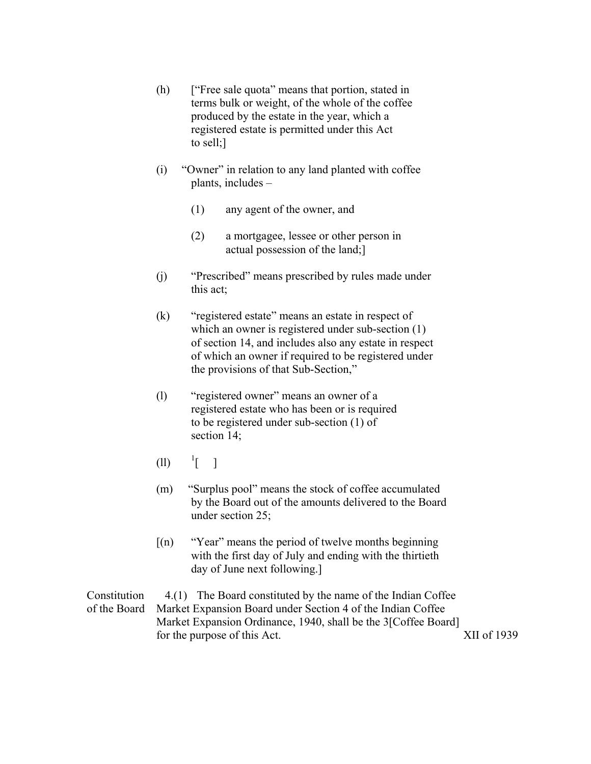- (h) ["Free sale quota" means that portion, stated in terms bulk or weight, of the whole of the coffee produced by the estate in the year, which a registered estate is permitted under this Act to sell;]
- (i) "Owner" in relation to any land planted with coffee plants, includes –
	- (1) any agent of the owner, and
	- (2) a mortgagee, lessee or other person in actual possession of the land;]
- (j) "Prescribed" means prescribed by rules made under this act;
- (k) "registered estate" means an estate in respect of which an owner is registered under sub-section  $(1)$ of section 14, and includes also any estate in respect of which an owner if required to be registered under the provisions of that Sub-Section,"
- (l) "registered owner" means an owner of a registered estate who has been or is required to be registered under sub-section (1) of section 14;
- (ll) <sup>1</sup>  $\frac{1}{\sqrt{2}}$  |
- (m) "Surplus pool" means the stock of coffee accumulated by the Board out of the amounts delivered to the Board under section 25;
- $[(n)$  "Year" means the period of twelve months beginning with the first day of July and ending with the thirtieth day of June next following.]

Constitution 4.(1) The Board constituted by the name of the Indian Coffee of the Board Market Expansion Board under Section 4 of the Indian Coffee Market Expansion Ordinance, 1940, shall be the 3[Coffee Board] for the purpose of this Act. XII of 1939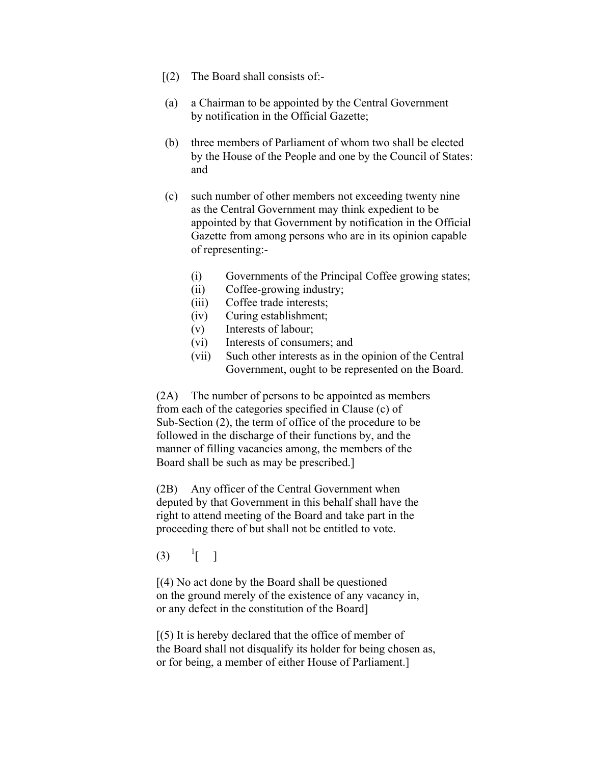- $(2)$  The Board shall consists of:-
- (a) a Chairman to be appointed by the Central Government by notification in the Official Gazette;
- (b) three members of Parliament of whom two shall be elected by the House of the People and one by the Council of States: and
- (c) such number of other members not exceeding twenty nine as the Central Government may think expedient to be appointed by that Government by notification in the Official Gazette from among persons who are in its opinion capable of representing:-
	- (i) Governments of the Principal Coffee growing states;
	- (ii) Coffee-growing industry;
	- (iii) Coffee trade interests;
	- (iv) Curing establishment;
	- (v) Interests of labour;
	- (vi) Interests of consumers; and
	- (vii) Such other interests as in the opinion of the Central Government, ought to be represented on the Board.

 (2A) The number of persons to be appointed as members from each of the categories specified in Clause (c) of Sub-Section (2), the term of office of the procedure to be followed in the discharge of their functions by, and the manner of filling vacancies among, the members of the Board shall be such as may be prescribed.]

 (2B) Any officer of the Central Government when deputed by that Government in this behalf shall have the right to attend meeting of the Board and take part in the proceeding there of but shall not be entitled to vote.

 $(3)$  $\left| \begin{array}{cc} 1 \\ 1 \end{array} \right|$ 

[(4) No act done by the Board shall be questioned on the ground merely of the existence of any vacancy in, or any defect in the constitution of the Board]

 $(5)$  It is hereby declared that the office of member of the Board shall not disqualify its holder for being chosen as, or for being, a member of either House of Parliament.]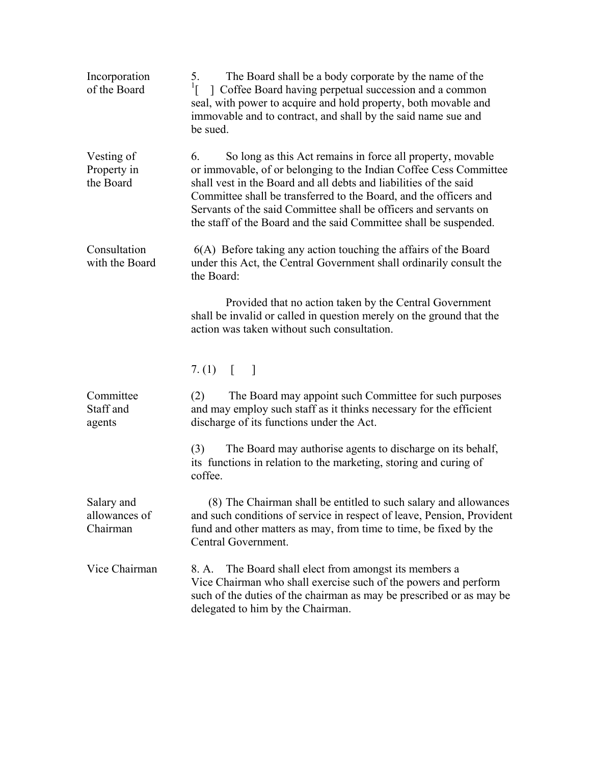| Incorporation<br>of the Board           | The Board shall be a body corporate by the name of the<br>5.<br>$\left[ \begin{array}{c} 1 \end{array} \right]$ Coffee Board having perpetual succession and a common<br>seal, with power to acquire and hold property, both movable and<br>immovable and to contract, and shall by the said name sue and<br>be sued.                                                                                                    |
|-----------------------------------------|--------------------------------------------------------------------------------------------------------------------------------------------------------------------------------------------------------------------------------------------------------------------------------------------------------------------------------------------------------------------------------------------------------------------------|
| Vesting of<br>Property in<br>the Board  | So long as this Act remains in force all property, movable<br>6.<br>or immovable, of or belonging to the Indian Coffee Cess Committee<br>shall vest in the Board and all debts and liabilities of the said<br>Committee shall be transferred to the Board, and the officers and<br>Servants of the said Committee shall be officers and servants on<br>the staff of the Board and the said Committee shall be suspended. |
| Consultation<br>with the Board          | $6(A)$ Before taking any action touching the affairs of the Board<br>under this Act, the Central Government shall ordinarily consult the<br>the Board:                                                                                                                                                                                                                                                                   |
|                                         | Provided that no action taken by the Central Government<br>shall be invalid or called in question merely on the ground that the<br>action was taken without such consultation.                                                                                                                                                                                                                                           |
|                                         | 7. (1) $\begin{bmatrix} 1 \end{bmatrix}$                                                                                                                                                                                                                                                                                                                                                                                 |
| Committee<br>Staff and<br>agents        | The Board may appoint such Committee for such purposes<br>(2)<br>and may employ such staff as it thinks necessary for the efficient<br>discharge of its functions under the Act.                                                                                                                                                                                                                                         |
|                                         | The Board may authorise agents to discharge on its behalf,<br>(3)<br>its functions in relation to the marketing, storing and curing of<br>coffee.                                                                                                                                                                                                                                                                        |
| Salary and<br>allowances of<br>Chairman | (8) The Chairman shall be entitled to such salary and allowances<br>and such conditions of service in respect of leave, Pension, Provident<br>fund and other matters as may, from time to time, be fixed by the<br>Central Government.                                                                                                                                                                                   |
| Vice Chairman                           | The Board shall elect from amongst its members a<br>8. A.<br>Vice Chairman who shall exercise such of the powers and perform<br>such of the duties of the chairman as may be prescribed or as may be<br>delegated to him by the Chairman.                                                                                                                                                                                |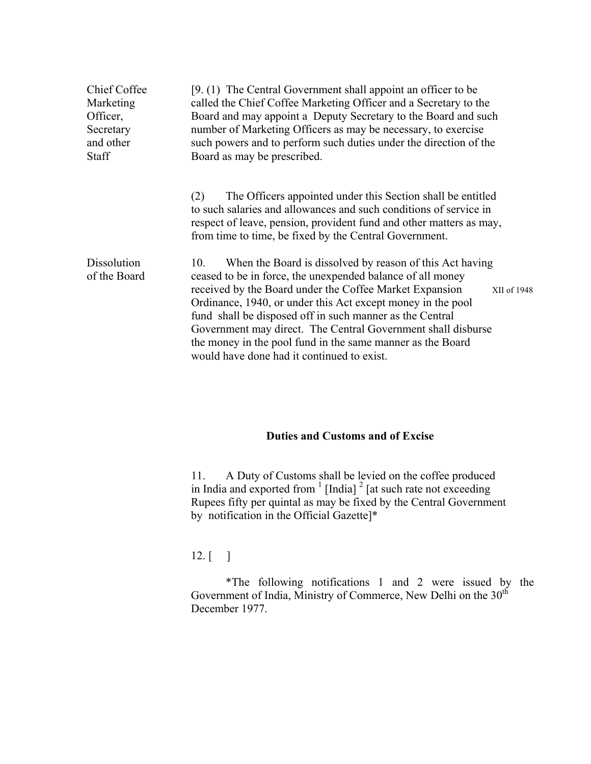| <b>Chief Coffee</b><br>Marketing<br>Officer,<br>Secretary<br>and other<br><b>Staff</b> | [9. (1) The Central Government shall appoint an officer to be<br>called the Chief Coffee Marketing Officer and a Secretary to the<br>Board and may appoint a Deputy Secretary to the Board and such<br>number of Marketing Officers as may be necessary, to exercise<br>such powers and to perform such duties under the direction of the<br>Board as may be prescribed.                                                                                                                                       |  |
|----------------------------------------------------------------------------------------|----------------------------------------------------------------------------------------------------------------------------------------------------------------------------------------------------------------------------------------------------------------------------------------------------------------------------------------------------------------------------------------------------------------------------------------------------------------------------------------------------------------|--|
|                                                                                        | The Officers appointed under this Section shall be entitled<br>(2)<br>to such salaries and allowances and such conditions of service in<br>respect of leave, pension, provident fund and other matters as may,<br>from time to time, be fixed by the Central Government.                                                                                                                                                                                                                                       |  |
| <b>Dissolution</b><br>of the Board                                                     | When the Board is dissolved by reason of this Act having<br>10.<br>ceased to be in force, the unexpended balance of all money<br>received by the Board under the Coffee Market Expansion<br>XII of 1948<br>Ordinance, 1940, or under this Act except money in the pool<br>fund shall be disposed off in such manner as the Central<br>Government may direct. The Central Government shall disburse<br>the money in the pool fund in the same manner as the Board<br>would have done had it continued to exist. |  |

## **Duties and Customs and of Excise**

11. A Duty of Customs shall be levied on the coffee produced in India and exported from  $\frac{1}{2}$  [India]  $\frac{2}{2}$  [at such rate not exceeding Rupees fifty per quintal as may be fixed by the Central Government by notification in the Official Gazette]\*

## 12. [ ]

\*The following notifications 1 and 2 were issued by the Government of India, Ministry of Commerce, New Delhi on the  $30<sup>th</sup>$ December 1977.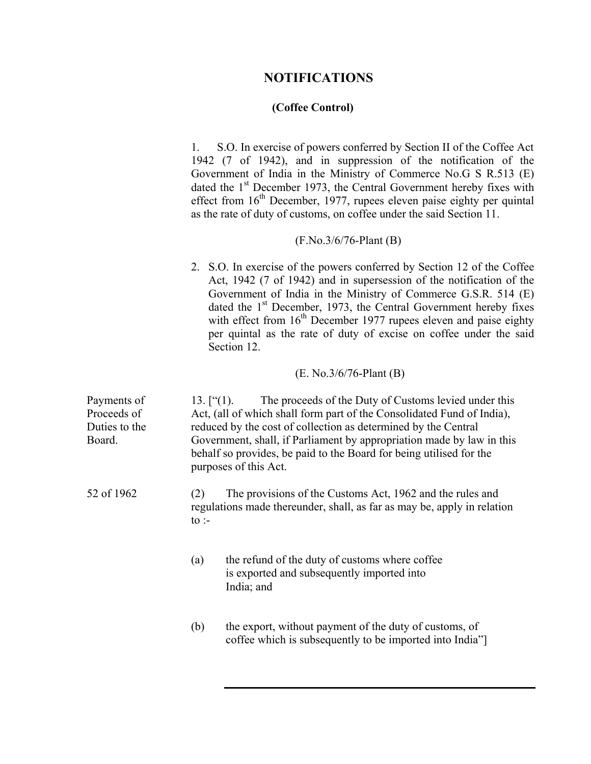## **NOTIFICATIONS**

### **(Coffee Control)**

1. S.O. In exercise of powers conferred by Section II of the Coffee Act 1942 (7 of 1942), and in suppression of the notification of the Government of India in the Ministry of Commerce No.G S R.513 (E) dated the 1<sup>st</sup> December 1973, the Central Government hereby fixes with effect from  $16<sup>th</sup>$  December, 1977, rupees eleven paise eighty per quintal as the rate of duty of customs, on coffee under the said Section 11.

## (F.No.3/6/76-Plant (B)

2. S.O. In exercise of the powers conferred by Section 12 of the Coffee Act, 1942 (7 of 1942) and in supersession of the notification of the Government of India in the Ministry of Commerce G.S.R. 514 (E) dated the  $1<sup>st</sup>$  December, 1973, the Central Government hereby fixes with effect from  $16<sup>th</sup>$  December 1977 rupees eleven and paise eighty per quintal as the rate of duty of excise on coffee under the said Section 12.

## (E. No.3/6/76-Plant (B)

| Payments of<br>Proceeds of<br>Duties to the<br>Board. | $13.$ ["(1).           | The proceeds of the Duty of Customs levied under this<br>Act, (all of which shall form part of the Consolidated Fund of India),<br>reduced by the cost of collection as determined by the Central<br>Government, shall, if Parliament by appropriation made by law in this<br>behalf so provides, be paid to the Board for being utilised for the<br>purposes of this Act. |
|-------------------------------------------------------|------------------------|----------------------------------------------------------------------------------------------------------------------------------------------------------------------------------------------------------------------------------------------------------------------------------------------------------------------------------------------------------------------------|
| 52 of 1962                                            | (2)<br>to $\mathbf{r}$ | The provisions of the Customs Act, 1962 and the rules and<br>regulations made thereunder, shall, as far as may be, apply in relation                                                                                                                                                                                                                                       |
|                                                       | (a)                    | the refund of the duty of customs where coffee<br>is exported and subsequently imported into<br>India; and                                                                                                                                                                                                                                                                 |
|                                                       | (b)                    | the export, without payment of the duty of customs, of<br>coffee which is subsequently to be imported into India"                                                                                                                                                                                                                                                          |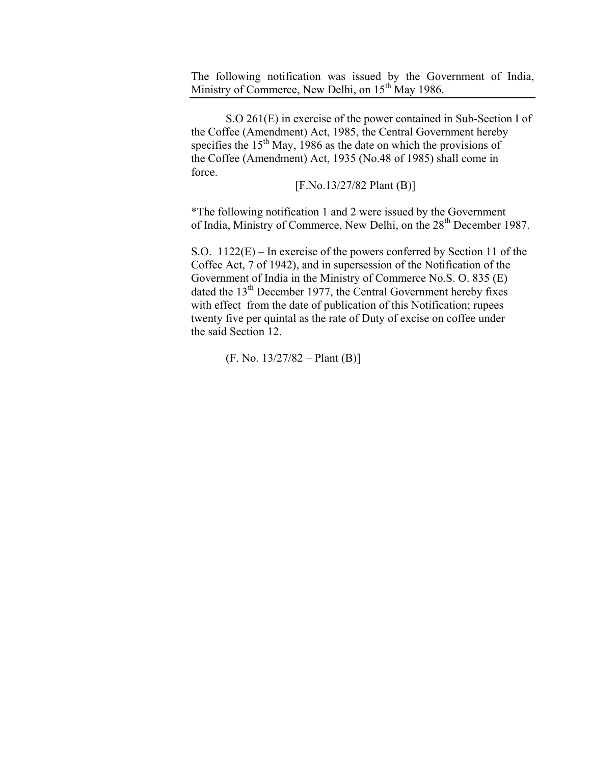The following notification was issued by the Government of India, Ministry of Commerce, New Delhi, on 15<sup>th</sup> May 1986.

S.O 261(E) in exercise of the power contained in Sub-Section I of the Coffee (Amendment) Act, 1985, the Central Government hereby specifies the  $15<sup>th</sup>$  May, 1986 as the date on which the provisions of the Coffee (Amendment) Act, 1935 (No.48 of 1985) shall come in force.

[F.No.13/27/82 Plant (B)]

 \*The following notification 1 and 2 were issued by the Government of India, Ministry of Commerce, New Delhi, on the 28<sup>th</sup> December 1987.

 S.O. 1122(E) – In exercise of the powers conferred by Section 11 of the Coffee Act, 7 of 1942), and in supersession of the Notification of the Government of India in the Ministry of Commerce No.S. O. 835 (E) dated the 13<sup>th</sup> December 1977, the Central Government hereby fixes with effect from the date of publication of this Notification; rupees twenty five per quintal as the rate of Duty of excise on coffee under the said Section 12.

 $(F. No. 13/27/82 - Plant (B))$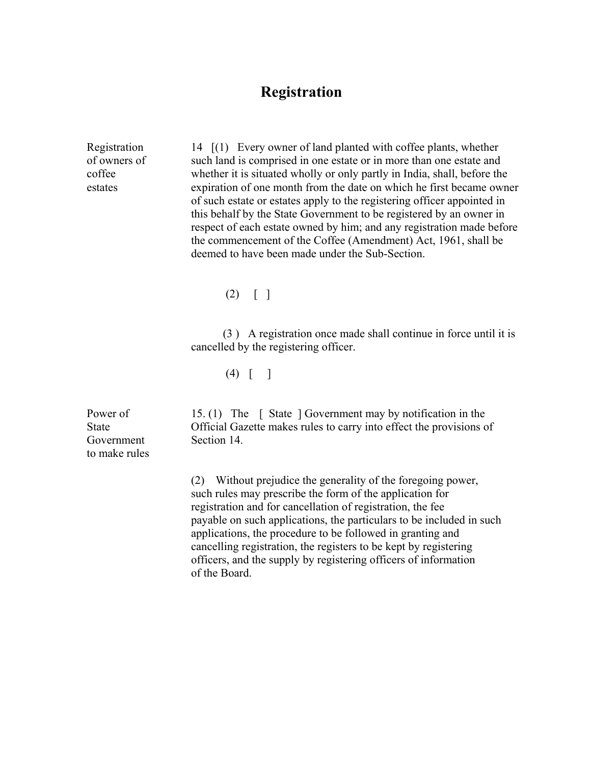## **Registration**

Registration 14  $[(1)$  Every owner of land planted with coffee plants, whether of owners of such land is comprised in one estate or in more than one estate and coffee whether it is situated wholly or only partly in India, shall, before the estates expiration of one month from the date on which he first became owner of such estate or estates apply to the registering officer appointed in this behalf by the State Government to be registered by an owner in respect of each estate owned by him; and any registration made before the commencement of the Coffee (Amendment) Act, 1961, shall be deemed to have been made under the Sub-Section.

 $(2) \mid \cdot \mid$ 

 (3 ) A registration once made shall continue in force until it is cancelled by the registering officer.

 $(4)$  | |

Power of 15. (1) The [ State ] Government may by notification in the State Official Gazette makes rules to carry into effect the provisions of

> (2) Without prejudice the generality of the foregoing power, such rules may prescribe the form of the application for registration and for cancellation of registration, the fee payable on such applications, the particulars to be included in such applications, the procedure to be followed in granting and cancelling registration, the registers to be kept by registering officers, and the supply by registering officers of information of the Board.

Government Section 14. to make rules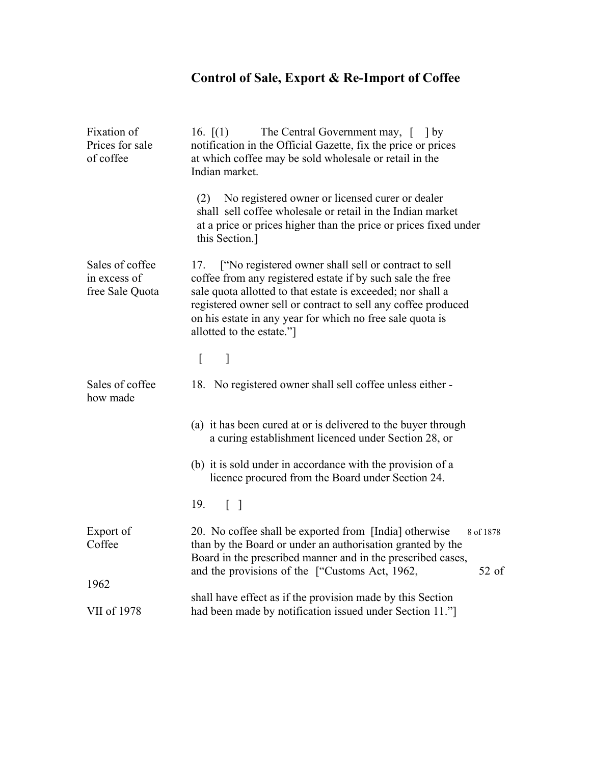# **Control of Sale, Export & Re-Import of Coffee**

| Fixation of<br>Prices for sale<br>of coffee        | 16. $(1)$<br>The Central Government may, [ ] by<br>notification in the Official Gazette, fix the price or prices<br>at which coffee may be sold wholesale or retail in the<br>Indian market.                                                                                                                                                        |  |  |
|----------------------------------------------------|-----------------------------------------------------------------------------------------------------------------------------------------------------------------------------------------------------------------------------------------------------------------------------------------------------------------------------------------------------|--|--|
|                                                    | No registered owner or licensed curer or dealer<br>(2)<br>shall sell coffee wholesale or retail in the Indian market<br>at a price or prices higher than the price or prices fixed under<br>this Section.]                                                                                                                                          |  |  |
| Sales of coffee<br>in excess of<br>free Sale Quota | ["No registered owner shall sell or contract to sell<br>17.<br>coffee from any registered estate if by such sale the free<br>sale quota allotted to that estate is exceeded; nor shall a<br>registered owner sell or contract to sell any coffee produced<br>on his estate in any year for which no free sale quota is<br>allotted to the estate."] |  |  |
|                                                    | L<br>]                                                                                                                                                                                                                                                                                                                                              |  |  |
| Sales of coffee<br>how made                        | 18. No registered owner shall sell coffee unless either -                                                                                                                                                                                                                                                                                           |  |  |
|                                                    | (a) it has been cured at or is delivered to the buyer through<br>a curing establishment licenced under Section 28, or                                                                                                                                                                                                                               |  |  |
|                                                    | (b) it is sold under in accordance with the provision of a<br>licence procured from the Board under Section 24.                                                                                                                                                                                                                                     |  |  |
|                                                    | 19.<br>$\begin{bmatrix} 1 \end{bmatrix}$                                                                                                                                                                                                                                                                                                            |  |  |
| Export of<br>Coffee<br>1962                        | 20. No coffee shall be exported from [India] otherwise<br>8 of 1878<br>than by the Board or under an authorisation granted by the<br>Board in the prescribed manner and in the prescribed cases,<br>and the provisions of the ["Customs Act, 1962,<br>$52$ of                                                                                       |  |  |
|                                                    | shall have effect as if the provision made by this Section                                                                                                                                                                                                                                                                                          |  |  |
| VII of 1978                                        | had been made by notification issued under Section 11."                                                                                                                                                                                                                                                                                             |  |  |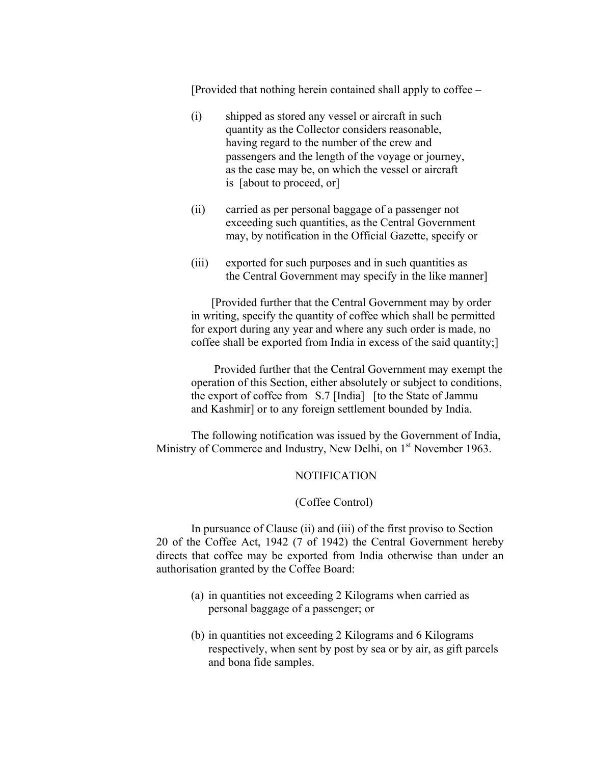[Provided that nothing herein contained shall apply to coffee –

- (i) shipped as stored any vessel or aircraft in such quantity as the Collector considers reasonable, having regard to the number of the crew and passengers and the length of the voyage or journey, as the case may be, on which the vessel or aircraft is [about to proceed, or]
- (ii) carried as per personal baggage of a passenger not exceeding such quantities, as the Central Government may, by notification in the Official Gazette, specify or
- (iii) exported for such purposes and in such quantities as the Central Government may specify in the like manner]

 [Provided further that the Central Government may by order in writing, specify the quantity of coffee which shall be permitted for export during any year and where any such order is made, no coffee shall be exported from India in excess of the said quantity;]

 Provided further that the Central Government may exempt the operation of this Section, either absolutely or subject to conditions, the export of coffee from S.7 [India] [to the State of Jammu and Kashmir] or to any foreign settlement bounded by India.

 The following notification was issued by the Government of India, Ministry of Commerce and Industry, New Delhi, on 1<sup>st</sup> November 1963.

#### NOTIFICATION

#### (Coffee Control)

 In pursuance of Clause (ii) and (iii) of the first proviso to Section 20 of the Coffee Act, 1942 (7 of 1942) the Central Government hereby directs that coffee may be exported from India otherwise than under an authorisation granted by the Coffee Board:

- (a) in quantities not exceeding 2 Kilograms when carried as personal baggage of a passenger; or
- (b) in quantities not exceeding 2 Kilograms and 6 Kilograms respectively, when sent by post by sea or by air, as gift parcels and bona fide samples.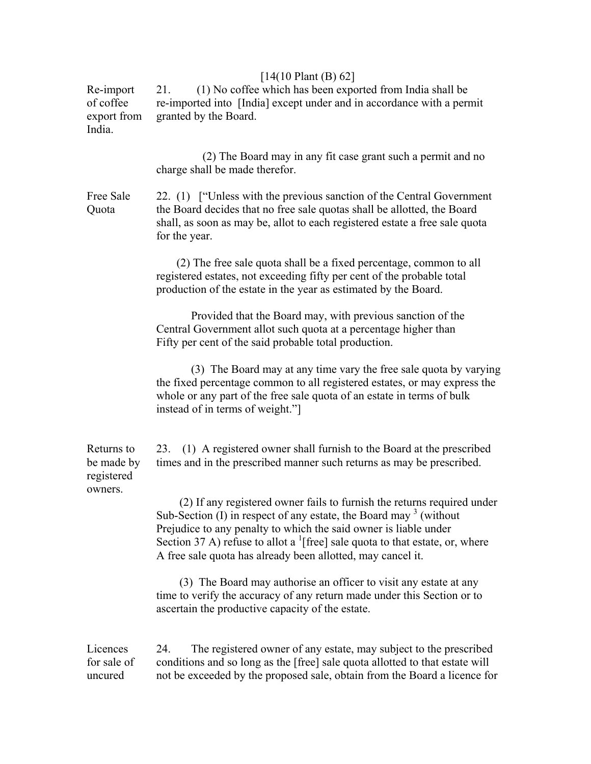| $[14(10 \text{ Plant } (B) 62]$ |  |
|---------------------------------|--|
|---------------------------------|--|

Re-import 21. (1) No coffee which has been exported from India shall be of coffee re-imported into [India] except under and in accordance with a permit export from granted by the Board. India.

| (2) The Board may in any fit case grant such a permit and no |
|--------------------------------------------------------------|
| charge shall be made therefor.                               |

Free Sale 22. (1) ["Unless with the previous sanction of the Central Government Quota the Board decides that no free sale quotas shall be allotted, the Board shall, as soon as may be, allot to each registered estate a free sale quota for the year.

> (2) The free sale quota shall be a fixed percentage, common to all registered estates, not exceeding fifty per cent of the probable total production of the estate in the year as estimated by the Board.

 Provided that the Board may, with previous sanction of the Central Government allot such quota at a percentage higher than Fifty per cent of the said probable total production.

 (3) The Board may at any time vary the free sale quota by varying the fixed percentage common to all registered estates, or may express the whole or any part of the free sale quota of an estate in terms of bulk instead of in terms of weight."]

Returns to 23. (1) A registered owner shall furnish to the Board at the prescribed be made by times and in the prescribed manner such returns as may be prescribed. registered owners.

 (2) If any registered owner fails to furnish the returns required under Sub-Section  $(I)$  in respect of any estate, the Board may  $3$  (without Prejudice to any penalty to which the said owner is liable under Section 37 A) refuse to allot a <sup>1</sup>[free] sale quota to that estate, or, where A free sale quota has already been allotted, may cancel it.

> (3) The Board may authorise an officer to visit any estate at any time to verify the accuracy of any return made under this Section or to ascertain the productive capacity of the estate.

Licences 24. The registered owner of any estate, may subject to the prescribed for sale of conditions and so long as the [free] sale quota allotted to that estate will uncured not be exceeded by the proposed sale, obtain from the Board a licence for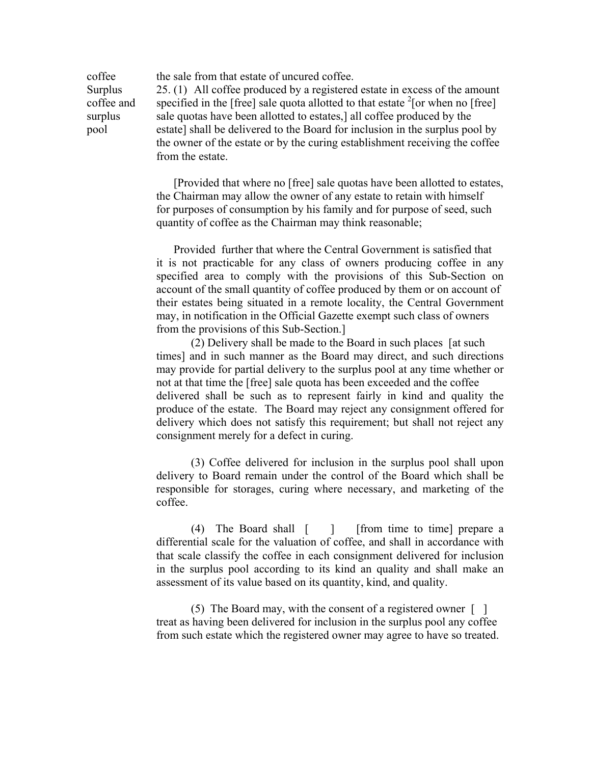coffee the sale from that estate of uncured coffee. Surplus 25. (1) All coffee produced by a registered estate in excess of the amount coffee and specified in the [free] sale quota allotted to that estate  $2$ [or when no [free] surplus sale quotas have been allotted to estates,] all coffee produced by the pool estate] shall be delivered to the Board for inclusion in the surplus pool by the owner of the estate or by the curing establishment receiving the coffee from the estate.

> [Provided that where no [free] sale quotas have been allotted to estates, the Chairman may allow the owner of any estate to retain with himself for purposes of consumption by his family and for purpose of seed, such quantity of coffee as the Chairman may think reasonable;

> Provided further that where the Central Government is satisfied that it is not practicable for any class of owners producing coffee in any specified area to comply with the provisions of this Sub-Section on account of the small quantity of coffee produced by them or on account of their estates being situated in a remote locality, the Central Government may, in notification in the Official Gazette exempt such class of owners from the provisions of this Sub-Section.]

> (2) Delivery shall be made to the Board in such places [at such times] and in such manner as the Board may direct, and such directions may provide for partial delivery to the surplus pool at any time whether or not at that time the [free] sale quota has been exceeded and the coffee delivered shall be such as to represent fairly in kind and quality the produce of the estate. The Board may reject any consignment offered for delivery which does not satisfy this requirement; but shall not reject any consignment merely for a defect in curing.

> (3) Coffee delivered for inclusion in the surplus pool shall upon delivery to Board remain under the control of the Board which shall be responsible for storages, curing where necessary, and marketing of the coffee.

> (4) The Board shall [ ] [from time to time] prepare a differential scale for the valuation of coffee, and shall in accordance with that scale classify the coffee in each consignment delivered for inclusion in the surplus pool according to its kind an quality and shall make an assessment of its value based on its quantity, kind, and quality.

(5) The Board may, with the consent of a registered owner  $\lceil \quad \rceil$  treat as having been delivered for inclusion in the surplus pool any coffee from such estate which the registered owner may agree to have so treated.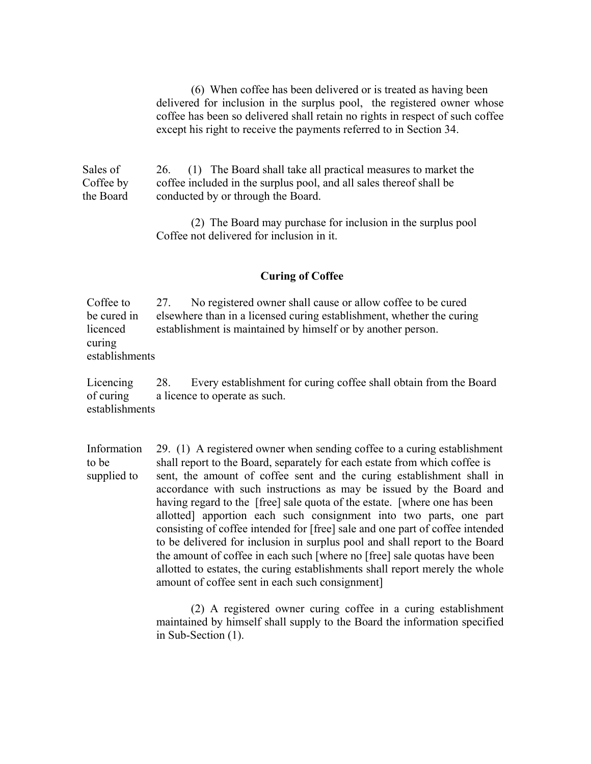(6) When coffee has been delivered or is treated as having been delivered for inclusion in the surplus pool, the registered owner whose coffee has been so delivered shall retain no rights in respect of such coffee except his right to receive the payments referred to in Section 34.

Sales of 26. (1) The Board shall take all practical measures to market the Coffee by coffee included in the surplus pool, and all sales thereof shall be the Board conducted by or through the Board.

> (2) The Board may purchase for inclusion in the surplus pool Coffee not delivered for inclusion in it.

#### **Curing of Coffee**

Coffee to 27. No registered owner shall cause or allow coffee to be cured be cured in elsewhere than in a licensed curing establishment, whether the curing licenced establishment is maintained by himself or by another person. curing establishments

Licencing 28. Every establishment for curing coffee shall obtain from the Board of curing a licence to operate as such. establishments

Information 29. (1) A registered owner when sending coffee to a curing establishment to be shall report to the Board, separately for each estate from which coffee is supplied to sent, the amount of coffee sent and the curing establishment shall in accordance with such instructions as may be issued by the Board and having regard to the [free] sale quota of the estate. [where one has been allotted] apportion each such consignment into two parts, one part consisting of coffee intended for [free] sale and one part of coffee intended to be delivered for inclusion in surplus pool and shall report to the Board the amount of coffee in each such [where no [free] sale quotas have been allotted to estates, the curing establishments shall report merely the whole amount of coffee sent in each such consignment]

> (2) A registered owner curing coffee in a curing establishment maintained by himself shall supply to the Board the information specified in Sub-Section (1).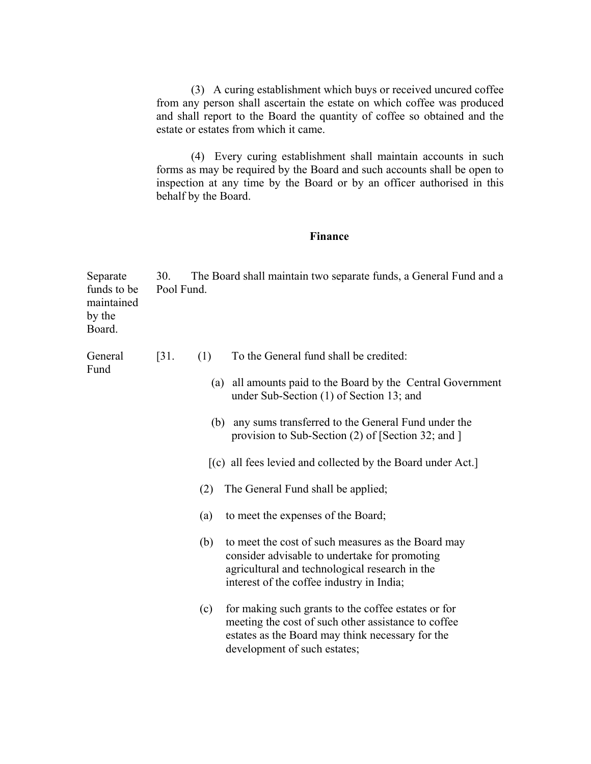(3) A curing establishment which buys or received uncured coffee from any person shall ascertain the estate on which coffee was produced and shall report to the Board the quantity of coffee so obtained and the estate or estates from which it came.

(4) Every curing establishment shall maintain accounts in such forms as may be required by the Board and such accounts shall be open to inspection at any time by the Board or by an officer authorised in this behalf by the Board.

### **Finance**

| Separate<br>funds to be<br>maintained<br>by the<br>Board. | 30.<br>Pool Fund. |     | The Board shall maintain two separate funds, a General Fund and a                                                                                                                                  |
|-----------------------------------------------------------|-------------------|-----|----------------------------------------------------------------------------------------------------------------------------------------------------------------------------------------------------|
| General<br>Fund                                           | $\left[31\right]$ | (1) | To the General fund shall be credited:                                                                                                                                                             |
|                                                           |                   |     | (a) all amounts paid to the Board by the Central Government<br>under Sub-Section (1) of Section 13; and                                                                                            |
|                                                           |                   | (b) | any sums transferred to the General Fund under the<br>provision to Sub-Section (2) of [Section 32; and ]                                                                                           |
|                                                           |                   |     | $\left[ (c)$ all fees levied and collected by the Board under Act.                                                                                                                                 |
|                                                           |                   | (2) | The General Fund shall be applied;                                                                                                                                                                 |
|                                                           |                   | (a) | to meet the expenses of the Board;                                                                                                                                                                 |
|                                                           |                   | (b) | to meet the cost of such measures as the Board may<br>consider advisable to undertake for promoting<br>agricultural and technological research in the<br>interest of the coffee industry in India; |
|                                                           |                   | (c) | for making such grants to the coffee estates or for<br>meeting the cost of such other assistance to coffee<br>estates as the Board may think necessary for the<br>development of such estates;     |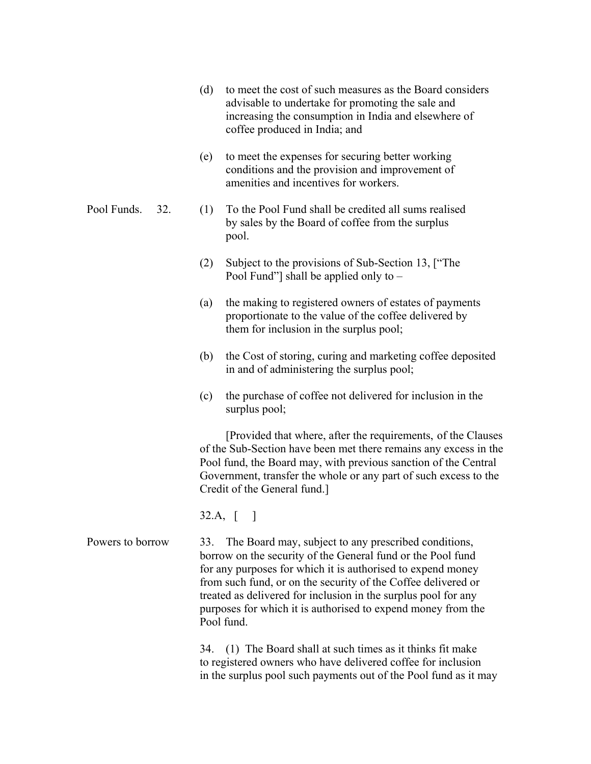- (d) to meet the cost of such measures as the Board considers advisable to undertake for promoting the sale and increasing the consumption in India and elsewhere of coffee produced in India; and
- (e) to meet the expenses for securing better working conditions and the provision and improvement of amenities and incentives for workers.
- Pool Funds. 32. (1) To the Pool Fund shall be credited all sums realised by sales by the Board of coffee from the surplus pool.
	- (2) Subject to the provisions of Sub-Section 13, ["The Pool Fund"] shall be applied only to –
	- (a) the making to registered owners of estates of payments proportionate to the value of the coffee delivered by them for inclusion in the surplus pool;
	- (b) the Cost of storing, curing and marketing coffee deposited in and of administering the surplus pool;
	- (c) the purchase of coffee not delivered for inclusion in the surplus pool;

 [Provided that where, after the requirements, of the Clauses of the Sub-Section have been met there remains any excess in the Pool fund, the Board may, with previous sanction of the Central Government, transfer the whole or any part of such excess to the Credit of the General fund.]

32.A, [ ]

Powers to borrow 33. The Board may, subject to any prescribed conditions, borrow on the security of the General fund or the Pool fund for any purposes for which it is authorised to expend money from such fund, or on the security of the Coffee delivered or treated as delivered for inclusion in the surplus pool for any purposes for which it is authorised to expend money from the Pool fund.

> 34. (1) The Board shall at such times as it thinks fit make to registered owners who have delivered coffee for inclusion in the surplus pool such payments out of the Pool fund as it may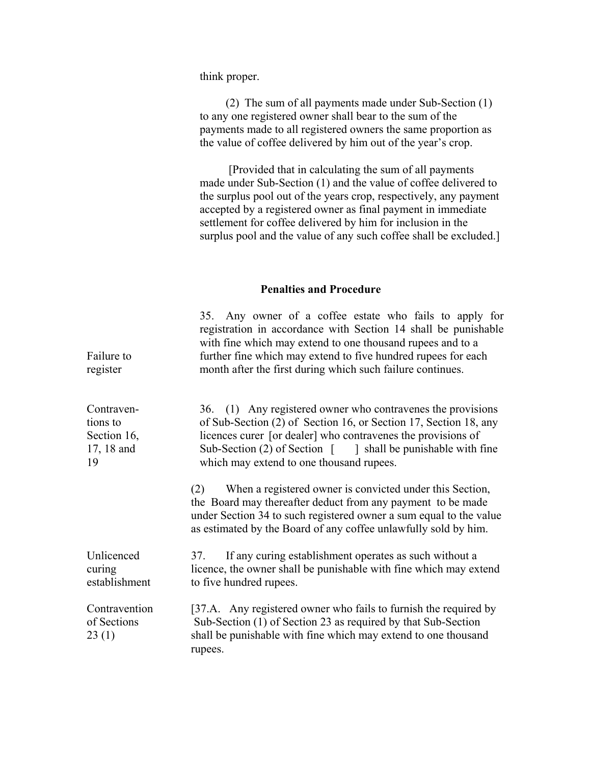#### think proper.

(2) The sum of all payments made under Sub-Section (1) to any one registered owner shall bear to the sum of the payments made to all registered owners the same proportion as the value of coffee delivered by him out of the year's crop.

 [Provided that in calculating the sum of all payments made under Sub-Section (1) and the value of coffee delivered to the surplus pool out of the years crop, respectively, any payment accepted by a registered owner as final payment in immediate settlement for coffee delivered by him for inclusion in the surplus pool and the value of any such coffee shall be excluded.]

#### **Penalties and Procedure**

| Failure to<br>register                                    | 35. Any owner of a coffee estate who fails to apply for<br>registration in accordance with Section 14 shall be punishable<br>with fine which may extend to one thousand rupees and to a<br>further fine which may extend to five hundred rupees for each<br>month after the first during which such failure continues.                           |
|-----------------------------------------------------------|--------------------------------------------------------------------------------------------------------------------------------------------------------------------------------------------------------------------------------------------------------------------------------------------------------------------------------------------------|
| Contraven-<br>tions to<br>Section 16,<br>17, 18 and<br>19 | 36. (1) Any registered owner who contravenes the provisions<br>of Sub-Section (2) of Section 16, or Section 17, Section 18, any<br>licences curer [or dealer] who contravenes the provisions of<br>Sub-Section $(2)$ of Section $\begin{bmatrix} 1 \\ 1 \end{bmatrix}$ shall be punishable with fine<br>which may extend to one thousand rupees. |
|                                                           | When a registered owner is convicted under this Section,<br>(2)<br>the Board may thereafter deduct from any payment to be made<br>under Section 34 to such registered owner a sum equal to the value<br>as estimated by the Board of any coffee unlawfully sold by him.                                                                          |
| Unlicenced<br>curing<br>establishment                     | If any curing establishment operates as such without a<br>37.<br>licence, the owner shall be punishable with fine which may extend<br>to five hundred rupees.                                                                                                                                                                                    |
| Contravention<br>of Sections<br>23(1)                     | [37.A. Any registered owner who fails to furnish the required by<br>Sub-Section (1) of Section 23 as required by that Sub-Section<br>shall be punishable with fine which may extend to one thousand<br>rupees.                                                                                                                                   |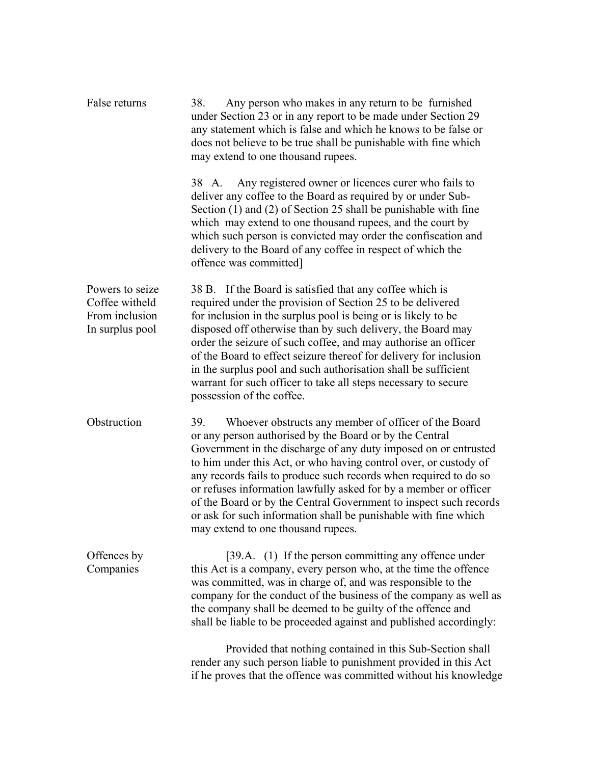| False returns                                                          | Any person who makes in any return to be furnished<br>38.<br>under Section 23 or in any report to be made under Section 29<br>any statement which is false and which he knows to be false or<br>does not believe to be true shall be punishable with fine which<br>may extend to one thousand rupees.                                                                                                                                                                                                                                                                               |
|------------------------------------------------------------------------|-------------------------------------------------------------------------------------------------------------------------------------------------------------------------------------------------------------------------------------------------------------------------------------------------------------------------------------------------------------------------------------------------------------------------------------------------------------------------------------------------------------------------------------------------------------------------------------|
|                                                                        | Any registered owner or licences curer who fails to<br>38 A.<br>deliver any coffee to the Board as required by or under Sub-<br>Section (1) and (2) of Section 25 shall be punishable with fine<br>which may extend to one thousand rupees, and the court by<br>which such person is convicted may order the confiscation and<br>delivery to the Board of any coffee in respect of which the<br>offence was committed]                                                                                                                                                              |
| Powers to seize<br>Coffee witheld<br>From inclusion<br>In surplus pool | 38 B. If the Board is satisfied that any coffee which is<br>required under the provision of Section 25 to be delivered<br>for inclusion in the surplus pool is being or is likely to be<br>disposed off otherwise than by such delivery, the Board may<br>order the seizure of such coffee, and may authorise an officer<br>of the Board to effect seizure thereof for delivery for inclusion<br>in the surplus pool and such authorisation shall be sufficient<br>warrant for such officer to take all steps necessary to secure<br>possession of the coffee.                      |
| Obstruction                                                            | 39.<br>Whoever obstructs any member of officer of the Board<br>or any person authorised by the Board or by the Central<br>Government in the discharge of any duty imposed on or entrusted<br>to him under this Act, or who having control over, or custody of<br>any records fails to produce such records when required to do so<br>or refuses information lawfully asked for by a member or officer<br>of the Board or by the Central Government to inspect such records<br>or ask for such information shall be punishable with fine which<br>may extend to one thousand rupees. |
| Offences by<br>Companies                                               | [39.A. (1) If the person committing any offence under<br>this Act is a company, every person who, at the time the offence<br>was committed, was in charge of, and was responsible to the<br>company for the conduct of the business of the company as well as<br>the company shall be deemed to be guilty of the offence and<br>shall be liable to be proceeded against and published accordingly:                                                                                                                                                                                  |
|                                                                        | Provided that nothing contained in this Sub-Section shall<br>render any such person liable to punishment provided in this Act<br>if he proves that the offence was committed without his knowledge                                                                                                                                                                                                                                                                                                                                                                                  |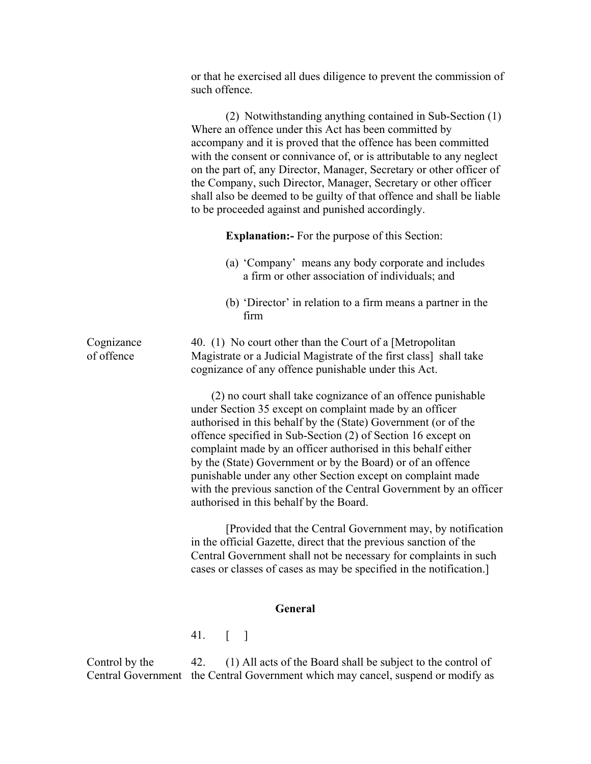|                          | or that he exercised all dues diligence to prevent the commission of<br>such offence.                                                                                                                                                                                                                                                                                                                                                                                                                                                                                    |
|--------------------------|--------------------------------------------------------------------------------------------------------------------------------------------------------------------------------------------------------------------------------------------------------------------------------------------------------------------------------------------------------------------------------------------------------------------------------------------------------------------------------------------------------------------------------------------------------------------------|
|                          | (2) Notwithstanding anything contained in Sub-Section (1)<br>Where an offence under this Act has been committed by<br>accompany and it is proved that the offence has been committed<br>with the consent or connivance of, or is attributable to any neglect<br>on the part of, any Director, Manager, Secretary or other officer of<br>the Company, such Director, Manager, Secretary or other officer<br>shall also be deemed to be guilty of that offence and shall be liable<br>to be proceeded against and punished accordingly.                                    |
|                          | <b>Explanation:</b> For the purpose of this Section:                                                                                                                                                                                                                                                                                                                                                                                                                                                                                                                     |
|                          | (a) 'Company' means any body corporate and includes<br>a firm or other association of individuals; and                                                                                                                                                                                                                                                                                                                                                                                                                                                                   |
|                          | (b) 'Director' in relation to a firm means a partner in the<br>firm                                                                                                                                                                                                                                                                                                                                                                                                                                                                                                      |
| Cognizance<br>of offence | 40. (1) No court other than the Court of a [Metropolitan<br>Magistrate or a Judicial Magistrate of the first class] shall take<br>cognizance of any offence punishable under this Act.                                                                                                                                                                                                                                                                                                                                                                                   |
|                          | (2) no court shall take cognizance of an offence punishable<br>under Section 35 except on complaint made by an officer<br>authorised in this behalf by the (State) Government (or of the<br>offence specified in Sub-Section (2) of Section 16 except on<br>complaint made by an officer authorised in this behalf either<br>by the (State) Government or by the Board) or of an offence<br>punishable under any other Section except on complaint made<br>with the previous sanction of the Central Government by an officer<br>authorised in this behalf by the Board. |
|                          | [Provided that the Central Government may, by notification]<br>in the official Gazette, direct that the previous sanction of the<br>Central Government shall not be necessary for complaints in such<br>cases or classes of cases as may be specified in the notification.]                                                                                                                                                                                                                                                                                              |
|                          | <b>General</b>                                                                                                                                                                                                                                                                                                                                                                                                                                                                                                                                                           |
|                          | 41. $\begin{bmatrix} \phantom{-} \end{bmatrix}$                                                                                                                                                                                                                                                                                                                                                                                                                                                                                                                          |
| Control by the           | 42.<br>(1) All acts of the Board shall be subject to the control of<br>Central Government the Central Government which may cancel, suspend or modify as                                                                                                                                                                                                                                                                                                                                                                                                                  |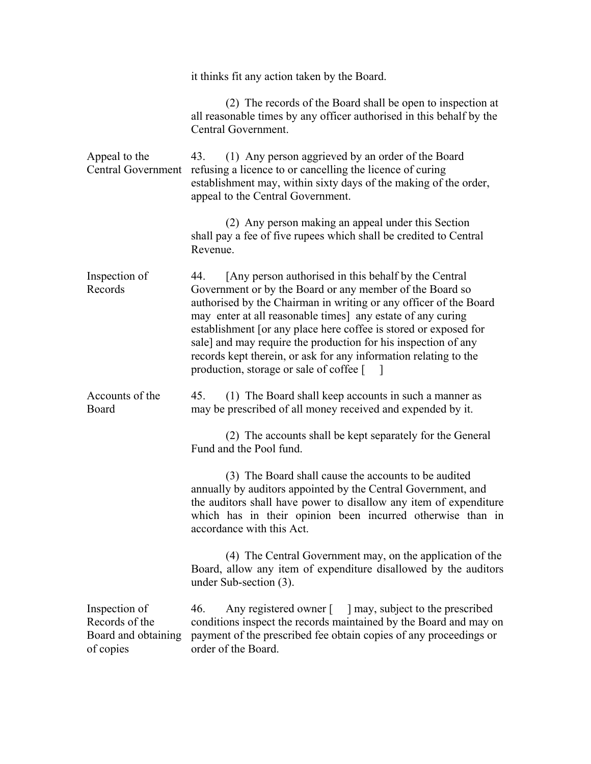|                                                                     | it thinks fit any action taken by the Board.                                                                                                                                                                                                                                                                                                                                                                                                                                                                        |  |  |
|---------------------------------------------------------------------|---------------------------------------------------------------------------------------------------------------------------------------------------------------------------------------------------------------------------------------------------------------------------------------------------------------------------------------------------------------------------------------------------------------------------------------------------------------------------------------------------------------------|--|--|
|                                                                     | (2) The records of the Board shall be open to inspection at<br>all reasonable times by any officer authorised in this behalf by the<br>Central Government.                                                                                                                                                                                                                                                                                                                                                          |  |  |
| Appeal to the<br><b>Central Government</b>                          | (1) Any person aggrieved by an order of the Board<br>43.<br>refusing a licence to or cancelling the licence of curing<br>establishment may, within sixty days of the making of the order,<br>appeal to the Central Government.                                                                                                                                                                                                                                                                                      |  |  |
|                                                                     | (2) Any person making an appeal under this Section<br>shall pay a fee of five rupees which shall be credited to Central<br>Revenue.                                                                                                                                                                                                                                                                                                                                                                                 |  |  |
| Inspection of<br>Records                                            | [Any person authorised in this behalf by the Central]<br>44.<br>Government or by the Board or any member of the Board so<br>authorised by the Chairman in writing or any officer of the Board<br>may enter at all reasonable times] any estate of any curing<br>establishment [or any place here coffee is stored or exposed for<br>sale] and may require the production for his inspection of any<br>records kept therein, or ask for any information relating to the<br>production, storage or sale of coffee [ ] |  |  |
| Accounts of the<br>Board                                            | (1) The Board shall keep accounts in such a manner as<br>45.<br>may be prescribed of all money received and expended by it.                                                                                                                                                                                                                                                                                                                                                                                         |  |  |
|                                                                     | (2) The accounts shall be kept separately for the General<br>Fund and the Pool fund.                                                                                                                                                                                                                                                                                                                                                                                                                                |  |  |
|                                                                     | (3) The Board shall cause the accounts to be audited<br>annually by auditors appointed by the Central Government, and<br>the auditors shall have power to disallow any item of expenditure<br>which has in their opinion been incurred otherwise than in<br>accordance with this Act.                                                                                                                                                                                                                               |  |  |
|                                                                     | (4) The Central Government may, on the application of the<br>Board, allow any item of expenditure disallowed by the auditors<br>under Sub-section $(3)$ .                                                                                                                                                                                                                                                                                                                                                           |  |  |
| Inspection of<br>Records of the<br>Board and obtaining<br>of copies | Any registered owner [ ] may, subject to the prescribed<br>46.<br>conditions inspect the records maintained by the Board and may on<br>payment of the prescribed fee obtain copies of any proceedings or<br>order of the Board.                                                                                                                                                                                                                                                                                     |  |  |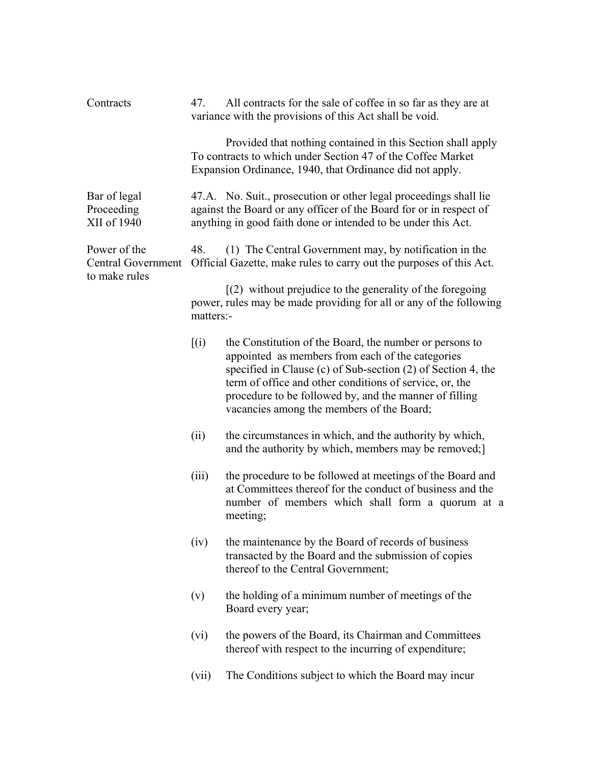| Contracts                                           | 47.                                                                                                                                           | All contracts for the sale of coffee in so far as they are at<br>variance with the provisions of this Act shall be void.                                                                                                                                                                                                                      |
|-----------------------------------------------------|-----------------------------------------------------------------------------------------------------------------------------------------------|-----------------------------------------------------------------------------------------------------------------------------------------------------------------------------------------------------------------------------------------------------------------------------------------------------------------------------------------------|
|                                                     |                                                                                                                                               | Provided that nothing contained in this Section shall apply<br>To contracts to which under Section 47 of the Coffee Market<br>Expansion Ordinance, 1940, that Ordinance did not apply.                                                                                                                                                        |
| Bar of legal<br>Proceeding<br>XII of 1940           |                                                                                                                                               | 47.A. No. Suit., prosecution or other legal proceedings shall lie<br>against the Board or any officer of the Board for or in respect of<br>anything in good faith done or intended to be under this Act.                                                                                                                                      |
| Power of the<br>Central Government<br>to make rules | 48.                                                                                                                                           | (1) The Central Government may, by notification in the<br>Official Gazette, make rules to carry out the purposes of this Act.                                                                                                                                                                                                                 |
|                                                     | $(2)$ without prejudice to the generality of the foregoing<br>power, rules may be made providing for all or any of the following<br>matters:- |                                                                                                                                                                                                                                                                                                                                               |
|                                                     | [(i)]                                                                                                                                         | the Constitution of the Board, the number or persons to<br>appointed as members from each of the categories<br>specified in Clause (c) of Sub-section (2) of Section 4, the<br>term of office and other conditions of service, or, the<br>procedure to be followed by, and the manner of filling<br>vacancies among the members of the Board; |
|                                                     | (ii)                                                                                                                                          | the circumstances in which, and the authority by which,<br>and the authority by which, members may be removed;                                                                                                                                                                                                                                |
|                                                     | (iii)                                                                                                                                         | the procedure to be followed at meetings of the Board and<br>at Committees thereof for the conduct of business and the<br>number of members which shall form a quorum at a<br>meeting;                                                                                                                                                        |
|                                                     | (iv)                                                                                                                                          | the maintenance by the Board of records of business<br>transacted by the Board and the submission of copies<br>thereof to the Central Government;                                                                                                                                                                                             |
|                                                     | (v)                                                                                                                                           | the holding of a minimum number of meetings of the<br>Board every year;                                                                                                                                                                                                                                                                       |
|                                                     | (vi)                                                                                                                                          | the powers of the Board, its Chairman and Committees<br>thereof with respect to the incurring of expenditure;                                                                                                                                                                                                                                 |
|                                                     | (vii)                                                                                                                                         | The Conditions subject to which the Board may incur                                                                                                                                                                                                                                                                                           |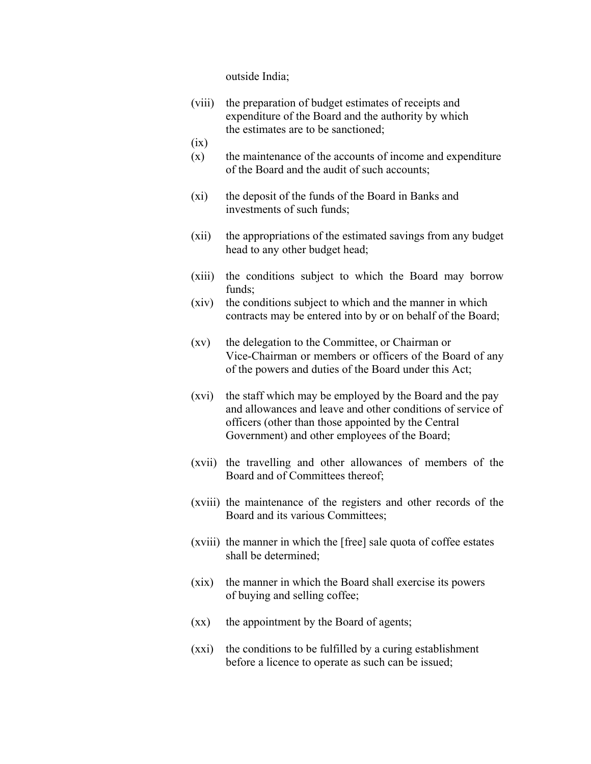outside India;

- (viii) the preparation of budget estimates of receipts and expenditure of the Board and the authority by which the estimates are to be sanctioned;
- (ix)
- $(x)$  the maintenance of the accounts of income and expenditure of the Board and the audit of such accounts;
- (xi) the deposit of the funds of the Board in Banks and investments of such funds;
- (xii) the appropriations of the estimated savings from any budget head to any other budget head;
- (xiii) the conditions subject to which the Board may borrow funds;
- (xiv) the conditions subject to which and the manner in which contracts may be entered into by or on behalf of the Board;
- (xv) the delegation to the Committee, or Chairman or Vice-Chairman or members or officers of the Board of any of the powers and duties of the Board under this Act;
- (xvi) the staff which may be employed by the Board and the pay and allowances and leave and other conditions of service of officers (other than those appointed by the Central Government) and other employees of the Board;
- (xvii) the travelling and other allowances of members of the Board and of Committees thereof;
- (xviii) the maintenance of the registers and other records of the Board and its various Committees;
- (xviii) the manner in which the [free] sale quota of coffee estates shall be determined;
- (xix) the manner in which the Board shall exercise its powers of buying and selling coffee;
- (xx) the appointment by the Board of agents;
- (xxi) the conditions to be fulfilled by a curing establishment before a licence to operate as such can be issued;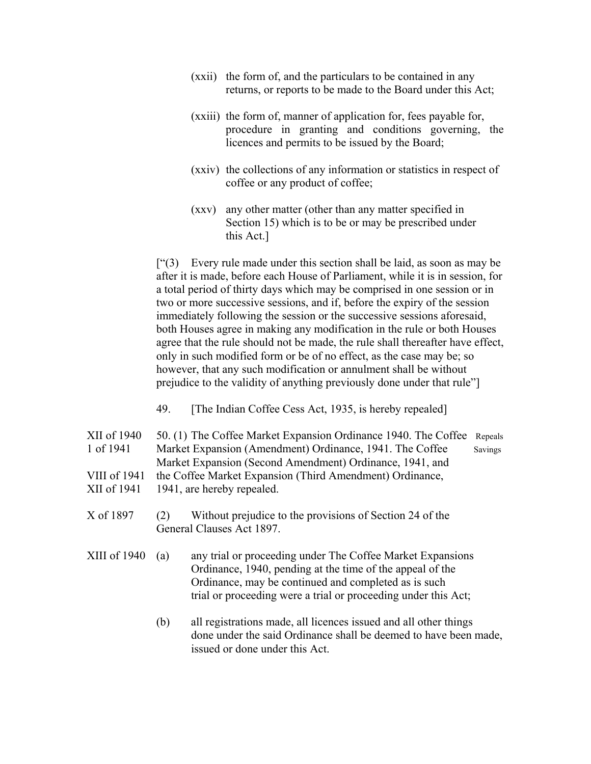- (xxii) the form of, and the particulars to be contained in any returns, or reports to be made to the Board under this Act;
- (xxiii) the form of, manner of application for, fees payable for, procedure in granting and conditions governing, the licences and permits to be issued by the Board;
- (xxiv) the collections of any information or statistics in respect of coffee or any product of coffee;
- (xxv) any other matter (other than any matter specified in Section 15) which is to be or may be prescribed under this Act.]

 $[$ "(3) Every rule made under this section shall be laid, as soon as may be after it is made, before each House of Parliament, while it is in session, for a total period of thirty days which may be comprised in one session or in two or more successive sessions, and if, before the expiry of the session immediately following the session or the successive sessions aforesaid, both Houses agree in making any modification in the rule or both Houses agree that the rule should not be made, the rule shall thereafter have effect, only in such modified form or be of no effect, as the case may be; so however, that any such modification or annulment shall be without prejudice to the validity of anything previously done under that rule"]

- 49. [The Indian Coffee Cess Act, 1935, is hereby repealed]
- XII of 1940 50. (1) The Coffee Market Expansion Ordinance 1940. The Coffee Repeals 1 of 1941 Market Expansion (Amendment) Ordinance, 1941. The Coffee Savings Market Expansion (Second Amendment) Ordinance, 1941, and VIII of 1941 the Coffee Market Expansion (Third Amendment) Ordinance, XII of 1941 1941, are hereby repealed.
- X of 1897 (2) Without prejudice to the provisions of Section 24 of the General Clauses Act 1897.
- XIII of 1940 (a) any trial or proceeding under The Coffee Market Expansions Ordinance, 1940, pending at the time of the appeal of the Ordinance, may be continued and completed as is such trial or proceeding were a trial or proceeding under this Act;
	- (b) all registrations made, all licences issued and all other things done under the said Ordinance shall be deemed to have been made, issued or done under this Act.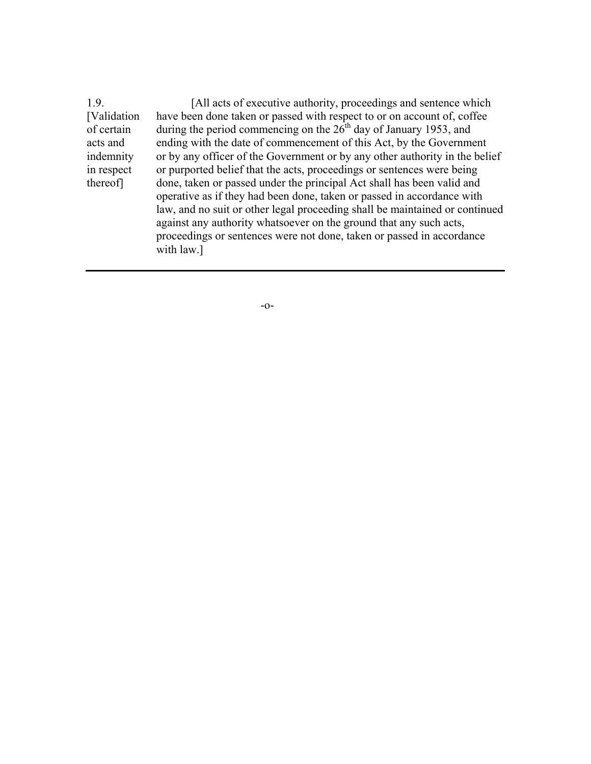1.9. [All acts of executive authority, proceedings and sentence which [Validation have been done taken or passed with respect to or on account of, coffee of certain during the period commencing on the  $26<sup>th</sup>$  day of January 1953, and acts and ending with the date of commencement of this Act, by the Government indemnity or by any officer of the Government or by any other authority in the belief in respect or purported belief that the acts, proceedings or sentences were being thereof] done, taken or passed under the principal Act shall has been valid and operative as if they had been done, taken or passed in accordance with law, and no suit or other legal proceeding shall be maintained or continued against any authority whatsoever on the ground that any such acts, proceedings or sentences were not done, taken or passed in accordance with law.]

-o-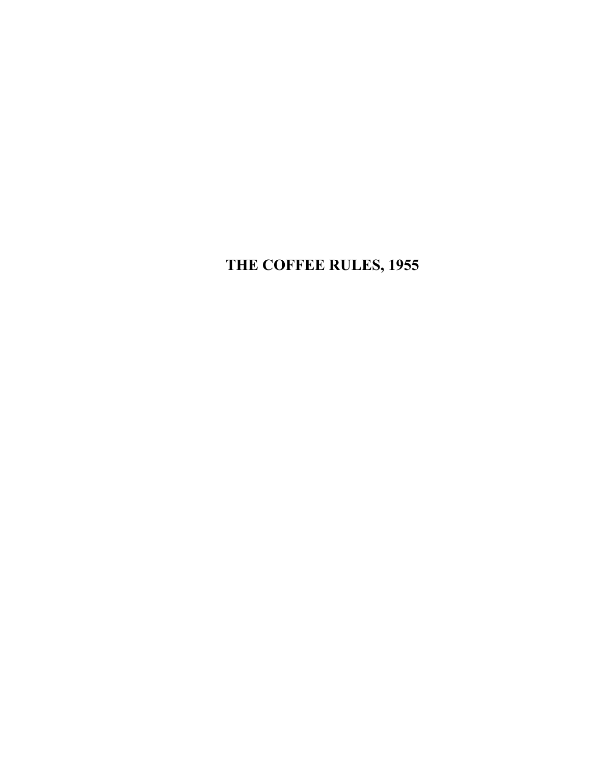**THE COFFEE RULES, 1955**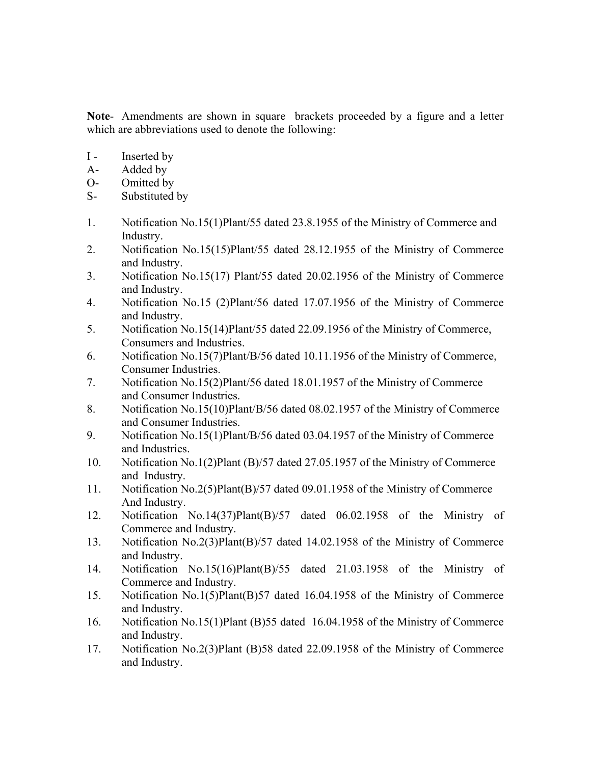**Note**- Amendments are shown in square brackets proceeded by a figure and a letter which are abbreviations used to denote the following:

- I Inserted by
- A- Added by
- O- Omitted by
- S- Substituted by
- 1. Notification No.15(1)Plant/55 dated 23.8.1955 of the Ministry of Commerce and Industry.
- 2. Notification No.15(15)Plant/55 dated 28.12.1955 of the Ministry of Commerce and Industry.
- 3. Notification No.15(17) Plant/55 dated 20.02.1956 of the Ministry of Commerce and Industry.
- 4. Notification No.15 (2)Plant/56 dated 17.07.1956 of the Ministry of Commerce and Industry.
- 5. Notification No.15(14)Plant/55 dated 22.09.1956 of the Ministry of Commerce, Consumers and Industries.
- 6. Notification No.15(7)Plant/B/56 dated 10.11.1956 of the Ministry of Commerce, Consumer Industries.
- 7. Notification No.15(2)Plant/56 dated 18.01.1957 of the Ministry of Commerce and Consumer Industries.
- 8. Notification No.15(10)Plant/B/56 dated 08.02.1957 of the Ministry of Commerce and Consumer Industries.
- 9. Notification No.15(1)Plant/B/56 dated 03.04.1957 of the Ministry of Commerce and Industries.
- 10. Notification No.1(2)Plant (B)/57 dated 27.05.1957 of the Ministry of Commerce and Industry.
- 11. Notification No.2(5)Plant(B)/57 dated 09.01.1958 of the Ministry of Commerce And Industry.
- 12. Notification No.14(37)Plant(B)/57 dated 06.02.1958 of the Ministry of Commerce and Industry.
- 13. Notification No.2(3)Plant(B)/57 dated 14.02.1958 of the Ministry of Commerce and Industry.
- 14. Notification No.15(16)Plant(B)/55 dated 21.03.1958 of the Ministry of Commerce and Industry.
- 15. Notification No.1(5)Plant(B)57 dated 16.04.1958 of the Ministry of Commerce and Industry.
- 16. Notification No.15(1)Plant (B)55 dated 16.04.1958 of the Ministry of Commerce and Industry.
- 17. Notification No.2(3)Plant (B)58 dated 22.09.1958 of the Ministry of Commerce and Industry.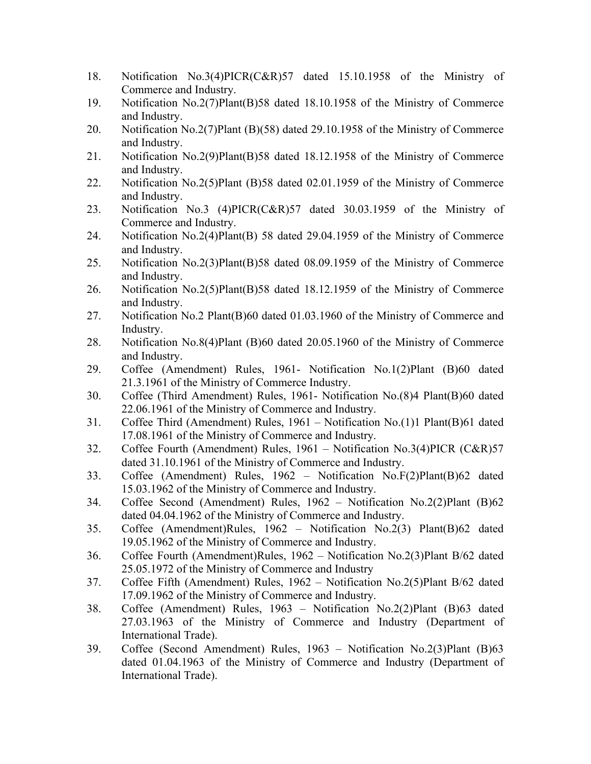- 18. Notification No.3(4)PICR(C&R)57 dated 15.10.1958 of the Ministry of Commerce and Industry.
- 19. Notification No.2(7)Plant(B)58 dated 18.10.1958 of the Ministry of Commerce and Industry.
- 20. Notification No.2(7)Plant (B)(58) dated 29.10.1958 of the Ministry of Commerce and Industry.
- 21. Notification No.2(9)Plant(B)58 dated 18.12.1958 of the Ministry of Commerce and Industry.
- 22. Notification No.2(5)Plant (B)58 dated 02.01.1959 of the Ministry of Commerce and Industry.
- 23. Notification No.3 (4)PICR(C&R)57 dated 30.03.1959 of the Ministry of Commerce and Industry.
- 24. Notification No.2(4)Plant(B) 58 dated 29.04.1959 of the Ministry of Commerce and Industry.
- 25. Notification No.2(3)Plant(B)58 dated 08.09.1959 of the Ministry of Commerce and Industry.
- 26. Notification No.2(5)Plant(B)58 dated 18.12.1959 of the Ministry of Commerce and Industry.
- 27. Notification No.2 Plant(B)60 dated 01.03.1960 of the Ministry of Commerce and Industry.
- 28. Notification No.8(4)Plant (B)60 dated 20.05.1960 of the Ministry of Commerce and Industry.
- 29. Coffee (Amendment) Rules, 1961- Notification No.1(2)Plant (B)60 dated 21.3.1961 of the Ministry of Commerce Industry.
- 30. Coffee (Third Amendment) Rules, 1961- Notification No.(8)4 Plant(B)60 dated 22.06.1961 of the Ministry of Commerce and Industry.
- 31. Coffee Third (Amendment) Rules, 1961 Notification No.(1)1 Plant(B)61 dated 17.08.1961 of the Ministry of Commerce and Industry.
- 32. Coffee Fourth (Amendment) Rules, 1961 Notification No.3(4)PICR (C&R)57 dated 31.10.1961 of the Ministry of Commerce and Industry.
- 33. Coffee (Amendment) Rules, 1962 Notification No.F(2)Plant(B)62 dated 15.03.1962 of the Ministry of Commerce and Industry.
- 34. Coffee Second (Amendment) Rules, 1962 Notification No.2(2)Plant (B)62 dated 04.04.1962 of the Ministry of Commerce and Industry.
- 35. Coffee (Amendment)Rules, 1962 Notification No.2(3) Plant(B)62 dated 19.05.1962 of the Ministry of Commerce and Industry.
- 36. Coffee Fourth (Amendment)Rules, 1962 Notification No.2(3)Plant B/62 dated 25.05.1972 of the Ministry of Commerce and Industry
- 37. Coffee Fifth (Amendment) Rules, 1962 Notification No.2(5)Plant B/62 dated 17.09.1962 of the Ministry of Commerce and Industry.
- 38. Coffee (Amendment) Rules, 1963 Notification No.2(2)Plant (B)63 dated 27.03.1963 of the Ministry of Commerce and Industry (Department of International Trade).
- 39. Coffee (Second Amendment) Rules, 1963 Notification No.2(3)Plant (B)63 dated 01.04.1963 of the Ministry of Commerce and Industry (Department of International Trade).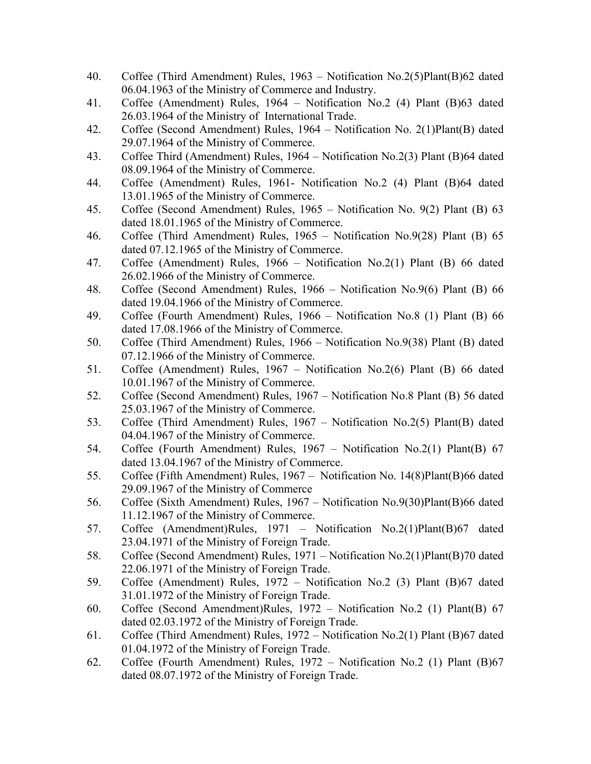- 40. Coffee (Third Amendment) Rules, 1963 Notification No.2(5)Plant(B)62 dated 06.04.1963 of the Ministry of Commerce and Industry.
- 41. Coffee (Amendment) Rules, 1964 Notification No.2 (4) Plant (B)63 dated 26.03.1964 of the Ministry of International Trade.
- 42. Coffee (Second Amendment) Rules, 1964 Notification No. 2(1)Plant(B) dated 29.07.1964 of the Ministry of Commerce.
- 43. Coffee Third (Amendment) Rules, 1964 Notification No.2(3) Plant (B)64 dated 08.09.1964 of the Ministry of Commerce.
- 44. Coffee (Amendment) Rules, 1961- Notification No.2 (4) Plant (B)64 dated 13.01.1965 of the Ministry of Commerce.
- 45. Coffee (Second Amendment) Rules, 1965 Notification No. 9(2) Plant (B) 63 dated 18.01.1965 of the Ministry of Commerce.
- 46. Coffee (Third Amendment) Rules, 1965 Notification No.9(28) Plant (B) 65 dated 07.12.1965 of the Ministry of Commerce.
- 47. Coffee (Amendment) Rules, 1966 Notification No.2(1) Plant (B) 66 dated 26.02.1966 of the Ministry of Commerce.
- 48. Coffee (Second Amendment) Rules, 1966 Notification No.9(6) Plant (B) 66 dated 19.04.1966 of the Ministry of Commerce.
- 49. Coffee (Fourth Amendment) Rules, 1966 Notification No.8 (1) Plant (B) 66 dated 17.08.1966 of the Ministry of Commerce.
- 50. Coffee (Third Amendment) Rules, 1966 Notification No.9(38) Plant (B) dated 07.12.1966 of the Ministry of Commerce.
- 51. Coffee (Amendment) Rules, 1967 Notification No.2(6) Plant (B) 66 dated 10.01.1967 of the Ministry of Commerce.
- 52. Coffee (Second Amendment) Rules, 1967 Notification No.8 Plant (B) 56 dated 25.03.1967 of the Ministry of Commerce.
- 53. Coffee (Third Amendment) Rules, 1967 Notification No.2(5) Plant(B) dated 04.04.1967 of the Ministry of Commerce.
- 54. Coffee (Fourth Amendment) Rules, 1967 Notification No.2(1) Plant(B) 67 dated 13.04.1967 of the Ministry of Commerce.
- 55. Coffee (Fifth Amendment) Rules, 1967 Notification No. 14(8)Plant(B)66 dated 29.09.1967 of the Ministry of Commerce
- 56. Coffee (Sixth Amendment) Rules, 1967 Notification No.9(30)Plant(B)66 dated 11.12.1967 of the Ministry of Commerce.
- 57. Coffee (Amendment)Rules, 1971 Notification No.2(1)Plant(B)67 dated 23.04.1971 of the Ministry of Foreign Trade.
- 58. Coffee (Second Amendment) Rules, 1971 Notification No.2(1)Plant(B)70 dated 22.06.1971 of the Ministry of Foreign Trade.
- 59. Coffee (Amendment) Rules, 1972 Notification No.2 (3) Plant (B)67 dated 31.01.1972 of the Ministry of Foreign Trade.
- 60. Coffee (Second Amendment)Rules, 1972 Notification No.2 (1) Plant(B) 67 dated 02.03.1972 of the Ministry of Foreign Trade.
- 61. Coffee (Third Amendment) Rules, 1972 Notification No.2(1) Plant (B)67 dated 01.04.1972 of the Ministry of Foreign Trade.
- 62. Coffee (Fourth Amendment) Rules, 1972 Notification No.2 (1) Plant (B)67 dated 08.07.1972 of the Ministry of Foreign Trade.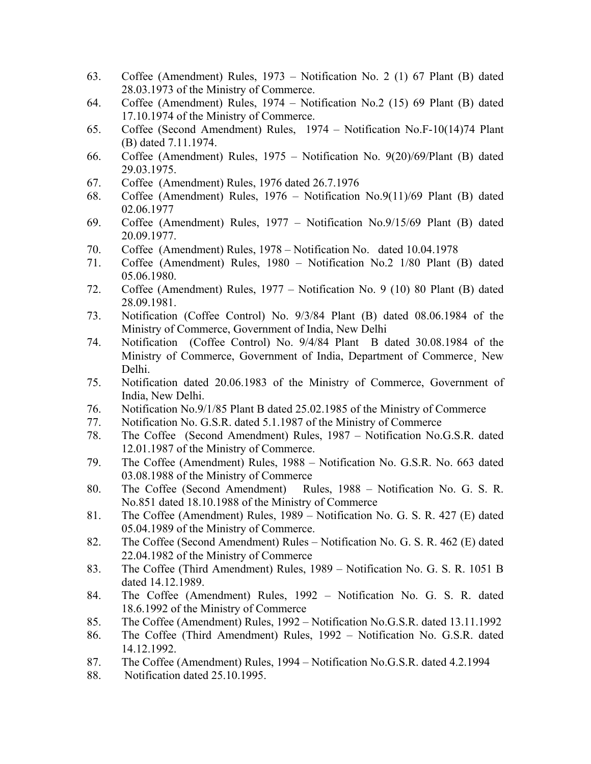- 63. Coffee (Amendment) Rules, 1973 Notification No. 2 (1) 67 Plant (B) dated 28.03.1973 of the Ministry of Commerce.
- 64. Coffee (Amendment) Rules, 1974 Notification No.2 (15) 69 Plant (B) dated 17.10.1974 of the Ministry of Commerce.
- 65. Coffee (Second Amendment) Rules, 1974 Notification No.F-10(14)74 Plant (B) dated 7.11.1974.
- 66. Coffee (Amendment) Rules, 1975 Notification No. 9(20)/69/Plant (B) dated 29.03.1975.
- 67. Coffee (Amendment) Rules, 1976 dated 26.7.1976
- 68. Coffee (Amendment) Rules, 1976 Notification No.9(11)/69 Plant (B) dated 02.06.1977
- 69. Coffee (Amendment) Rules, 1977 Notification No.9/15/69 Plant (B) dated 20.09.1977.
- 70. Coffee (Amendment) Rules, 1978 Notification No. dated 10.04.1978
- 71. Coffee (Amendment) Rules, 1980 Notification No.2 1/80 Plant (B) dated 05.06.1980.
- 72. Coffee (Amendment) Rules, 1977 Notification No. 9 (10) 80 Plant (B) dated 28.09.1981.
- 73. Notification (Coffee Control) No. 9/3/84 Plant (B) dated 08.06.1984 of the Ministry of Commerce, Government of India, New Delhi
- 74. Notification (Coffee Control) No. 9/4/84 Plant B dated 30.08.1984 of the Ministry of Commerce, Government of India, Department of Commerce¸ New Delhi.
- 75. Notification dated 20.06.1983 of the Ministry of Commerce, Government of India, New Delhi.
- 76. Notification No.9/1/85 Plant B dated 25.02.1985 of the Ministry of Commerce
- 77. Notification No. G.S.R. dated 5.1.1987 of the Ministry of Commerce
- 78. The Coffee (Second Amendment) Rules, 1987 Notification No.G.S.R. dated 12.01.1987 of the Ministry of Commerce.
- 79. The Coffee (Amendment) Rules, 1988 Notification No. G.S.R. No. 663 dated 03.08.1988 of the Ministry of Commerce
- 80. The Coffee (Second Amendment) Rules, 1988 Notification No. G. S. R. No.851 dated 18.10.1988 of the Ministry of Commerce
- 81. The Coffee (Amendment) Rules, 1989 Notification No. G. S. R. 427 (E) dated 05.04.1989 of the Ministry of Commerce.
- 82. The Coffee (Second Amendment) Rules Notification No. G. S. R. 462 (E) dated 22.04.1982 of the Ministry of Commerce
- 83. The Coffee (Third Amendment) Rules, 1989 Notification No. G. S. R. 1051 B dated 14.12.1989.
- 84. The Coffee (Amendment) Rules, 1992 Notification No. G. S. R. dated 18.6.1992 of the Ministry of Commerce
- 85. The Coffee (Amendment) Rules, 1992 Notification No.G.S.R. dated 13.11.1992
- 86. The Coffee (Third Amendment) Rules, 1992 Notification No. G.S.R. dated 14.12.1992.
- 87. The Coffee (Amendment) Rules, 1994 Notification No.G.S.R. dated 4.2.1994
- 88. Notification dated 25.10.1995.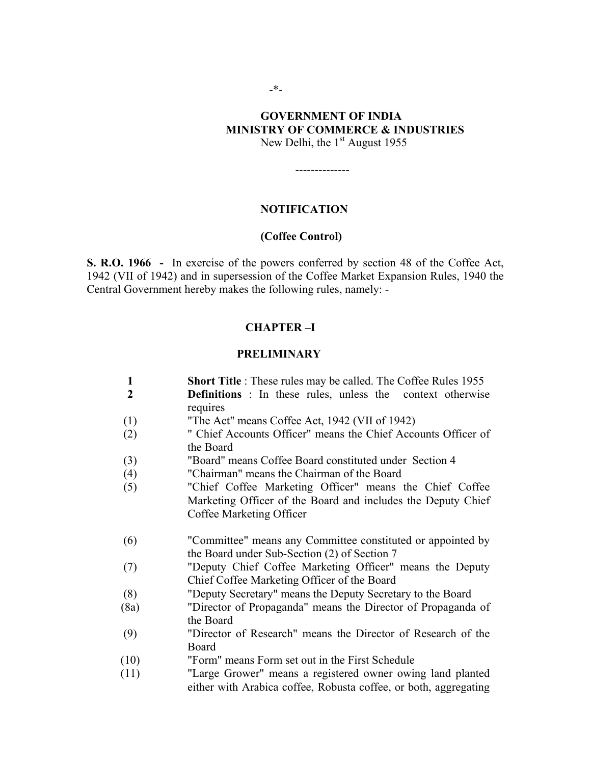# **GOVERNMENT OF INDIA MINISTRY OF COMMERCE & INDUSTRIES**

New Delhi, the  $1<sup>st</sup>$  August 1955

## **NOTIFICATION**

#### **(Coffee Control)**

**S. R.O. 1966 -** In exercise of the powers conferred by section 48 of the Coffee Act, 1942 (VII of 1942) and in supersession of the Coffee Market Expansion Rules, 1940 the Central Government hereby makes the following rules, namely: -

#### **CHAPTER –I**

#### **PRELIMINARY**

- **1 Short Title** : These rules may be called. The Coffee Rules 1955
- **2 Definitions** : In these rules, unless the context otherwise requires
- (1) "The Act" means Coffee Act, 1942 (VII of 1942)
- (2) " Chief Accounts Officer" means the Chief Accounts Officer of the Board
- (3) "Board" means Coffee Board constituted under Section 4
- (4) "Chairman" means the Chairman of the Board
- (5) "Chief Coffee Marketing Officer" means the Chief Coffee Marketing Officer of the Board and includes the Deputy Chief Coffee Marketing Officer
- (6) "Committee" means any Committee constituted or appointed by the Board under Sub-Section (2) of Section 7
- (7) "Deputy Chief Coffee Marketing Officer" means the Deputy Chief Coffee Marketing Officer of the Board
- (8) "Deputy Secretary" means the Deputy Secretary to the Board
- (8a) "Director of Propaganda" means the Director of Propaganda of the Board
- (9) "Director of Research" means the Director of Research of the Board
- (10) "Form" means Form set out in the First Schedule
- (11) "Large Grower" means a registered owner owing land planted either with Arabica coffee, Robusta coffee, or both, aggregating

--------------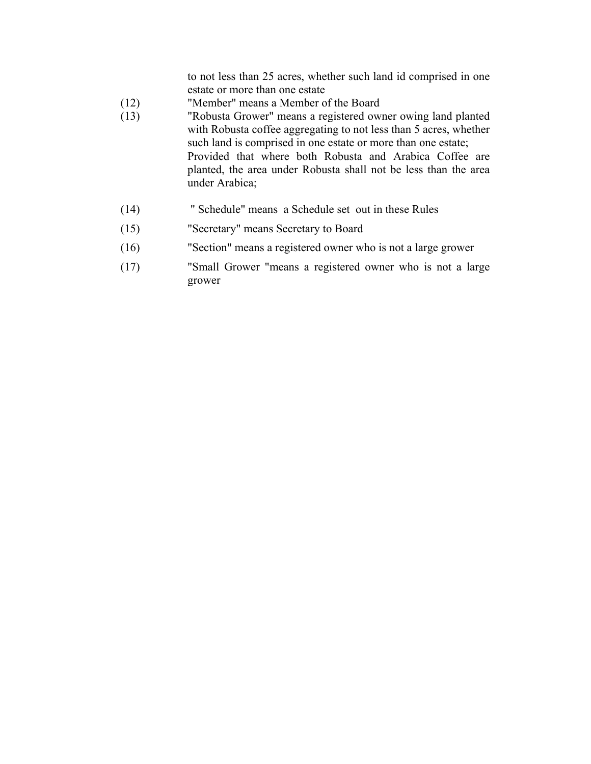to not less than 25 acres, whether such land id comprised in one estate or more than one estate

- (12) "Member" means a Member of the Board
- (13) "Robusta Grower" means a registered owner owing land planted with Robusta coffee aggregating to not less than 5 acres, whether such land is comprised in one estate or more than one estate; Provided that where both Robusta and Arabica Coffee are planted, the area under Robusta shall not be less than the area under Arabica;
- (14) " Schedule" means a Schedule set out in these Rules
- (15) "Secretary" means Secretary to Board
- (16) "Section" means a registered owner who is not a large grower
- (17) "Small Grower "means a registered owner who is not a large grower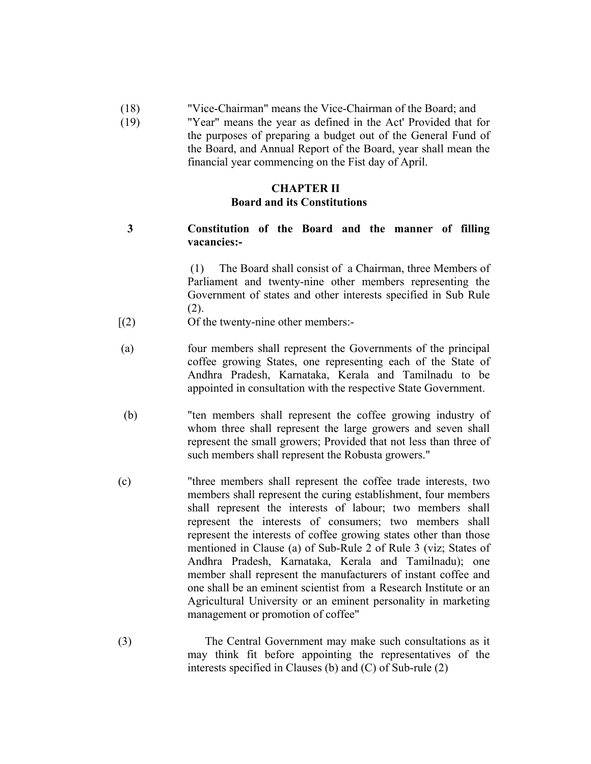- (18) "Vice-Chairman" means the Vice-Chairman of the Board; and
- (19) "Year" means the year as defined in the Act' Provided that for the purposes of preparing a budget out of the General Fund of the Board, and Annual Report of the Board, year shall mean the financial year commencing on the Fist day of April.

## **CHAPTER II Board and its Constitutions**

**3 Constitution of the Board and the manner of filling vacancies:-** 

> (1) The Board shall consist of a Chairman, three Members of Parliament and twenty-nine other members representing the Government of states and other interests specified in Sub Rule (2).

- [(2) Of the twenty-nine other members:-
- (a) four members shall represent the Governments of the principal coffee growing States, one representing each of the State of Andhra Pradesh, Karnataka, Kerala and Tamilnadu to be appointed in consultation with the respective State Government.
- (b) "ten members shall represent the coffee growing industry of whom three shall represent the large growers and seven shall represent the small growers; Provided that not less than three of such members shall represent the Robusta growers."
- (c) "three members shall represent the coffee trade interests, two members shall represent the curing establishment, four members shall represent the interests of labour; two members shall represent the interests of consumers; two members shall represent the interests of coffee growing states other than those mentioned in Clause (a) of Sub-Rule 2 of Rule 3 (viz; States of Andhra Pradesh, Karnataka, Kerala and Tamilnadu); one member shall represent the manufacturers of instant coffee and one shall be an eminent scientist from a Research Institute or an Agricultural University or an eminent personality in marketing management or promotion of coffee"
- (3) The Central Government may make such consultations as it may think fit before appointing the representatives of the interests specified in Clauses (b) and (C) of Sub-rule (2)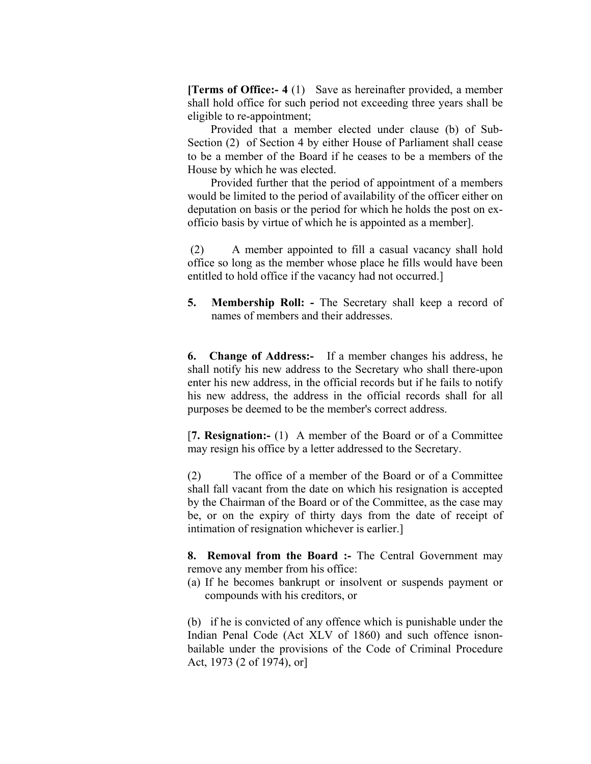**[Terms of Office:- 4** (1) Save as hereinafter provided, a member shall hold office for such period not exceeding three years shall be eligible to re-appointment;

 Provided that a member elected under clause (b) of Sub-Section (2) of Section 4 by either House of Parliament shall cease to be a member of the Board if he ceases to be a members of the House by which he was elected.

 Provided further that the period of appointment of a members would be limited to the period of availability of the officer either on deputation on basis or the period for which he holds the post on exofficio basis by virtue of which he is appointed as a member].

 (2) A member appointed to fill a casual vacancy shall hold office so long as the member whose place he fills would have been entitled to hold office if the vacancy had not occurred.]

**5.** Membership Roll: - The Secretary shall keep a record of names of members and their addresses.

**6. Change of Address:-** If a member changes his address, he shall notify his new address to the Secretary who shall there-upon enter his new address, in the official records but if he fails to notify his new address, the address in the official records shall for all purposes be deemed to be the member's correct address.

 [**7. Resignation:-** (1) A member of the Board or of a Committee may resign his office by a letter addressed to the Secretary.

 (2) The office of a member of the Board or of a Committee shall fall vacant from the date on which his resignation is accepted by the Chairman of the Board or of the Committee, as the case may be, or on the expiry of thirty days from the date of receipt of intimation of resignation whichever is earlier.]

 **8. Removal from the Board :-** The Central Government may remove any member from his office:

 (a) If he becomes bankrupt or insolvent or suspends payment or compounds with his creditors, or

 (b) if he is convicted of any offence which is punishable under the Indian Penal Code (Act XLV of 1860) and such offence isnonbailable under the provisions of the Code of Criminal Procedure Act, 1973 (2 of 1974), or]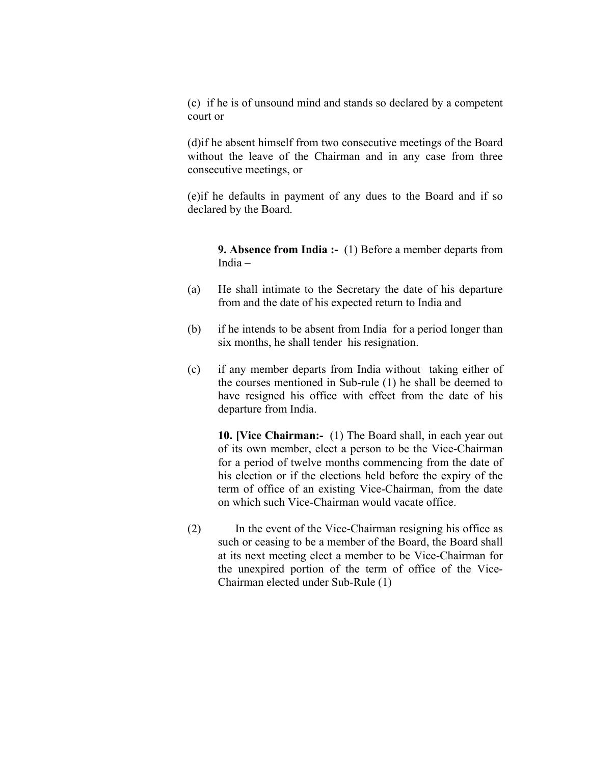(c) if he is of unsound mind and stands so declared by a competent court or

 (d)if he absent himself from two consecutive meetings of the Board without the leave of the Chairman and in any case from three consecutive meetings, or

 (e)if he defaults in payment of any dues to the Board and if so declared by the Board.

 **9. Absence from India :-** (1) Before a member departs from India –

- (a) He shall intimate to the Secretary the date of his departure from and the date of his expected return to India and
- (b) if he intends to be absent from India for a period longer than six months, he shall tender his resignation.
- (c) if any member departs from India without taking either of the courses mentioned in Sub-rule (1) he shall be deemed to have resigned his office with effect from the date of his departure from India.

 **10. [Vice Chairman:-** (1) The Board shall, in each year out of its own member, elect a person to be the Vice-Chairman for a period of twelve months commencing from the date of his election or if the elections held before the expiry of the term of office of an existing Vice-Chairman, from the date on which such Vice-Chairman would vacate office.

 (2) In the event of the Vice-Chairman resigning his office as such or ceasing to be a member of the Board, the Board shall at its next meeting elect a member to be Vice-Chairman for the unexpired portion of the term of office of the Vice-Chairman elected under Sub-Rule (1)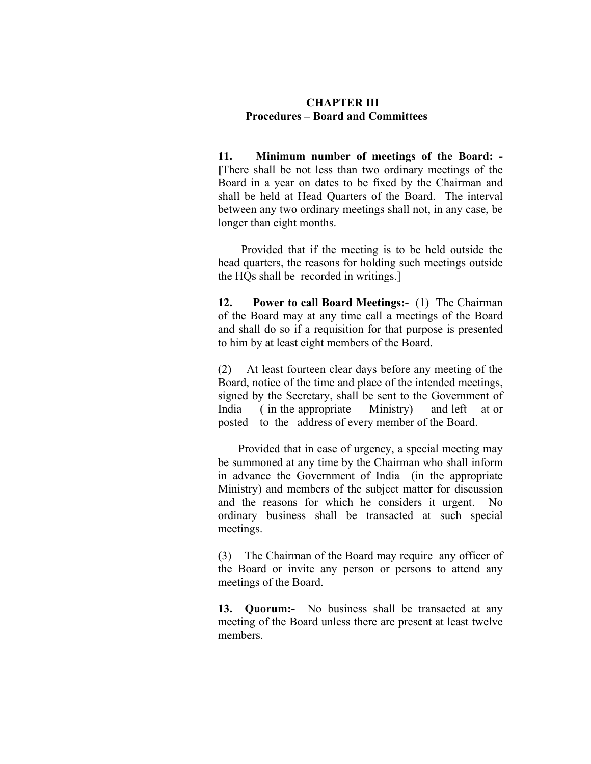# **CHAPTER III Procedures – Board and Committees**

 **11. Minimum number of meetings of the Board: - [**There shall be not less than two ordinary meetings of the Board in a year on dates to be fixed by the Chairman and shall be held at Head Quarters of the Board. The interval between any two ordinary meetings shall not, in any case, be longer than eight months.

 Provided that if the meeting is to be held outside the head quarters, the reasons for holding such meetings outside the HQs shall be recorded in writings.]

 **12. Power to call Board Meetings:-** (1) The Chairman of the Board may at any time call a meetings of the Board and shall do so if a requisition for that purpose is presented to him by at least eight members of the Board.

 (2) At least fourteen clear days before any meeting of the Board, notice of the time and place of the intended meetings, signed by the Secretary, shall be sent to the Government of India ( in the appropriate Ministry) and left at or posted to the address of every member of the Board.

 Provided that in case of urgency, a special meeting may be summoned at any time by the Chairman who shall inform in advance the Government of India (in the appropriate Ministry) and members of the subject matter for discussion and the reasons for which he considers it urgent. ordinary business shall be transacted at such special meetings.

 (3) The Chairman of the Board may require any officer of the Board or invite any person or persons to attend any meetings of the Board.

 **13. Quorum:-** No business shall be transacted at any meeting of the Board unless there are present at least twelve members.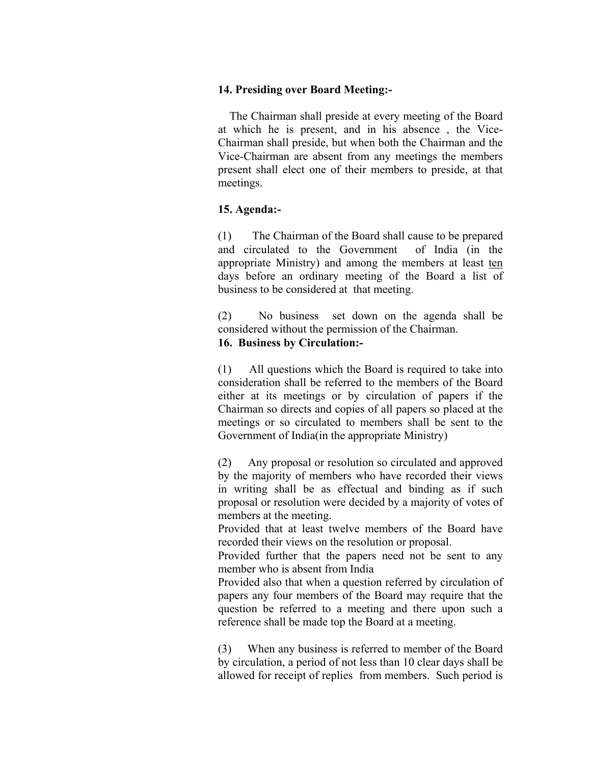# **14. Presiding over Board Meeting:-**

 The Chairman shall preside at every meeting of the Board at which he is present, and in his absence , the Vice-Chairman shall preside, but when both the Chairman and the Vice-Chairman are absent from any meetings the members present shall elect one of their members to preside, at that meetings.

# **15. Agenda:-**

(1) The Chairman of the Board shall cause to be prepared and circulated to the Government of India (in the appropriate Ministry) and among the members at least ten days before an ordinary meeting of the Board a list of business to be considered at that meeting.

(2) No business set down on the agenda shall be considered without the permission of the Chairman.

# **16. Business by Circulation:-**

(1) All questions which the Board is required to take into consideration shall be referred to the members of the Board either at its meetings or by circulation of papers if the Chairman so directs and copies of all papers so placed at the meetings or so circulated to members shall be sent to the Government of India(in the appropriate Ministry)

(2) Any proposal or resolution so circulated and approved by the majority of members who have recorded their views in writing shall be as effectual and binding as if such proposal or resolution were decided by a majority of votes of members at the meeting.

 Provided that at least twelve members of the Board have recorded their views on the resolution or proposal.

 Provided further that the papers need not be sent to any member who is absent from India

 Provided also that when a question referred by circulation of papers any four members of the Board may require that the question be referred to a meeting and there upon such a reference shall be made top the Board at a meeting.

(3) When any business is referred to member of the Board by circulation, a period of not less than 10 clear days shall be allowed for receipt of replies from members. Such period is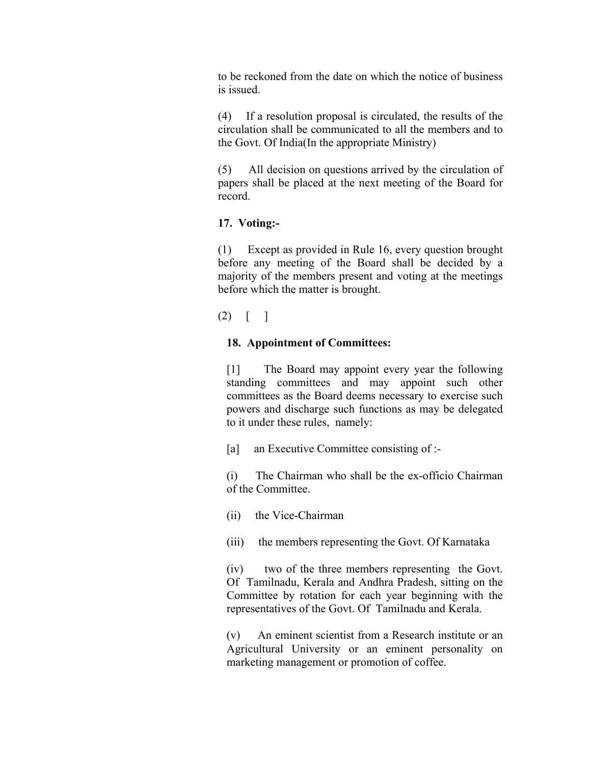to be reckoned from the date on which the notice of business is issued.

(4) If a resolution proposal is circulated, the results of the circulation shall be communicated to all the members and to the Govt. Of India(In the appropriate Ministry)

(5) All decision on questions arrived by the circulation of papers shall be placed at the next meeting of the Board for record.

# **17. Voting:-**

(1) Except as provided in Rule 16, every question brought before any meeting of the Board shall be decided by a majority of the members present and voting at the meetings before which the matter is brought.

 $(2) \mid \cdot \mid$ 

# **18. Appointment of Committees:**

[1] The Board may appoint every year the following standing committees and may appoint such other committees as the Board deems necessary to exercise such powers and discharge such functions as may be delegated to it under these rules, namely:

[a] an Executive Committee consisting of :-

 (i) The Chairman who shall be the ex-officio Chairman of the Committee.

- (ii) the Vice-Chairman
- (iii) the members representing the Govt. Of Karnataka

(iv) two of the three members representing the Govt. Of Tamilnadu, Kerala and Andhra Pradesh, sitting on the Committee by rotation for each year beginning with the representatives of the Govt. Of Tamilnadu and Kerala.

(v) An eminent scientist from a Research institute or an Agricultural University or an eminent personality on marketing management or promotion of coffee.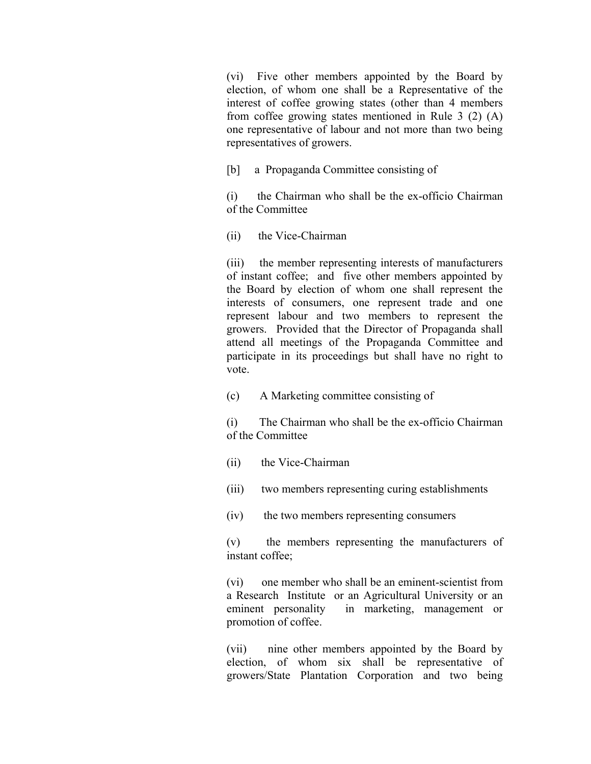(vi) Five other members appointed by the Board by election, of whom one shall be a Representative of the interest of coffee growing states (other than 4 members from coffee growing states mentioned in Rule 3 (2) (A) one representative of labour and not more than two being representatives of growers.

[b] a Propaganda Committee consisting of

(i) the Chairman who shall be the ex-officio Chairman of the Committee

(ii) the Vice-Chairman

(iii) the member representing interests of manufacturers of instant coffee; and five other members appointed by the Board by election of whom one shall represent the interests of consumers, one represent trade and one represent labour and two members to represent the growers. Provided that the Director of Propaganda shall attend all meetings of the Propaganda Committee and participate in its proceedings but shall have no right to vote.

(c) A Marketing committee consisting of

(i) The Chairman who shall be the ex-officio Chairman of the Committee

- (ii) the Vice-Chairman
- (iii) two members representing curing establishments
- (iv) the two members representing consumers

(v) the members representing the manufacturers of instant coffee:

 (vi) one member who shall be an eminent-scientist from a Research Institute or an Agricultural University or an eminent personality in marketing, management or promotion of coffee.

(vii) nine other members appointed by the Board by election, of whom six shall be representative of growers/State Plantation Corporation and two being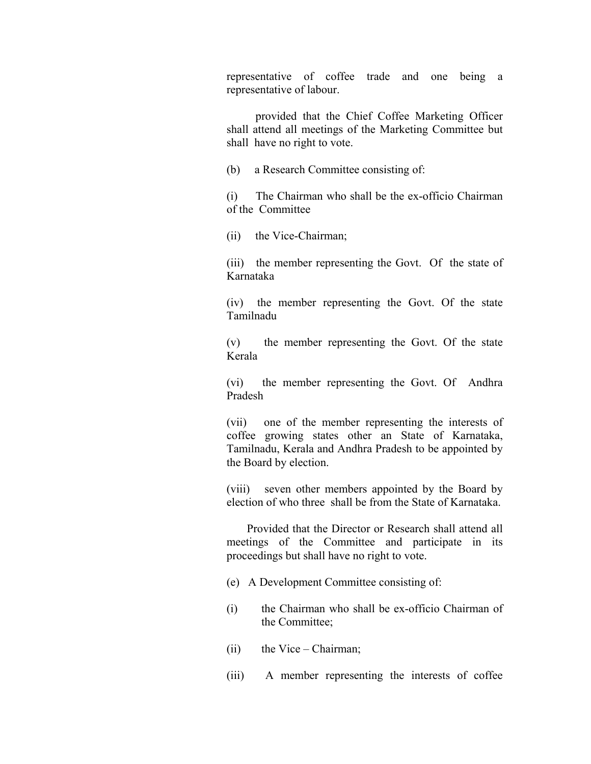representative of coffee trade and one being a representative of labour.

 provided that the Chief Coffee Marketing Officer shall attend all meetings of the Marketing Committee but shall have no right to vote.

(b) a Research Committee consisting of:

(i) The Chairman who shall be the ex-officio Chairman of the Committee

(ii) the Vice-Chairman;

(iii) the member representing the Govt. Of the state of Karnataka

(iv) the member representing the Govt. Of the state Tamilnadu

(v) the member representing the Govt. Of the state Kerala

(vi) the member representing the Govt. Of Andhra Pradesh

(vii) one of the member representing the interests of coffee growing states other an State of Karnataka, Tamilnadu, Kerala and Andhra Pradesh to be appointed by the Board by election.

(viii) seven other members appointed by the Board by election of who three shall be from the State of Karnataka.

 Provided that the Director or Research shall attend all meetings of the Committee and participate in its proceedings but shall have no right to vote.

- (e) A Development Committee consisting of:
- (i) the Chairman who shall be ex-officio Chairman of the Committee;
- (ii) the Vice Chairman;
- (iii) A member representing the interests of coffee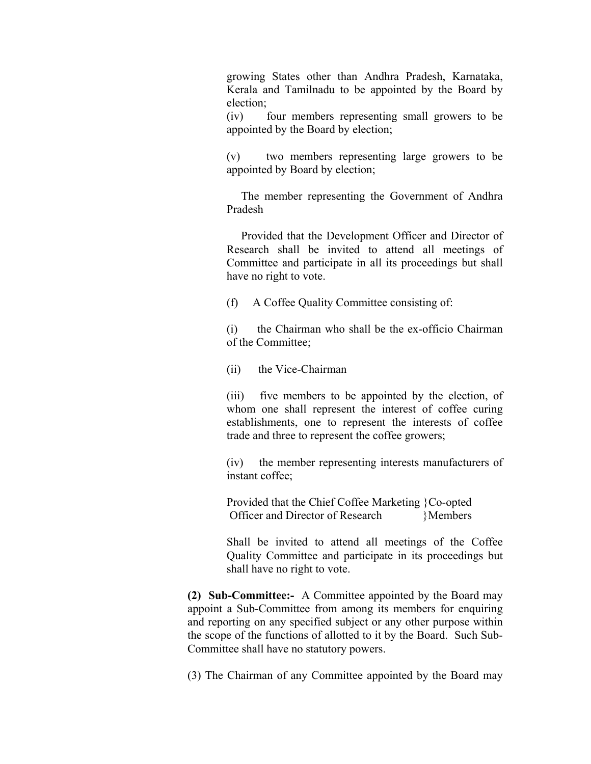growing States other than Andhra Pradesh, Karnataka, Kerala and Tamilnadu to be appointed by the Board by election;

 (iv) four members representing small growers to be appointed by the Board by election;

(v) two members representing large growers to be appointed by Board by election;

 The member representing the Government of Andhra Pradesh

 Provided that the Development Officer and Director of Research shall be invited to attend all meetings of Committee and participate in all its proceedings but shall have no right to vote.

(f) A Coffee Quality Committee consisting of:

(i) the Chairman who shall be the ex-officio Chairman of the Committee;

(ii) the Vice-Chairman

(iii) five members to be appointed by the election, of whom one shall represent the interest of coffee curing establishments, one to represent the interests of coffee trade and three to represent the coffee growers;

(iv) the member representing interests manufacturers of instant coffee;

Provided that the Chief Coffee Marketing }Co-opted Officer and Director of Research }Members

Shall be invited to attend all meetings of the Coffee Quality Committee and participate in its proceedings but shall have no right to vote.

**(2) Sub-Committee:-** A Committee appointed by the Board may appoint a Sub-Committee from among its members for enquiring and reporting on any specified subject or any other purpose within the scope of the functions of allotted to it by the Board. Such Sub-Committee shall have no statutory powers.

(3) The Chairman of any Committee appointed by the Board may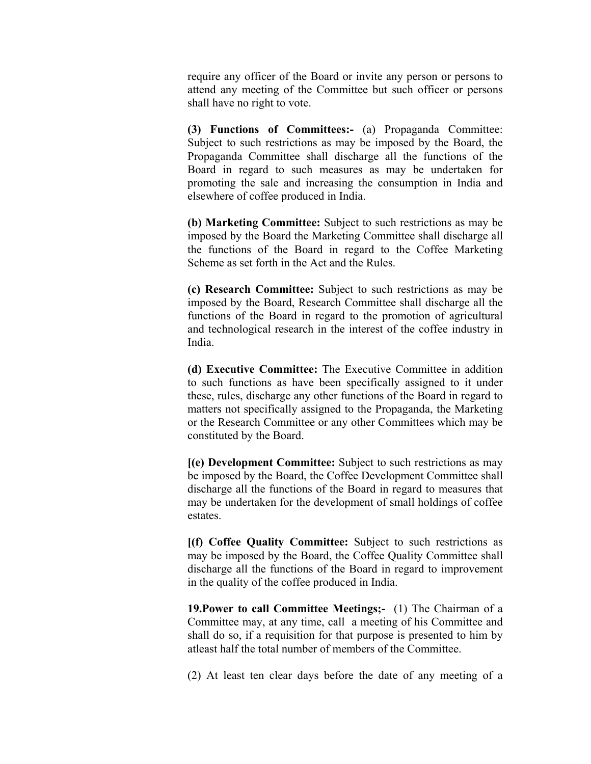require any officer of the Board or invite any person or persons to attend any meeting of the Committee but such officer or persons shall have no right to vote.

**(3) Functions of Committees:-** (a) Propaganda Committee: Subject to such restrictions as may be imposed by the Board, the Propaganda Committee shall discharge all the functions of the Board in regard to such measures as may be undertaken for promoting the sale and increasing the consumption in India and elsewhere of coffee produced in India.

**(b) Marketing Committee:** Subject to such restrictions as may be imposed by the Board the Marketing Committee shall discharge all the functions of the Board in regard to the Coffee Marketing Scheme as set forth in the Act and the Rules.

**(c) Research Committee:** Subject to such restrictions as may be imposed by the Board, Research Committee shall discharge all the functions of the Board in regard to the promotion of agricultural and technological research in the interest of the coffee industry in India.

**(d) Executive Committee:** The Executive Committee in addition to such functions as have been specifically assigned to it under these, rules, discharge any other functions of the Board in regard to matters not specifically assigned to the Propaganda, the Marketing or the Research Committee or any other Committees which may be constituted by the Board.

**[(e) Development Committee:** Subject to such restrictions as may be imposed by the Board, the Coffee Development Committee shall discharge all the functions of the Board in regard to measures that may be undertaken for the development of small holdings of coffee estates.

**[(f) Coffee Quality Committee:** Subject to such restrictions as may be imposed by the Board, the Coffee Quality Committee shall discharge all the functions of the Board in regard to improvement in the quality of the coffee produced in India.

**19. Power to call Committee Meetings;-** (1) The Chairman of a Committee may, at any time, call a meeting of his Committee and shall do so, if a requisition for that purpose is presented to him by atleast half the total number of members of the Committee.

(2) At least ten clear days before the date of any meeting of a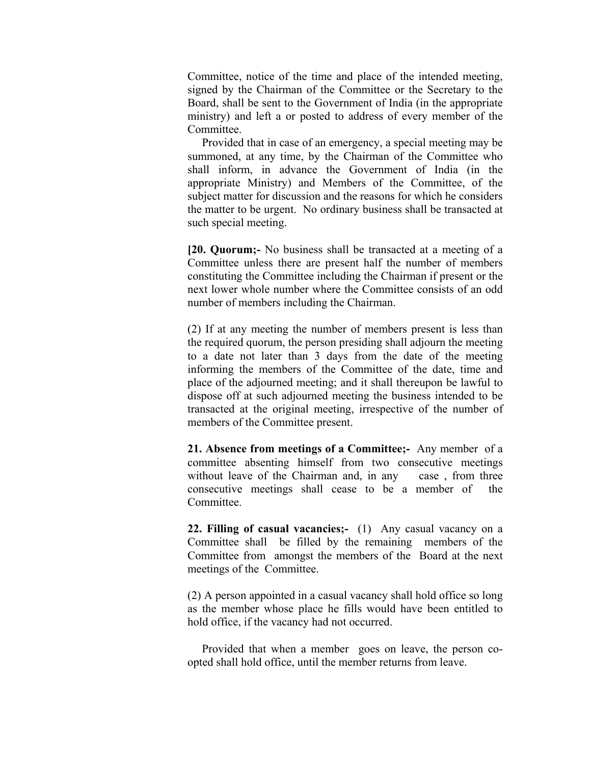Committee, notice of the time and place of the intended meeting, signed by the Chairman of the Committee or the Secretary to the Board, shall be sent to the Government of India (in the appropriate ministry) and left a or posted to address of every member of the Committee.

 Provided that in case of an emergency, a special meeting may be summoned, at any time, by the Chairman of the Committee who shall inform, in advance the Government of India (in the appropriate Ministry) and Members of the Committee, of the subject matter for discussion and the reasons for which he considers the matter to be urgent. No ordinary business shall be transacted at such special meeting.

**[20. Quorum;-** No business shall be transacted at a meeting of a Committee unless there are present half the number of members constituting the Committee including the Chairman if present or the next lower whole number where the Committee consists of an odd number of members including the Chairman.

(2) If at any meeting the number of members present is less than the required quorum, the person presiding shall adjourn the meeting to a date not later than 3 days from the date of the meeting informing the members of the Committee of the date, time and place of the adjourned meeting; and it shall thereupon be lawful to dispose off at such adjourned meeting the business intended to be transacted at the original meeting, irrespective of the number of members of the Committee present.

**21. Absence from meetings of a Committee;-** Any member of a committee absenting himself from two consecutive meetings without leave of the Chairman and, in any case, from three consecutive meetings shall cease to be a member of the **Committee** 

**22. Filling of casual vacancies;-** (1) Any casual vacancy on a Committee shall be filled by the remaining members of the Committee from amongst the members of the Board at the next meetings of the Committee.

(2) A person appointed in a casual vacancy shall hold office so long as the member whose place he fills would have been entitled to hold office, if the vacancy had not occurred.

 Provided that when a member goes on leave, the person coopted shall hold office, until the member returns from leave.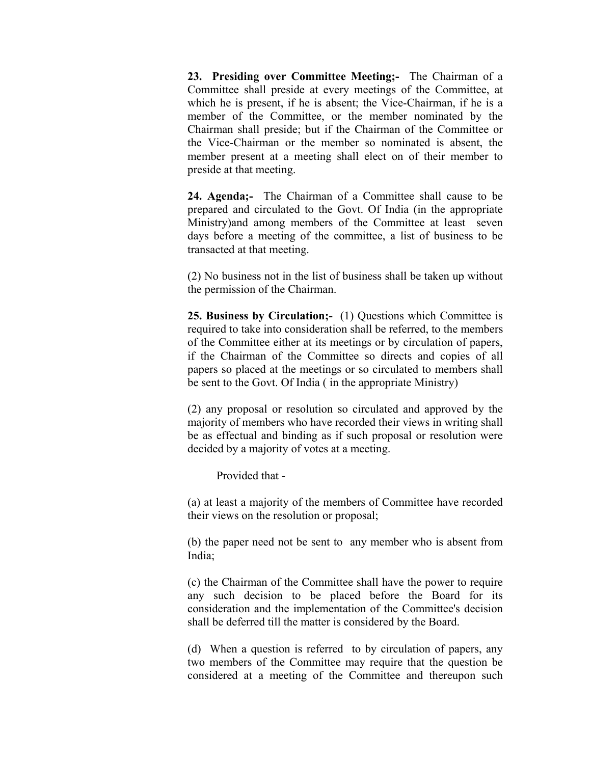**23. Presiding over Committee Meeting;-** The Chairman of a Committee shall preside at every meetings of the Committee, at which he is present, if he is absent; the Vice-Chairman, if he is a member of the Committee, or the member nominated by the Chairman shall preside; but if the Chairman of the Committee or the Vice-Chairman or the member so nominated is absent, the member present at a meeting shall elect on of their member to preside at that meeting.

**24. Agenda;-** The Chairman of a Committee shall cause to be prepared and circulated to the Govt. Of India (in the appropriate Ministry)and among members of the Committee at least seven days before a meeting of the committee, a list of business to be transacted at that meeting.

(2) No business not in the list of business shall be taken up without the permission of the Chairman.

**25. Business by Circulation;-** (1) Questions which Committee is required to take into consideration shall be referred, to the members of the Committee either at its meetings or by circulation of papers, if the Chairman of the Committee so directs and copies of all papers so placed at the meetings or so circulated to members shall be sent to the Govt. Of India ( in the appropriate Ministry)

(2) any proposal or resolution so circulated and approved by the majority of members who have recorded their views in writing shall be as effectual and binding as if such proposal or resolution were decided by a majority of votes at a meeting.

Provided that -

(a) at least a majority of the members of Committee have recorded their views on the resolution or proposal;

(b) the paper need not be sent to any member who is absent from India;

(c) the Chairman of the Committee shall have the power to require any such decision to be placed before the Board for its consideration and the implementation of the Committee's decision shall be deferred till the matter is considered by the Board.

 (d) When a question is referred to by circulation of papers, any two members of the Committee may require that the question be considered at a meeting of the Committee and thereupon such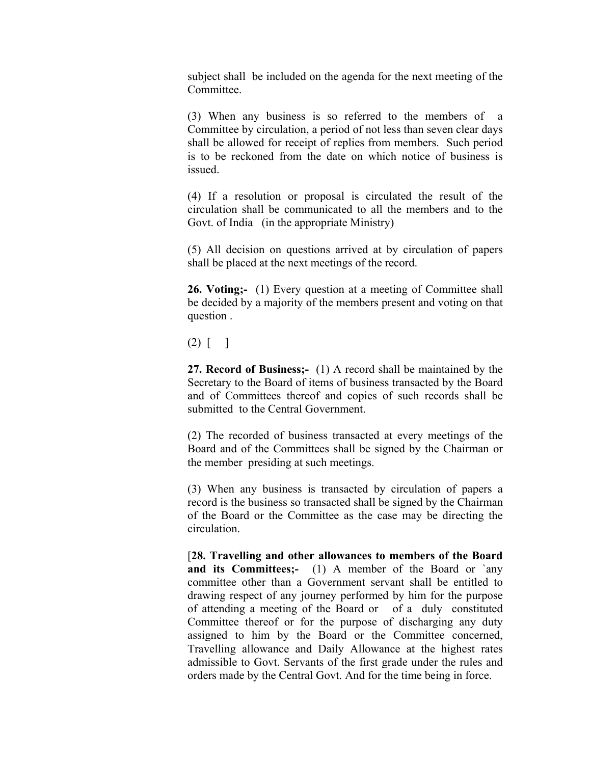subject shall be included on the agenda for the next meeting of the **Committee** 

(3) When any business is so referred to the members of a Committee by circulation, a period of not less than seven clear days shall be allowed for receipt of replies from members. Such period is to be reckoned from the date on which notice of business is issued.

(4) If a resolution or proposal is circulated the result of the circulation shall be communicated to all the members and to the Govt. of India (in the appropriate Ministry)

(5) All decision on questions arrived at by circulation of papers shall be placed at the next meetings of the record.

**26. Voting;-** (1) Every question at a meeting of Committee shall be decided by a majority of the members present and voting on that question .

(2) [ ]

**27. Record of Business;-** (1) A record shall be maintained by the Secretary to the Board of items of business transacted by the Board and of Committees thereof and copies of such records shall be submitted to the Central Government.

(2) The recorded of business transacted at every meetings of the Board and of the Committees shall be signed by the Chairman or the member presiding at such meetings.

(3) When any business is transacted by circulation of papers a record is the business so transacted shall be signed by the Chairman of the Board or the Committee as the case may be directing the circulation.

[**28. Travelling and other allowances to members of the Board and its Committees:-** (1) A member of the Board or `any committee other than a Government servant shall be entitled to drawing respect of any journey performed by him for the purpose of attending a meeting of the Board or of a duly constituted Committee thereof or for the purpose of discharging any duty assigned to him by the Board or the Committee concerned, Travelling allowance and Daily Allowance at the highest rates admissible to Govt. Servants of the first grade under the rules and orders made by the Central Govt. And for the time being in force.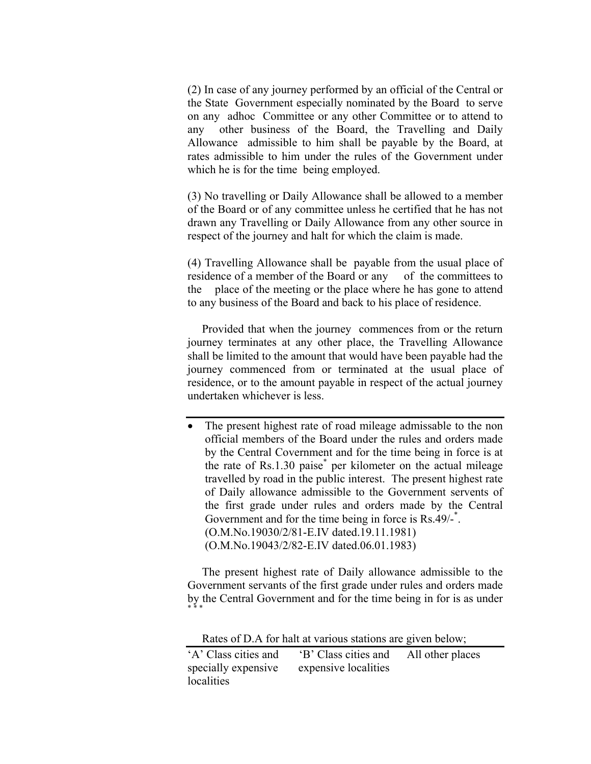(2) In case of any journey performed by an official of the Central or the State Government especially nominated by the Board to serve on any adhoc Committee or any other Committee or to attend to any other business of the Board, the Travelling and Daily Allowance admissible to him shall be payable by the Board, at rates admissible to him under the rules of the Government under which he is for the time being employed.

 (3) No travelling or Daily Allowance shall be allowed to a member of the Board or of any committee unless he certified that he has not drawn any Travelling or Daily Allowance from any other source in respect of the journey and halt for which the claim is made.

(4) Travelling Allowance shall be payable from the usual place of residence of a member of the Board or any of the committees to the place of the meeting or the place where he has gone to attend to any business of the Board and back to his place of residence.

 Provided that when the journey commences from or the return journey terminates at any other place, the Travelling Allowance shall be limited to the amount that would have been payable had the journey commenced from or terminated at the usual place of residence, or to the amount payable in respect of the actual journey undertaken whichever is less.

The present highest rate of road mileage admissable to the non official members of the Board under the rules and orders made by the Central Covernment and for the time being in force is at the rate of Rs.1.30 paise\* per kilometer on the actual mileage travelled by road in the public interest. The present highest rate of Daily allowance admissible to the Government servents of the first grade under rules and orders made by the Central Government and for the time being in force is Rs.49/-<sup>\*</sup>. (O.M.No.19030/2/81-E.IV dated.19.11.1981) (O.M.No.19043/2/82-E.IV dated.06.01.1983)

 The present highest rate of Daily allowance admissible to the Government servants of the first grade under rules and orders made by the Central Government and for the time being in for is as under \* \* \*

Rates of D.A for halt at various stations are given below;

| 'A' Class cities and | 'B' Class cities and | All other places |
|----------------------|----------------------|------------------|
| specially expensive  | expensive localities |                  |
| localities           |                      |                  |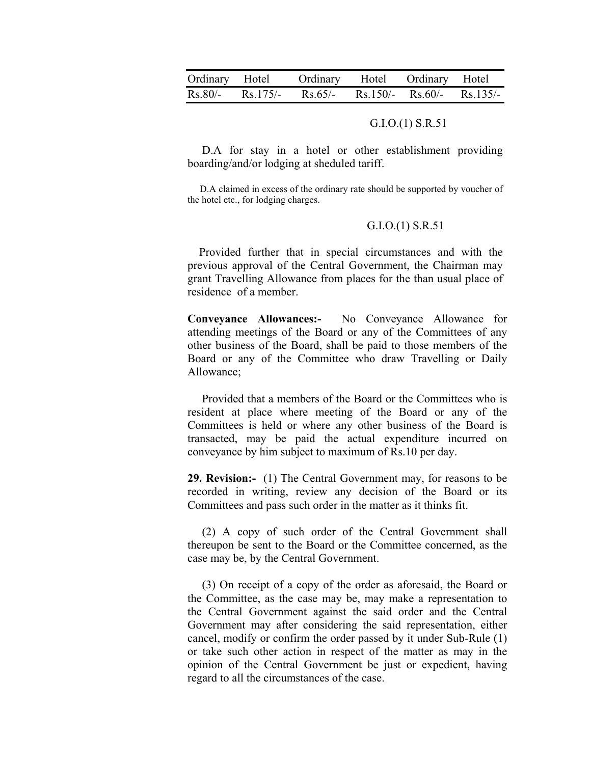| Ordinary Hotel | Ordinary Hotel Ordinary Hotel                      |  |  |
|----------------|----------------------------------------------------|--|--|
|                | Rs.80/- Rs.175/- Rs.65/- Rs.150/- Rs.60/- Rs.135/- |  |  |

## G.I.O.(1) S.R.51

D.A for stay in a hotel or other establishment providing boarding/and/or lodging at sheduled tariff.

 D.A claimed in excess of the ordinary rate should be supported by voucher of the hotel etc., for lodging charges.

#### G.I.O.(1) S.R.51

 Provided further that in special circumstances and with the previous approval of the Central Government, the Chairman may grant Travelling Allowance from places for the than usual place of residence of a member.

**Conveyance Allowances:-** No Conveyance Allowance for attending meetings of the Board or any of the Committees of any other business of the Board, shall be paid to those members of the Board or any of the Committee who draw Travelling or Daily Allowance;

 Provided that a members of the Board or the Committees who is resident at place where meeting of the Board or any of the Committees is held or where any other business of the Board is transacted, may be paid the actual expenditure incurred on conveyance by him subject to maximum of Rs.10 per day.

**29. Revision:-** (1) The Central Government may, for reasons to be recorded in writing, review any decision of the Board or its Committees and pass such order in the matter as it thinks fit.

 (2) A copy of such order of the Central Government shall thereupon be sent to the Board or the Committee concerned, as the case may be, by the Central Government.

 (3) On receipt of a copy of the order as aforesaid, the Board or the Committee, as the case may be, may make a representation to the Central Government against the said order and the Central Government may after considering the said representation, either cancel, modify or confirm the order passed by it under Sub-Rule (1) or take such other action in respect of the matter as may in the opinion of the Central Government be just or expedient, having regard to all the circumstances of the case.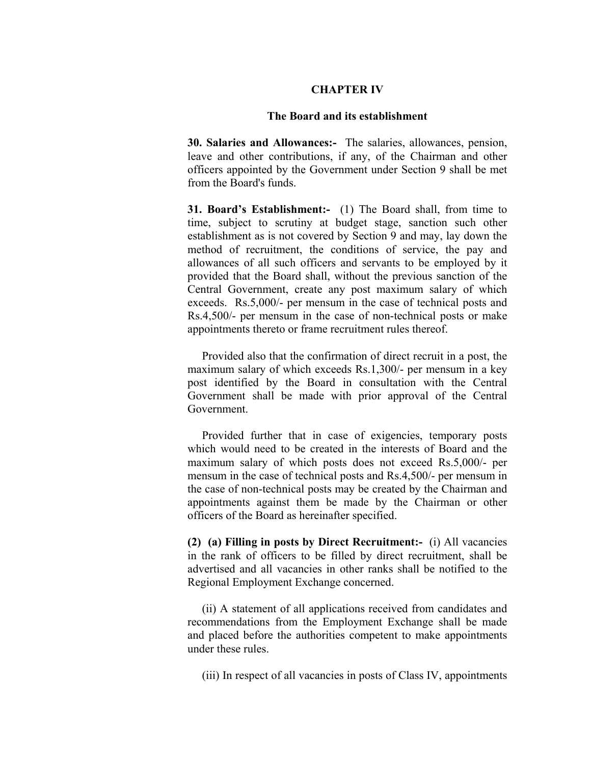## **CHAPTER IV**

## **The Board and its establishment**

**30. Salaries and Allowances:-** The salaries, allowances, pension, leave and other contributions, if any, of the Chairman and other officers appointed by the Government under Section 9 shall be met from the Board's funds.

**31. Board's Establishment:-** (1) The Board shall, from time to time, subject to scrutiny at budget stage, sanction such other establishment as is not covered by Section 9 and may, lay down the method of recruitment, the conditions of service, the pay and allowances of all such officers and servants to be employed by it provided that the Board shall, without the previous sanction of the Central Government, create any post maximum salary of which exceeds. Rs.5,000/- per mensum in the case of technical posts and Rs.4,500/- per mensum in the case of non-technical posts or make appointments thereto or frame recruitment rules thereof.

 Provided also that the confirmation of direct recruit in a post, the maximum salary of which exceeds Rs.1,300/- per mensum in a key post identified by the Board in consultation with the Central Government shall be made with prior approval of the Central Government.

 Provided further that in case of exigencies, temporary posts which would need to be created in the interests of Board and the maximum salary of which posts does not exceed Rs.5,000/- per mensum in the case of technical posts and Rs.4,500/- per mensum in the case of non-technical posts may be created by the Chairman and appointments against them be made by the Chairman or other officers of the Board as hereinafter specified.

**(2) (a) Filling in posts by Direct Recruitment:-** (i) All vacancies in the rank of officers to be filled by direct recruitment, shall be advertised and all vacancies in other ranks shall be notified to the Regional Employment Exchange concerned.

 (ii) A statement of all applications received from candidates and recommendations from the Employment Exchange shall be made and placed before the authorities competent to make appointments under these rules.

(iii) In respect of all vacancies in posts of Class IV, appointments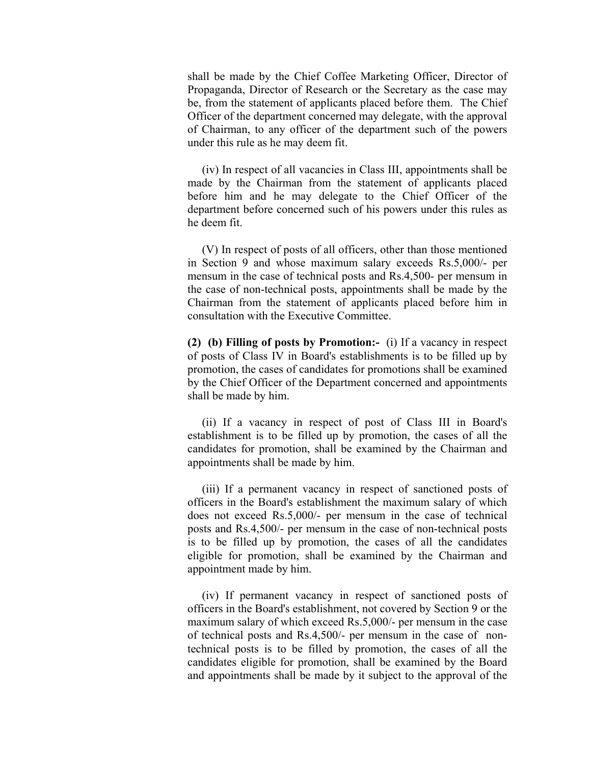shall be made by the Chief Coffee Marketing Officer, Director of Propaganda, Director of Research or the Secretary as the case may be, from the statement of applicants placed before them. The Chief Officer of the department concerned may delegate, with the approval of Chairman, to any officer of the department such of the powers under this rule as he may deem fit.

 (iv) In respect of all vacancies in Class III, appointments shall be made by the Chairman from the statement of applicants placed before him and he may delegate to the Chief Officer of the department before concerned such of his powers under this rules as he deem fit.

 (V) In respect of posts of all officers, other than those mentioned in Section 9 and whose maximum salary exceeds Rs.5,000/- per mensum in the case of technical posts and Rs.4,500- per mensum in the case of non-technical posts, appointments shall be made by the Chairman from the statement of applicants placed before him in consultation with the Executive Committee.

**(2) (b) Filling of posts by Promotion:-** (i) If a vacancy in respect of posts of Class IV in Board's establishments is to be filled up by promotion, the cases of candidates for promotions shall be examined by the Chief Officer of the Department concerned and appointments shall be made by him.

 (ii) If a vacancy in respect of post of Class III in Board's establishment is to be filled up by promotion, the cases of all the candidates for promotion, shall be examined by the Chairman and appointments shall be made by him.

 (iii) If a permanent vacancy in respect of sanctioned posts of officers in the Board's establishment the maximum salary of which does not exceed Rs.5,000/- per mensum in the case of technical posts and Rs.4,500/- per mensum in the case of non-technical posts is to be filled up by promotion, the cases of all the candidates eligible for promotion, shall be examined by the Chairman and appointment made by him.

 (iv) If permanent vacancy in respect of sanctioned posts of officers in the Board's establishment, not covered by Section 9 or the maximum salary of which exceed Rs.5,000/- per mensum in the case of technical posts and Rs.4,500/- per mensum in the case of nontechnical posts is to be filled by promotion, the cases of all the candidates eligible for promotion, shall be examined by the Board and appointments shall be made by it subject to the approval of the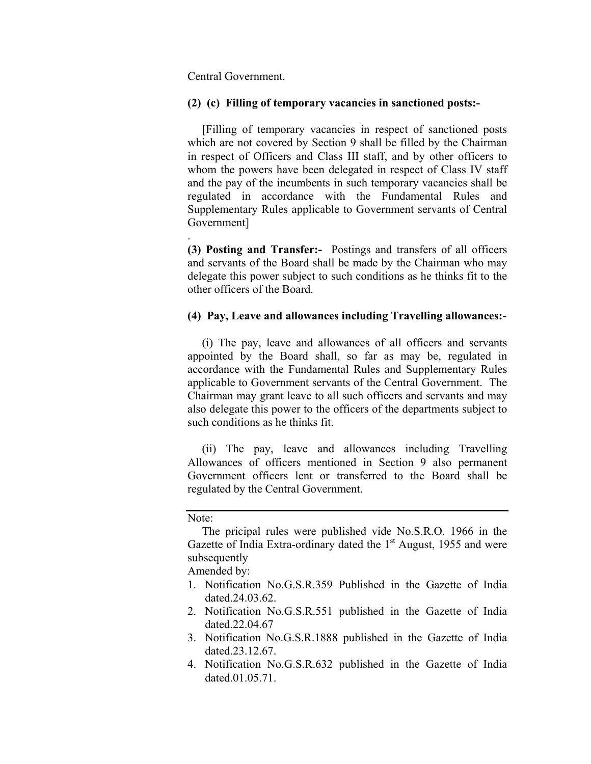Central Government.

## **(2) (c) Filling of temporary vacancies in sanctioned posts:-**

 [Filling of temporary vacancies in respect of sanctioned posts which are not covered by Section 9 shall be filled by the Chairman in respect of Officers and Class III staff, and by other officers to whom the powers have been delegated in respect of Class IV staff and the pay of the incumbents in such temporary vacancies shall be regulated in accordance with the Fundamental Rules and Supplementary Rules applicable to Government servants of Central Government]

**(3) Posting and Transfer:-** Postings and transfers of all officers and servants of the Board shall be made by the Chairman who may delegate this power subject to such conditions as he thinks fit to the other officers of the Board.

# **(4) Pay, Leave and allowances including Travelling allowances:-**

 (i) The pay, leave and allowances of all officers and servants appointed by the Board shall, so far as may be, regulated in accordance with the Fundamental Rules and Supplementary Rules applicable to Government servants of the Central Government. The Chairman may grant leave to all such officers and servants and may also delegate this power to the officers of the departments subject to such conditions as he thinks fit.

 (ii) The pay, leave and allowances including Travelling Allowances of officers mentioned in Section 9 also permanent Government officers lent or transferred to the Board shall be regulated by the Central Government.

Note:

.

 The pricipal rules were published vide No.S.R.O. 1966 in the Gazette of India Extra-ordinary dated the  $1<sup>st</sup>$  August, 1955 and were subsequently

Amended by:

- 1. Notification No.G.S.R.359 Published in the Gazette of India dated.24.03.62.
- 2. Notification No.G.S.R.551 published in the Gazette of India dated.22.04.67
- 3. Notification No.G.S.R.1888 published in the Gazette of India dated.23.12.67.
- 4. Notification No.G.S.R.632 published in the Gazette of India dated.01.05.71.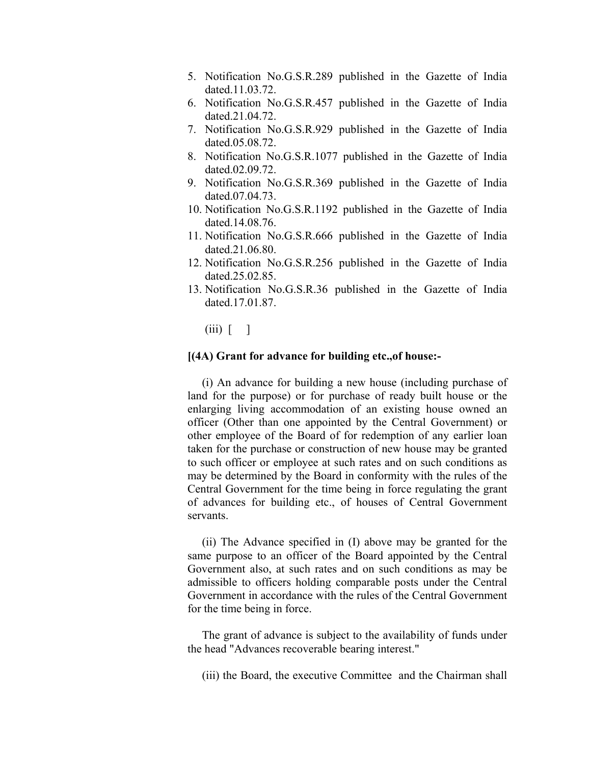- 5. Notification No.G.S.R.289 published in the Gazette of India dated 11.03.72
- 6. Notification No.G.S.R.457 published in the Gazette of India dated.21.04.72.
- 7. Notification No.G.S.R.929 published in the Gazette of India dated.05.08.72.
- 8. Notification No.G.S.R.1077 published in the Gazette of India dated.02.09.72.
- 9. Notification No.G.S.R.369 published in the Gazette of India dated.07.04.73.
- 10. Notification No.G.S.R.1192 published in the Gazette of India dated.14.08.76.
- 11. Notification No.G.S.R.666 published in the Gazette of India dated.21.06.80.
- 12. Notification No.G.S.R.256 published in the Gazette of India dated.25.02.85.
- 13. Notification No.G.S.R.36 published in the Gazette of India dated.17.01.87.

 $(iii)$   $\lceil$   $\rceil$ 

## **[(4A) Grant for advance for building etc.,of house:-**

 (i) An advance for building a new house (including purchase of land for the purpose) or for purchase of ready built house or the enlarging living accommodation of an existing house owned an officer (Other than one appointed by the Central Government) or other employee of the Board of for redemption of any earlier loan taken for the purchase or construction of new house may be granted to such officer or employee at such rates and on such conditions as may be determined by the Board in conformity with the rules of the Central Government for the time being in force regulating the grant of advances for building etc., of houses of Central Government servants.

 (ii) The Advance specified in (I) above may be granted for the same purpose to an officer of the Board appointed by the Central Government also, at such rates and on such conditions as may be admissible to officers holding comparable posts under the Central Government in accordance with the rules of the Central Government for the time being in force.

 The grant of advance is subject to the availability of funds under the head "Advances recoverable bearing interest."

(iii) the Board, the executive Committee and the Chairman shall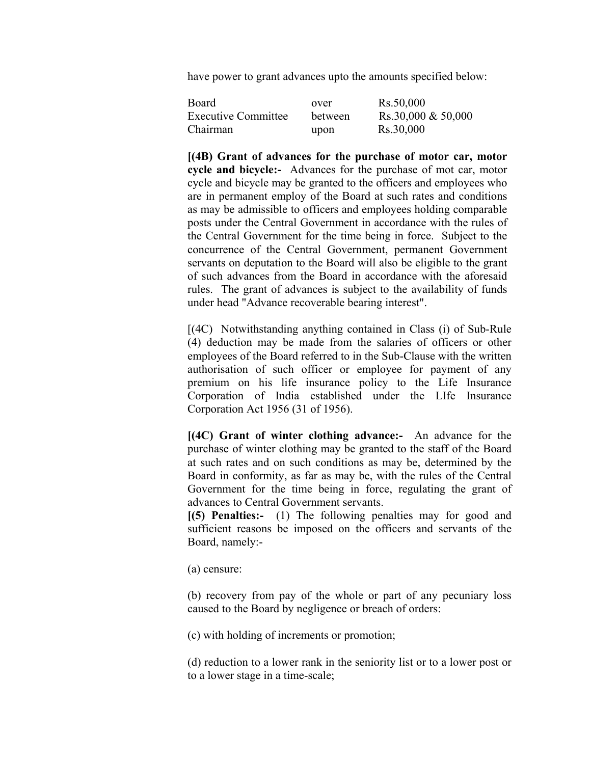have power to grant advances upto the amounts specified below:

| Board                      | over    | Rs.50,000            |
|----------------------------|---------|----------------------|
| <b>Executive Committee</b> | between | Rs.30,000 $& 50,000$ |
| Chairman                   | upon    | Rs.30,000            |

**[(4B) Grant of advances for the purchase of motor car, motor cycle and bicycle:-** Advances for the purchase of mot car, motor cycle and bicycle may be granted to the officers and employees who are in permanent employ of the Board at such rates and conditions as may be admissible to officers and employees holding comparable posts under the Central Government in accordance with the rules of the Central Government for the time being in force. Subject to the concurrence of the Central Government, permanent Government servants on deputation to the Board will also be eligible to the grant of such advances from the Board in accordance with the aforesaid rules. The grant of advances is subject to the availability of funds under head "Advance recoverable bearing interest".

 [(4C) Notwithstanding anything contained in Class (i) of Sub-Rule (4) deduction may be made from the salaries of officers or other employees of the Board referred to in the Sub-Clause with the written authorisation of such officer or employee for payment of any premium on his life insurance policy to the Life Insurance Corporation of India established under the LIfe Insurance Corporation Act 1956 (31 of 1956).

**[(4C) Grant of winter clothing advance:-** An advance for the purchase of winter clothing may be granted to the staff of the Board at such rates and on such conditions as may be, determined by the Board in conformity, as far as may be, with the rules of the Central Government for the time being in force, regulating the grant of advances to Central Government servants.

**[(5) Penalties:-** (1) The following penalties may for good and sufficient reasons be imposed on the officers and servants of the Board, namely:-

(a) censure:

(b) recovery from pay of the whole or part of any pecuniary loss caused to the Board by negligence or breach of orders:

(c) with holding of increments or promotion;

(d) reduction to a lower rank in the seniority list or to a lower post or to a lower stage in a time-scale;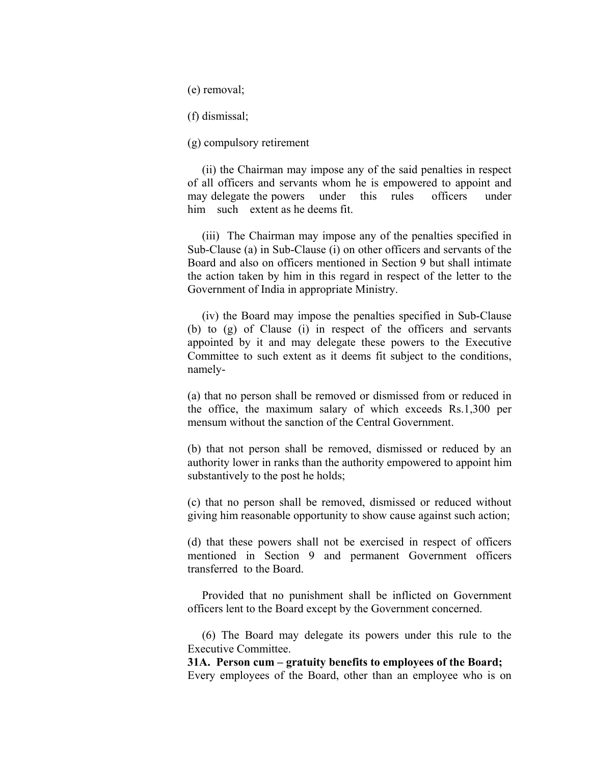(e) removal;

(f) dismissal;

(g) compulsory retirement

 (ii) the Chairman may impose any of the said penalties in respect of all officers and servants whom he is empowered to appoint and may delegate the powers under this rules officers under him such extent as he deems fit.

 (iii) The Chairman may impose any of the penalties specified in Sub-Clause (a) in Sub-Clause (i) on other officers and servants of the Board and also on officers mentioned in Section 9 but shall intimate the action taken by him in this regard in respect of the letter to the Government of India in appropriate Ministry.

 (iv) the Board may impose the penalties specified in Sub-Clause (b) to (g) of Clause (i) in respect of the officers and servants appointed by it and may delegate these powers to the Executive Committee to such extent as it deems fit subject to the conditions, namely-

(a) that no person shall be removed or dismissed from or reduced in the office, the maximum salary of which exceeds Rs.1,300 per mensum without the sanction of the Central Government.

(b) that not person shall be removed, dismissed or reduced by an authority lower in ranks than the authority empowered to appoint him substantively to the post he holds;

(c) that no person shall be removed, dismissed or reduced without giving him reasonable opportunity to show cause against such action;

(d) that these powers shall not be exercised in respect of officers mentioned in Section 9 and permanent Government officers transferred to the Board.

 Provided that no punishment shall be inflicted on Government officers lent to the Board except by the Government concerned.

 (6) The Board may delegate its powers under this rule to the Executive Committee.

**31A. Person cum – gratuity benefits to employees of the Board;**  Every employees of the Board, other than an employee who is on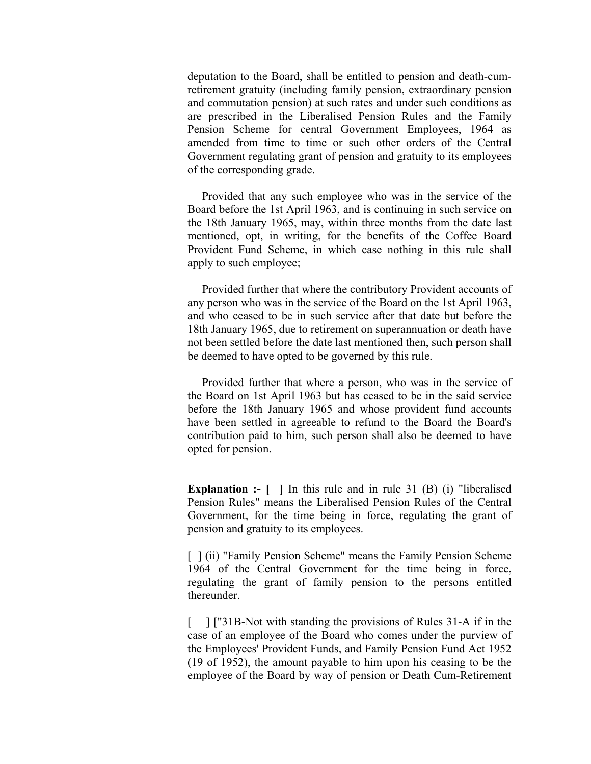deputation to the Board, shall be entitled to pension and death-cumretirement gratuity (including family pension, extraordinary pension and commutation pension) at such rates and under such conditions as are prescribed in the Liberalised Pension Rules and the Family Pension Scheme for central Government Employees, 1964 as amended from time to time or such other orders of the Central Government regulating grant of pension and gratuity to its employees of the corresponding grade.

 Provided that any such employee who was in the service of the Board before the 1st April 1963, and is continuing in such service on the 18th January 1965, may, within three months from the date last mentioned, opt, in writing, for the benefits of the Coffee Board Provident Fund Scheme, in which case nothing in this rule shall apply to such employee;

 Provided further that where the contributory Provident accounts of any person who was in the service of the Board on the 1st April 1963, and who ceased to be in such service after that date but before the 18th January 1965, due to retirement on superannuation or death have not been settled before the date last mentioned then, such person shall be deemed to have opted to be governed by this rule.

 Provided further that where a person, who was in the service of the Board on 1st April 1963 but has ceased to be in the said service before the 18th January 1965 and whose provident fund accounts have been settled in agreeable to refund to the Board the Board's contribution paid to him, such person shall also be deemed to have opted for pension.

**Explanation :-** [ ] In this rule and in rule 31 (B) (i) "liberalised Pension Rules" means the Liberalised Pension Rules of the Central Government, for the time being in force, regulating the grant of pension and gratuity to its employees.

[ ] (ii) "Family Pension Scheme" means the Family Pension Scheme 1964 of the Central Government for the time being in force, regulating the grant of family pension to the persons entitled thereunder.

[ ] ["31B-Not with standing the provisions of Rules 31-A if in the case of an employee of the Board who comes under the purview of the Employees' Provident Funds, and Family Pension Fund Act 1952 (19 of 1952), the amount payable to him upon his ceasing to be the employee of the Board by way of pension or Death Cum-Retirement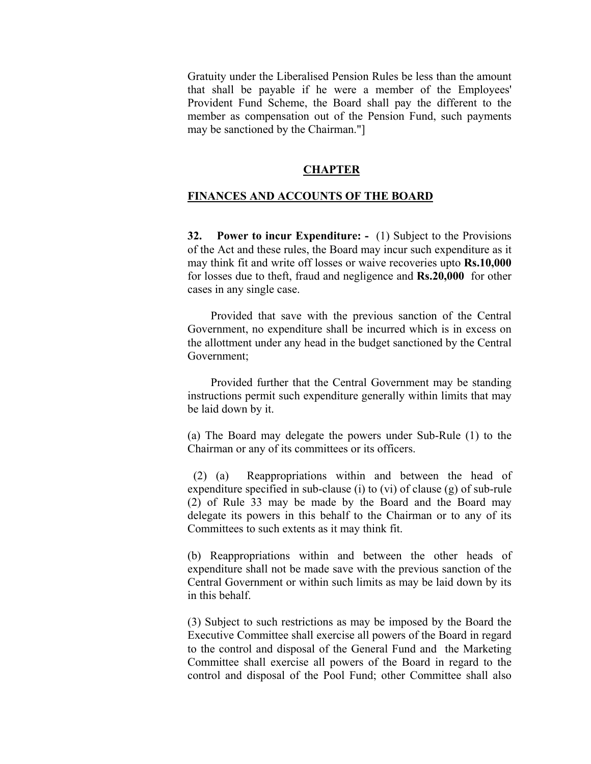Gratuity under the Liberalised Pension Rules be less than the amount that shall be payable if he were a member of the Employees' Provident Fund Scheme, the Board shall pay the different to the member as compensation out of the Pension Fund, such payments may be sanctioned by the Chairman."]

## **CHAPTER**

# **FINANCES AND ACCOUNTS OF THE BOARD**

**32. Power to incur Expenditure: -** (1) Subject to the Provisions of the Act and these rules, the Board may incur such expenditure as it may think fit and write off losses or waive recoveries upto **Rs.10,000** for losses due to theft, fraud and negligence and **Rs.20,000** for other cases in any single case.

 Provided that save with the previous sanction of the Central Government, no expenditure shall be incurred which is in excess on the allottment under any head in the budget sanctioned by the Central Government;

 Provided further that the Central Government may be standing instructions permit such expenditure generally within limits that may be laid down by it.

 (a) The Board may delegate the powers under Sub-Rule (1) to the Chairman or any of its committees or its officers.

 (2) (a) Reappropriations within and between the head of expenditure specified in sub-clause (i) to (vi) of clause (g) of sub-rule (2) of Rule 33 may be made by the Board and the Board may delegate its powers in this behalf to the Chairman or to any of its Committees to such extents as it may think fit.

(b) Reappropriations within and between the other heads of expenditure shall not be made save with the previous sanction of the Central Government or within such limits as may be laid down by its in this behalf.

(3) Subject to such restrictions as may be imposed by the Board the Executive Committee shall exercise all powers of the Board in regard to the control and disposal of the General Fund and the Marketing Committee shall exercise all powers of the Board in regard to the control and disposal of the Pool Fund; other Committee shall also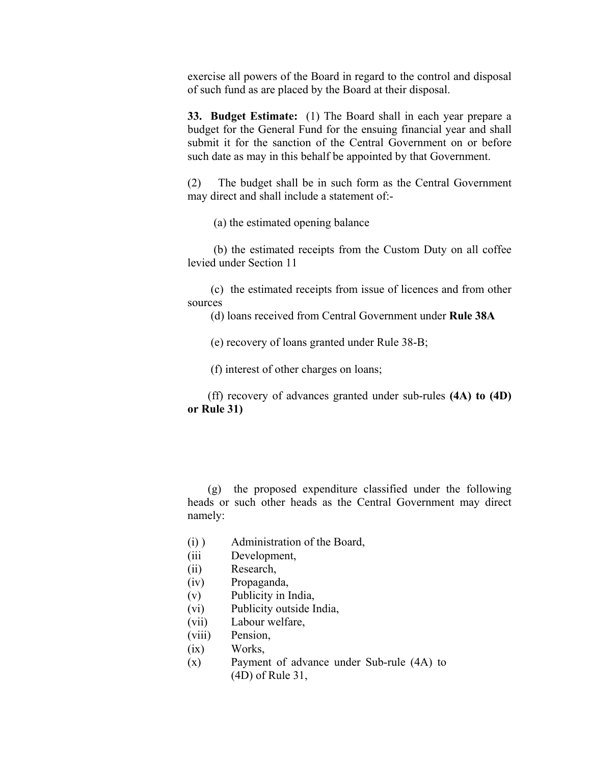exercise all powers of the Board in regard to the control and disposal of such fund as are placed by the Board at their disposal.

**33. Budget Estimate:** (1) The Board shall in each year prepare a budget for the General Fund for the ensuing financial year and shall submit it for the sanction of the Central Government on or before such date as may in this behalf be appointed by that Government.

(2) The budget shall be in such form as the Central Government may direct and shall include a statement of:-

(a) the estimated opening balance

 (b) the estimated receipts from the Custom Duty on all coffee levied under Section 11

 (c) the estimated receipts from issue of licences and from other sources

(d) loans received from Central Government under **Rule 38A**

(e) recovery of loans granted under Rule 38-B;

(f) interest of other charges on loans;

 (ff) recovery of advances granted under sub-rules **(4A) to (4D) or Rule 31)**

 (g) the proposed expenditure classified under the following heads or such other heads as the Central Government may direct namely:

- $(i)$ ) Administration of the Board,
- (iii Development,
- (ii) Research,
- (iv) Propaganda,
- (v) Publicity in India,
- (vi) Publicity outside India,
- (vii) Labour welfare,
- (viii) Pension,
- $(ix)$ Works,
- (x) Payment of advance under Sub-rule (4A) to (4D) of Rule 31,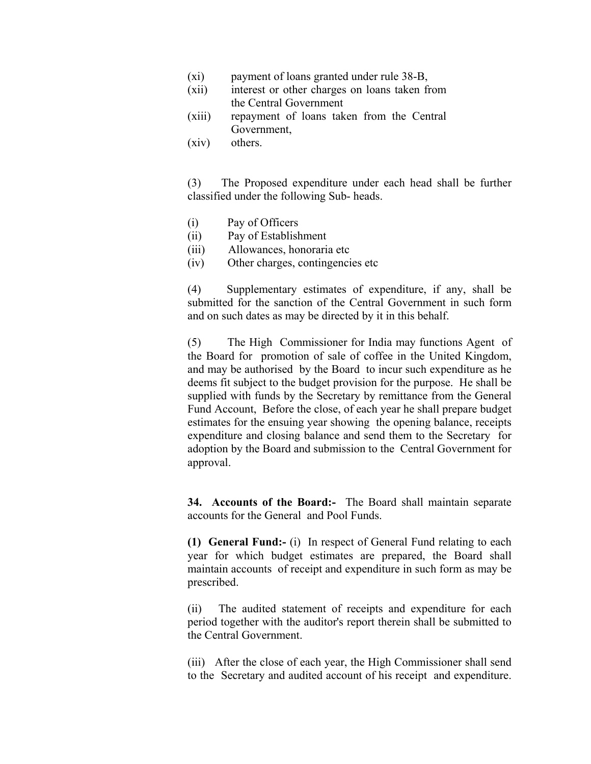- $(xi)$ payment of loans granted under rule 38-B,
- $(xii)$ interest or other charges on loans taken from the Central Government
- $(xiii)$ repayment of loans taken from the Central Government,
- (xiv) others.

 (3) The Proposed expenditure under each head shall be further classified under the following Sub- heads.

- (i) Pay of Officers
- (ii) Pay of Establishment
- (iii) Allowances, honoraria etc
- (iv) Other charges, contingencies etc

(4) Supplementary estimates of expenditure, if any, shall be submitted for the sanction of the Central Government in such form and on such dates as may be directed by it in this behalf.

(5) The High Commissioner for India may functions Agent of the Board for promotion of sale of coffee in the United Kingdom, and may be authorised by the Board to incur such expenditure as he deems fit subject to the budget provision for the purpose. He shall be supplied with funds by the Secretary by remittance from the General Fund Account, Before the close, of each year he shall prepare budget estimates for the ensuing year showing the opening balance, receipts expenditure and closing balance and send them to the Secretary for adoption by the Board and submission to the Central Government for approval.

**34. Accounts of the Board:-** The Board shall maintain separate accounts for the General and Pool Funds.

**(1) General Fund:-** (i) In respect of General Fund relating to each year for which budget estimates are prepared, the Board shall maintain accounts of receipt and expenditure in such form as may be prescribed.

(ii) The audited statement of receipts and expenditure for each period together with the auditor's report therein shall be submitted to the Central Government.

(iii) After the close of each year, the High Commissioner shall send to the Secretary and audited account of his receipt and expenditure.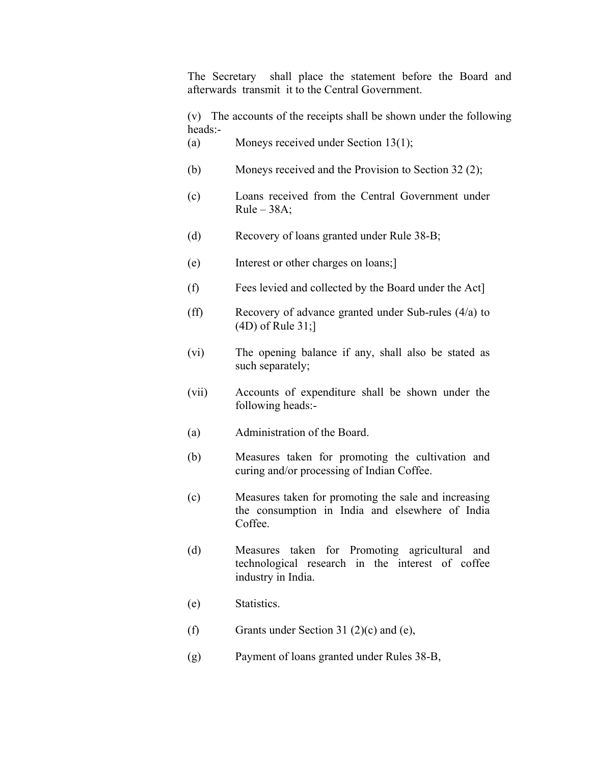The Secretary shall place the statement before the Board and afterwards transmit it to the Central Government.

(v) The accounts of the receipts shall be shown under the following heads:-

- (a) Moneys received under Section 13(1);
- (b) Moneys received and the Provision to Section 32 (2);
- (c) Loans received from the Central Government under  $Rule - 38A$ ;
- (d) Recovery of loans granted under Rule 38-B;
- (e) Interest or other charges on loans;]
- (f) Fees levied and collected by the Board under the Act]
- (ff) Recovery of advance granted under Sub-rules (4/a) to (4D) of Rule 31;]
- (vi) The opening balance if any, shall also be stated as such separately;
- (vii) Accounts of expenditure shall be shown under the following heads:-
- (a) Administration of the Board.
- (b) Measures taken for promoting the cultivation and curing and/or processing of Indian Coffee.
- (c) Measures taken for promoting the sale and increasing the consumption in India and elsewhere of India Coffee.
- (d) Measures taken for Promoting agricultural and technological research in the interest of coffee industry in India.
- (e) Statistics.
- (f) Grants under Section 31 (2)(c) and (e),
- (g) Payment of loans granted under Rules 38-B,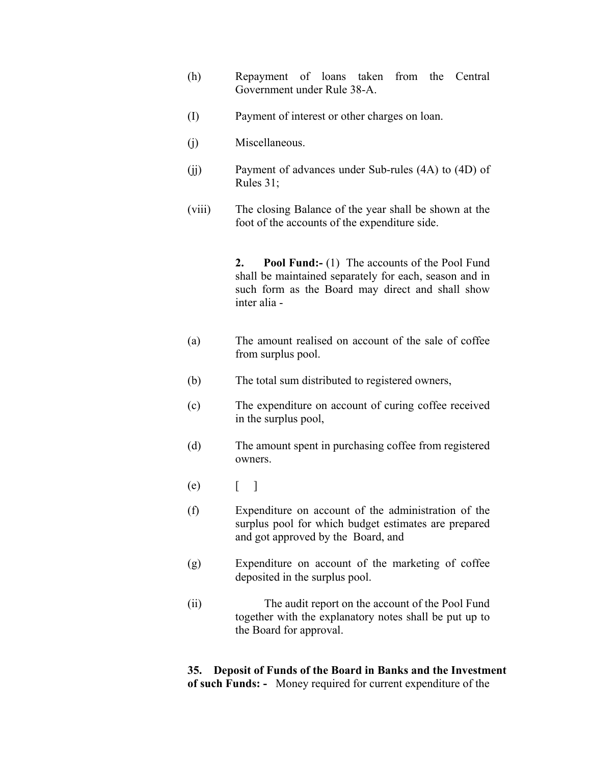- (h) Repayment of loans taken from the Central Government under Rule 38-A.
- (I) Payment of interest or other charges on loan.
- (j) Miscellaneous.
- (jj) Payment of advances under Sub-rules (4A) to (4D) of Rules 31;
- (viii) The closing Balance of the year shall be shown at the foot of the accounts of the expenditure side.

**2. Pool Fund:-** (1)The accounts of the Pool Fund shall be maintained separately for each, season and in such form as the Board may direct and shall show inter alia -

- (a) The amount realised on account of the sale of coffee from surplus pool.
- (b) The total sum distributed to registered owners,
- (c) The expenditure on account of curing coffee received in the surplus pool,
- (d) The amount spent in purchasing coffee from registered owners.
- $(e)$  [ ]
- (f) Expenditure on account of the administration of the surplus pool for which budget estimates are prepared and got approved by the Board, and
- (g) Expenditure on account of the marketing of coffee deposited in the surplus pool.
- (ii) The audit report on the account of the Pool Fund together with the explanatory notes shall be put up to the Board for approval.

# **35. Deposit of Funds of the Board in Banks and the Investment of such Funds: -** Money required for current expenditure of the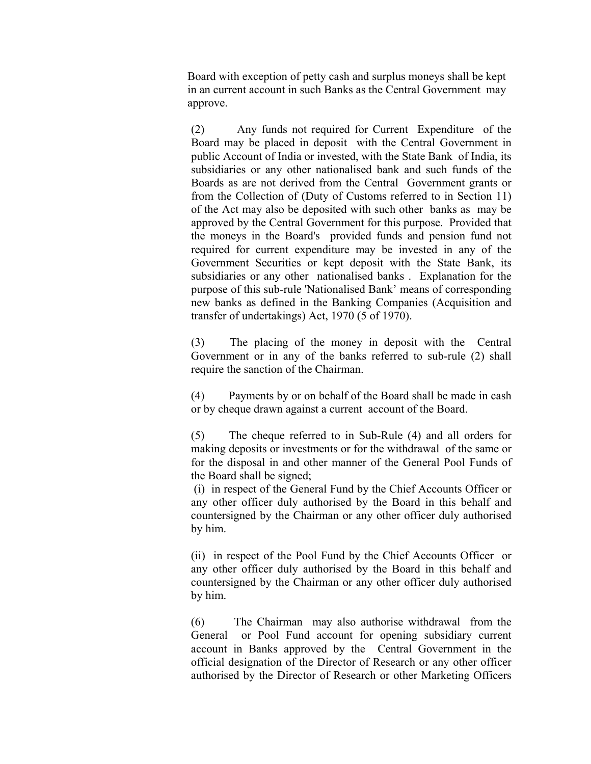Board with exception of petty cash and surplus moneys shall be kept in an current account in such Banks as the Central Government may approve.

 (2) Any funds not required for Current Expenditure of the Board may be placed in deposit with the Central Government in public Account of India or invested, with the State Bank of India, its subsidiaries or any other nationalised bank and such funds of the Boards as are not derived from the Central Government grants or from the Collection of (Duty of Customs referred to in Section 11) of the Act may also be deposited with such other banks as may be approved by the Central Government for this purpose. Provided that the moneys in the Board's provided funds and pension fund not required for current expenditure may be invested in any of the Government Securities or kept deposit with the State Bank, its subsidiaries or any other nationalised banks . Explanation for the purpose of this sub-rule 'Nationalised Bank' means of corresponding new banks as defined in the Banking Companies (Acquisition and transfer of undertakings) Act, 1970 (5 of 1970).

 (3) The placing of the money in deposit with the Central Government or in any of the banks referred to sub-rule (2) shall require the sanction of the Chairman.

(4) Payments by or on behalf of the Board shall be made in cash or by cheque drawn against a current account of the Board.

(5) The cheque referred to in Sub-Rule (4) and all orders for making deposits or investments or for the withdrawal of the same or for the disposal in and other manner of the General Pool Funds of the Board shall be signed;

 (i) in respect of the General Fund by the Chief Accounts Officer or any other officer duly authorised by the Board in this behalf and countersigned by the Chairman or any other officer duly authorised by him.

(ii) in respect of the Pool Fund by the Chief Accounts Officer or any other officer duly authorised by the Board in this behalf and countersigned by the Chairman or any other officer duly authorised by him.

(6) The Chairman may also authorise withdrawal from the General or Pool Fund account for opening subsidiary current account in Banks approved by the Central Government in the official designation of the Director of Research or any other officer authorised by the Director of Research or other Marketing Officers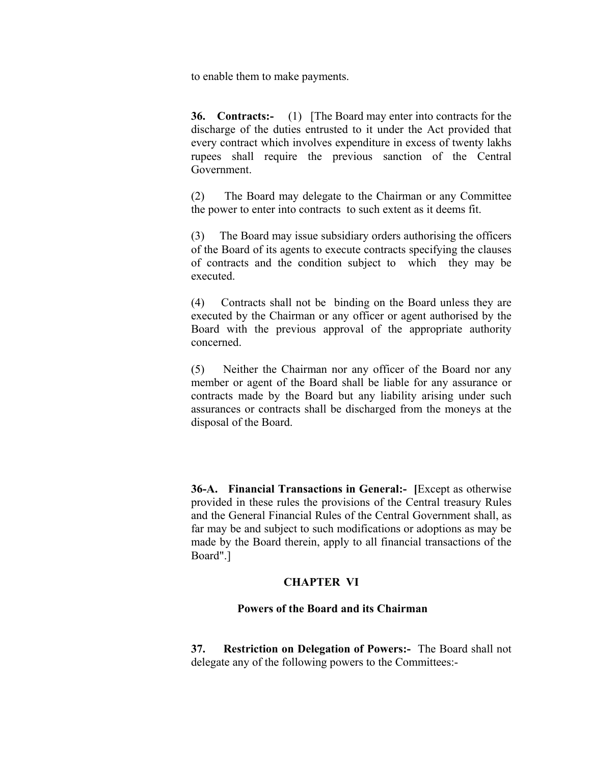to enable them to make payments.

**36.** Contracts:- (1) [The Board may enter into contracts for the discharge of the duties entrusted to it under the Act provided that every contract which involves expenditure in excess of twenty lakhs rupees shall require the previous sanction of the Central Government.

(2) The Board may delegate to the Chairman or any Committee the power to enter into contracts to such extent as it deems fit.

(3) The Board may issue subsidiary orders authorising the officers of the Board of its agents to execute contracts specifying the clauses of contracts and the condition subject to which they may be executed.

(4) Contracts shall not be binding on the Board unless they are executed by the Chairman or any officer or agent authorised by the Board with the previous approval of the appropriate authority concerned.

(5) Neither the Chairman nor any officer of the Board nor any member or agent of the Board shall be liable for any assurance or contracts made by the Board but any liability arising under such assurances or contracts shall be discharged from the moneys at the disposal of the Board.

**36-A. Financial Transactions in General:- [**Except as otherwise provided in these rules the provisions of the Central treasury Rules and the General Financial Rules of the Central Government shall, as far may be and subject to such modifications or adoptions as may be made by the Board therein, apply to all financial transactions of the Board".]

## **CHAPTER VI**

## **Powers of the Board and its Chairman**

 **37. Restriction on Delegation of Powers:-** The Board shall not delegate any of the following powers to the Committees:-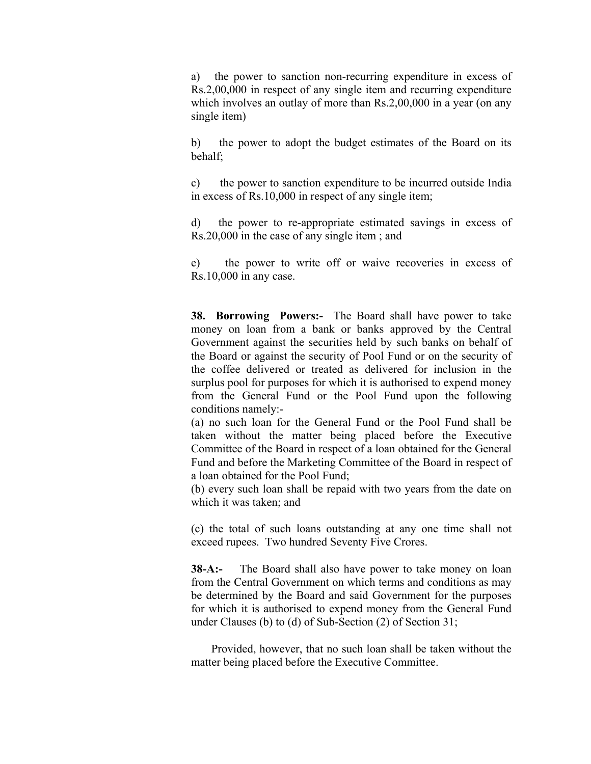a) the power to sanction non-recurring expenditure in excess of Rs.2,00,000 in respect of any single item and recurring expenditure which involves an outlay of more than Rs.2,00,000 in a year (on any single item)

b) the power to adopt the budget estimates of the Board on its behalf;

c) the power to sanction expenditure to be incurred outside India in excess of Rs.10,000 in respect of any single item;

d) the power to re-appropriate estimated savings in excess of Rs.20,000 in the case of any single item ; and

e) the power to write off or waive recoveries in excess of Rs.10,000 in any case.

**38. Borrowing Powers:-** The Board shall have power to take money on loan from a bank or banks approved by the Central Government against the securities held by such banks on behalf of the Board or against the security of Pool Fund or on the security of the coffee delivered or treated as delivered for inclusion in the surplus pool for purposes for which it is authorised to expend money from the General Fund or the Pool Fund upon the following conditions namely:-

 (a) no such loan for the General Fund or the Pool Fund shall be taken without the matter being placed before the Executive Committee of the Board in respect of a loan obtained for the General Fund and before the Marketing Committee of the Board in respect of a loan obtained for the Pool Fund;

 (b) every such loan shall be repaid with two years from the date on which it was taken; and

(c) the total of such loans outstanding at any one time shall not exceed rupees. Two hundred Seventy Five Crores.

**38-A:-** The Board shall also have power to take money on loan from the Central Government on which terms and conditions as may be determined by the Board and said Government for the purposes for which it is authorised to expend money from the General Fund under Clauses (b) to (d) of Sub-Section (2) of Section 31;

 Provided, however, that no such loan shall be taken without the matter being placed before the Executive Committee.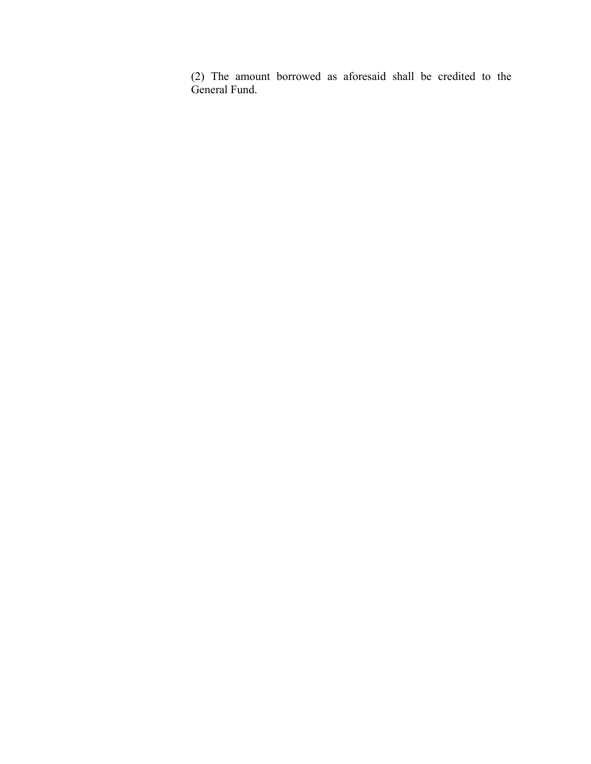(2) The amount borrowed as aforesaid shall be credited to the General Fund.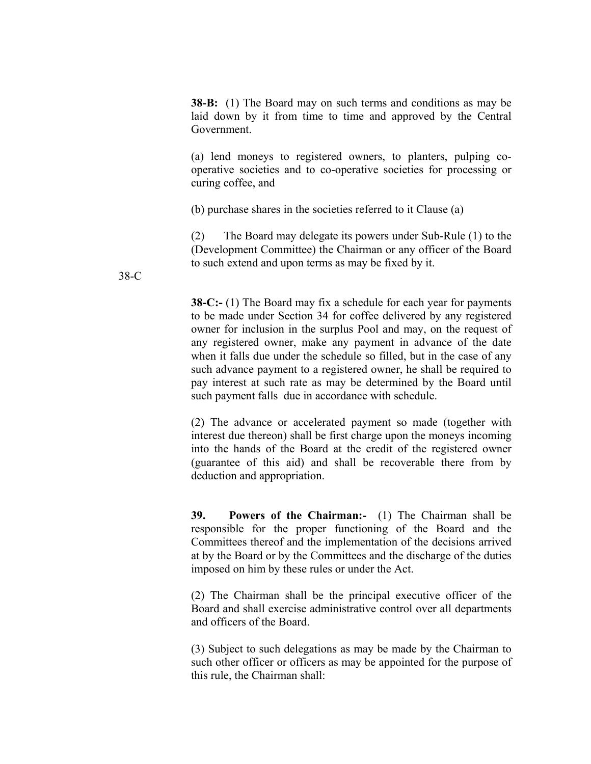**38-B:** (1) The Board may on such terms and conditions as may be laid down by it from time to time and approved by the Central Government.

(a) lend moneys to registered owners, to planters, pulping cooperative societies and to co-operative societies for processing or curing coffee, and

(b) purchase shares in the societies referred to it Clause (a)

(2) The Board may delegate its powers under Sub-Rule (1) to the (Development Committee) the Chairman or any officer of the Board to such extend and upon terms as may be fixed by it.

**38-C:-** (1) The Board may fix a schedule for each year for payments to be made under Section 34 for coffee delivered by any registered owner for inclusion in the surplus Pool and may, on the request of any registered owner, make any payment in advance of the date when it falls due under the schedule so filled, but in the case of any such advance payment to a registered owner, he shall be required to pay interest at such rate as may be determined by the Board until such payment falls due in accordance with schedule.

(2) The advance or accelerated payment so made (together with interest due thereon) shall be first charge upon the moneys incoming into the hands of the Board at the credit of the registered owner (guarantee of this aid) and shall be recoverable there from by deduction and appropriation.

**39. Powers of the Chairman:-** (1) The Chairman shall be responsible for the proper functioning of the Board and the Committees thereof and the implementation of the decisions arrived at by the Board or by the Committees and the discharge of the duties imposed on him by these rules or under the Act.

(2) The Chairman shall be the principal executive officer of the Board and shall exercise administrative control over all departments and officers of the Board.

(3) Subject to such delegations as may be made by the Chairman to such other officer or officers as may be appointed for the purpose of this rule, the Chairman shall:

38-C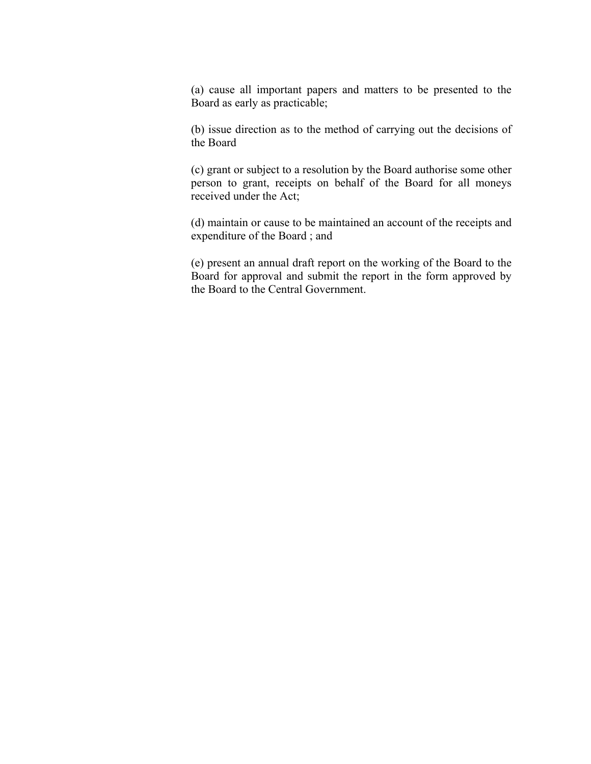(a) cause all important papers and matters to be presented to the Board as early as practicable;

(b) issue direction as to the method of carrying out the decisions of the Board

(c) grant or subject to a resolution by the Board authorise some other person to grant, receipts on behalf of the Board for all moneys received under the Act;

(d) maintain or cause to be maintained an account of the receipts and expenditure of the Board ; and

(e) present an annual draft report on the working of the Board to the Board for approval and submit the report in the form approved by the Board to the Central Government.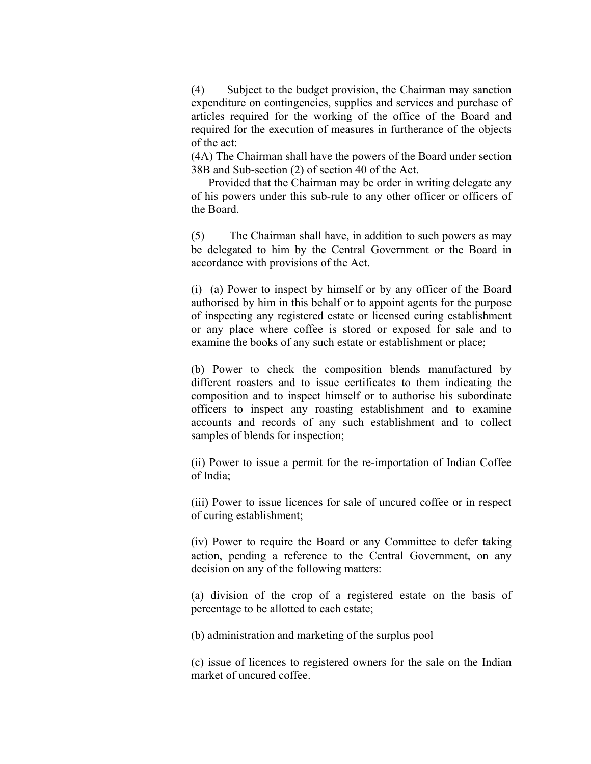(4) Subject to the budget provision, the Chairman may sanction expenditure on contingencies, supplies and services and purchase of articles required for the working of the office of the Board and required for the execution of measures in furtherance of the objects of the act:

 (4A) The Chairman shall have the powers of the Board under section 38B and Sub-section (2) of section 40 of the Act.

 Provided that the Chairman may be order in writing delegate any of his powers under this sub-rule to any other officer or officers of the Board.

(5) The Chairman shall have, in addition to such powers as may be delegated to him by the Central Government or the Board in accordance with provisions of the Act.

(i) (a) Power to inspect by himself or by any officer of the Board authorised by him in this behalf or to appoint agents for the purpose of inspecting any registered estate or licensed curing establishment or any place where coffee is stored or exposed for sale and to examine the books of any such estate or establishment or place;

(b) Power to check the composition blends manufactured by different roasters and to issue certificates to them indicating the composition and to inspect himself or to authorise his subordinate officers to inspect any roasting establishment and to examine accounts and records of any such establishment and to collect samples of blends for inspection;

 (ii) Power to issue a permit for the re-importation of Indian Coffee of India;

(iii) Power to issue licences for sale of uncured coffee or in respect of curing establishment;

(iv) Power to require the Board or any Committee to defer taking action, pending a reference to the Central Government, on any decision on any of the following matters:

(a) division of the crop of a registered estate on the basis of percentage to be allotted to each estate;

(b) administration and marketing of the surplus pool

(c) issue of licences to registered owners for the sale on the Indian market of uncured coffee.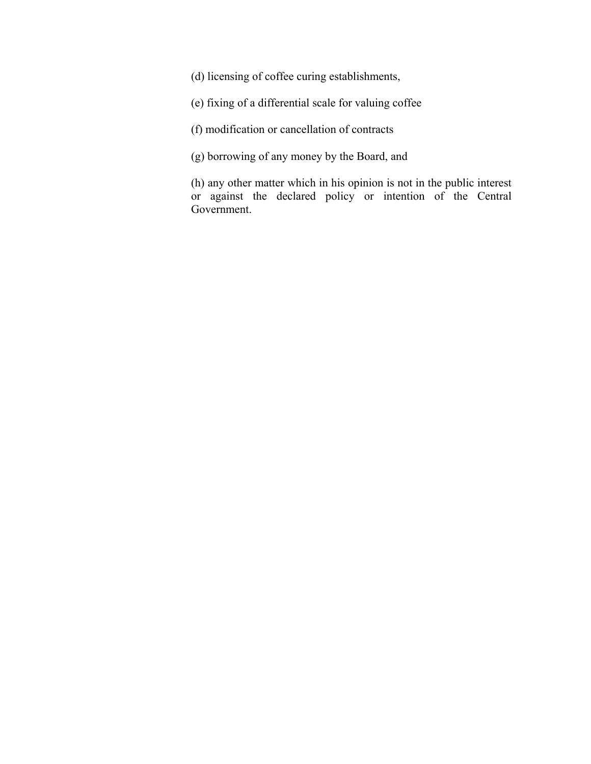(d) licensing of coffee curing establishments,

(e) fixing of a differential scale for valuing coffee

(f) modification or cancellation of contracts

(g) borrowing of any money by the Board, and

(h) any other matter which in his opinion is not in the public interest or against the declared policy or intention of the Central Government.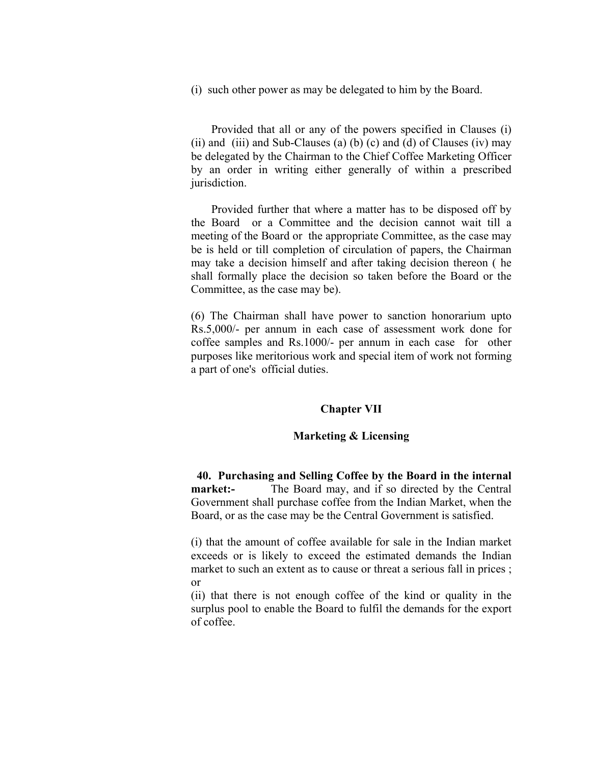(i) such other power as may be delegated to him by the Board.

 Provided that all or any of the powers specified in Clauses (i)  $(iii)$  and  $(iii)$  and Sub-Clauses (a) (b) (c) and (d) of Clauses  $(iv)$  may be delegated by the Chairman to the Chief Coffee Marketing Officer by an order in writing either generally of within a prescribed jurisdiction.

 Provided further that where a matter has to be disposed off by the Board or a Committee and the decision cannot wait till a meeting of the Board or the appropriate Committee, as the case may be is held or till completion of circulation of papers, the Chairman may take a decision himself and after taking decision thereon ( he shall formally place the decision so taken before the Board or the Committee, as the case may be).

(6) The Chairman shall have power to sanction honorarium upto Rs.5,000/- per annum in each case of assessment work done for coffee samples and Rs.1000/- per annum in each case for other purposes like meritorious work and special item of work not forming a part of one's official duties.

## **Chapter VII**

## **Marketing & Licensing**

 **40. Purchasing and Selling Coffee by the Board in the internal market:-** The Board may, and if so directed by the Central Government shall purchase coffee from the Indian Market, when the Board, or as the case may be the Central Government is satisfied.

(i) that the amount of coffee available for sale in the Indian market exceeds or is likely to exceed the estimated demands the Indian market to such an extent as to cause or threat a serious fall in prices ; or

(ii) that there is not enough coffee of the kind or quality in the surplus pool to enable the Board to fulfil the demands for the export of coffee.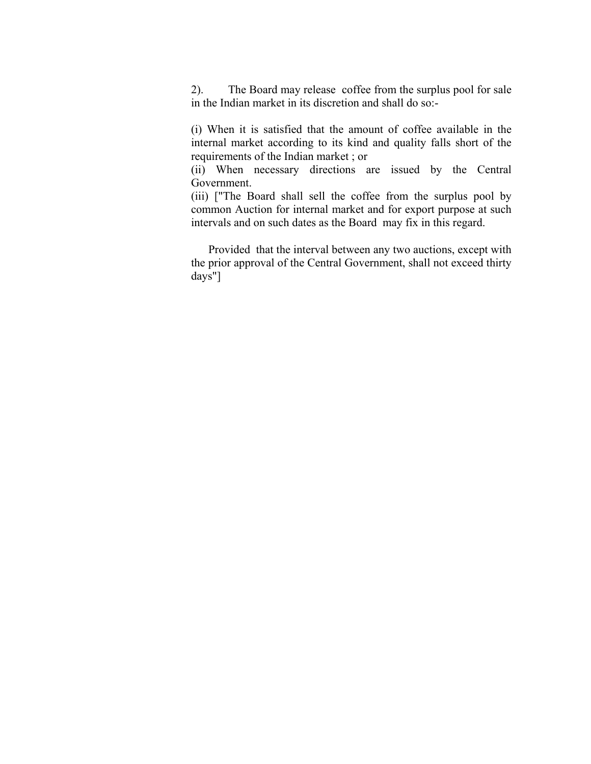2). The Board may release coffee from the surplus pool for sale in the Indian market in its discretion and shall do so:-

(i) When it is satisfied that the amount of coffee available in the internal market according to its kind and quality falls short of the requirements of the Indian market ; or

(ii) When necessary directions are issued by the Central Government.

(iii) ["The Board shall sell the coffee from the surplus pool by common Auction for internal market and for export purpose at such intervals and on such dates as the Board may fix in this regard.

 Provided that the interval between any two auctions, except with the prior approval of the Central Government, shall not exceed thirty days"]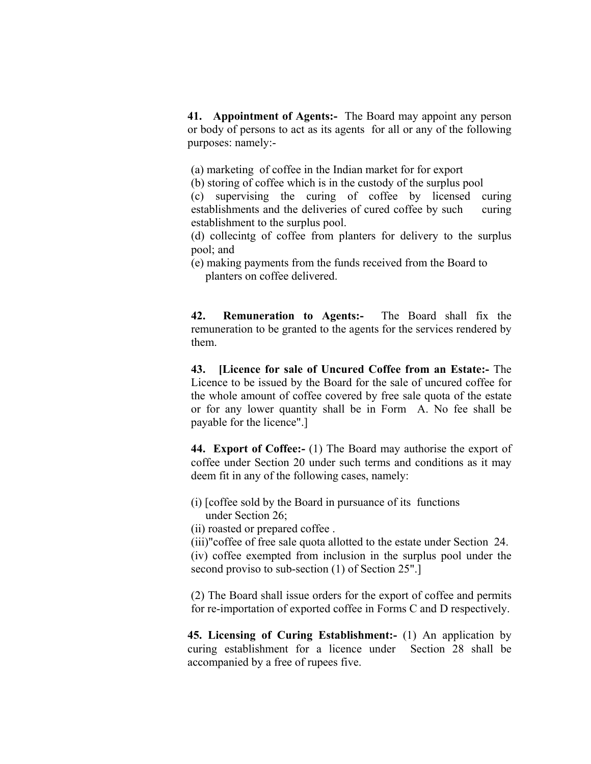**41. Appointment of Agents:-** The Board may appoint any person or body of persons to act as its agents for all or any of the following purposes: namely:-

(a) marketing of coffee in the Indian market for for export

(b) storing of coffee which is in the custody of the surplus pool

(c) supervising the curing of coffee by licensed curing establishments and the deliveries of cured coffee by such curing establishment to the surplus pool.

(d) collecintg of coffee from planters for delivery to the surplus pool; and

(e) making payments from the funds received from the Board to planters on coffee delivered.

**42. Remuneration to Agents:-** The Board shall fix the remuneration to be granted to the agents for the services rendered by them.

**43. [Licence for sale of Uncured Coffee from an Estate:-** The Licence to be issued by the Board for the sale of uncured coffee for the whole amount of coffee covered by free sale quota of the estate or for any lower quantity shall be in Form A. No fee shall be payable for the licence".]

**44. Export of Coffee:-** (1) The Board may authorise the export of coffee under Section 20 under such terms and conditions as it may deem fit in any of the following cases, namely:

(i) [coffee sold by the Board in pursuance of its functions under Section 26;

(ii) roasted or prepared coffee .

(iii)"coffee of free sale quota allotted to the estate under Section 24.

(iv) coffee exempted from inclusion in the surplus pool under the second proviso to sub-section (1) of Section 25".]

 (2) The Board shall issue orders for the export of coffee and permits for re-importation of exported coffee in Forms C and D respectively.

**45. Licensing of Curing Establishment:-** (1) An application by curing establishment for a licence under Section 28 shall be accompanied by a free of rupees five.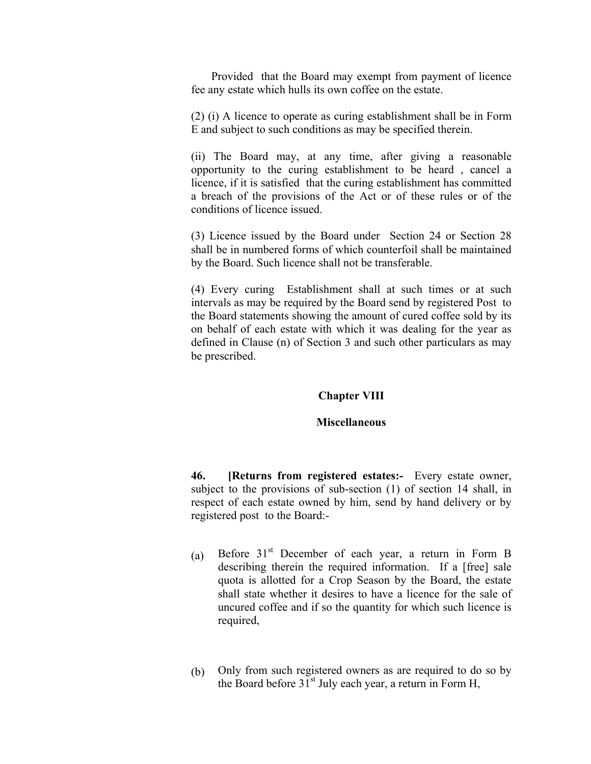Provided that the Board may exempt from payment of licence fee any estate which hulls its own coffee on the estate.

(2) (i) A licence to operate as curing establishment shall be in Form E and subject to such conditions as may be specified therein.

 (ii) The Board may, at any time, after giving a reasonable opportunity to the curing establishment to be heard , cancel a licence, if it is satisfied that the curing establishment has committed a breach of the provisions of the Act or of these rules or of the conditions of licence issued.

(3) Licence issued by the Board under Section 24 or Section 28 shall be in numbered forms of which counterfoil shall be maintained by the Board. Such licence shall not be transferable.

(4) Every curing Establishment shall at such times or at such intervals as may be required by the Board send by registered Post to the Board statements showing the amount of cured coffee sold by its on behalf of each estate with which it was dealing for the year as defined in Clause (n) of Section 3 and such other particulars as may be prescribed.

#### **Chapter VIII**

#### **Miscellaneous**

**46. [Returns from registered estates:-** Every estate owner, subject to the provisions of sub-section (1) of section 14 shall, in respect of each estate owned by him, send by hand delivery or by registered post to the Board:-

- (a) Before  $31<sup>st</sup>$  December of each year, a return in Form B describing therein the required information. If a [free] sale quota is allotted for a Crop Season by the Board, the estate shall state whether it desires to have a licence for the sale of uncured coffee and if so the quantity for which such licence is required,
- (b) Only from such registered owners as are required to do so by the Board before  $31<sup>st</sup>$  July each year, a return in Form H,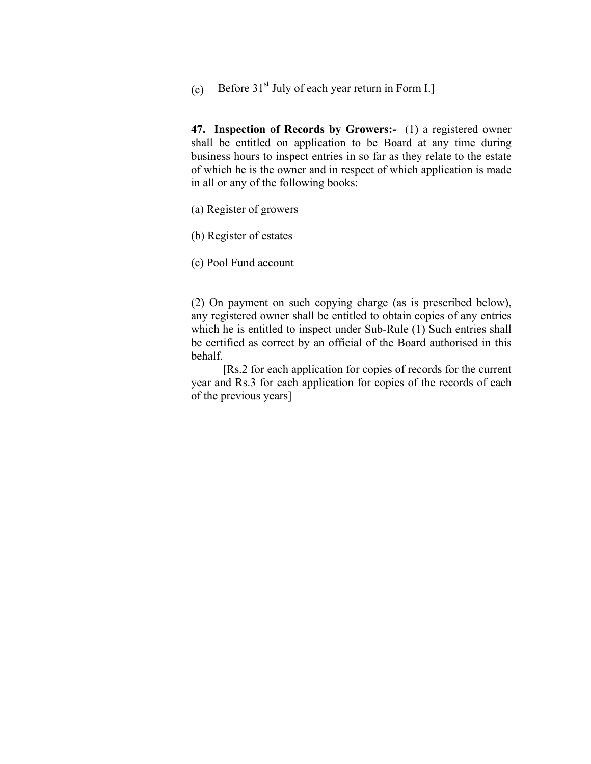(c) Before  $31<sup>st</sup>$  July of each year return in Form I.]

**47. Inspection of Records by Growers:-** (1) a registered owner shall be entitled on application to be Board at any time during business hours to inspect entries in so far as they relate to the estate of which he is the owner and in respect of which application is made in all or any of the following books:

(a) Register of growers

(b) Register of estates

(c) Pool Fund account

(2) On payment on such copying charge (as is prescribed below), any registered owner shall be entitled to obtain copies of any entries which he is entitled to inspect under Sub-Rule (1) Such entries shall be certified as correct by an official of the Board authorised in this behalf.

 [Rs.2 for each application for copies of records for the current year and Rs.3 for each application for copies of the records of each of the previous years]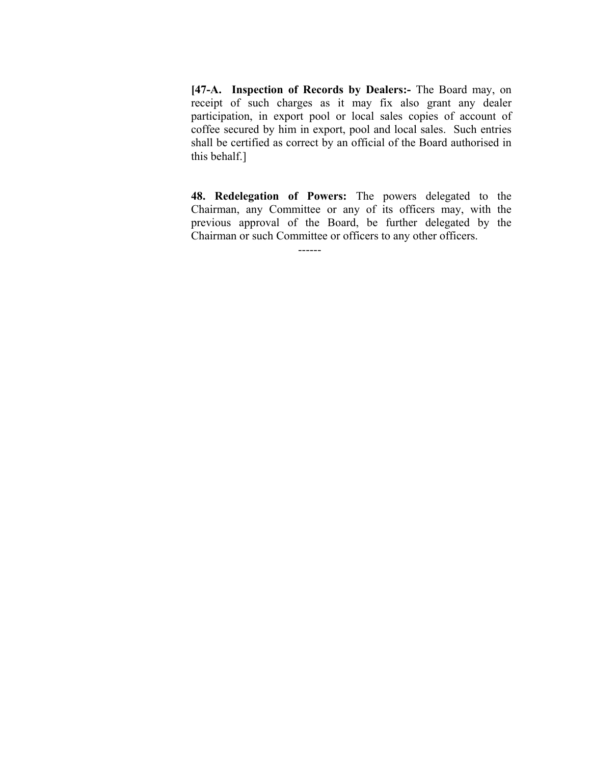**[47-A. Inspection of Records by Dealers:-** The Board may, on receipt of such charges as it may fix also grant any dealer participation, in export pool or local sales copies of account of coffee secured by him in export, pool and local sales. Such entries shall be certified as correct by an official of the Board authorised in this behalf.]

**48. Redelegation of Powers:** The powers delegated to the Chairman, any Committee or any of its officers may, with the previous approval of the Board, be further delegated by the Chairman or such Committee or officers to any other officers.

------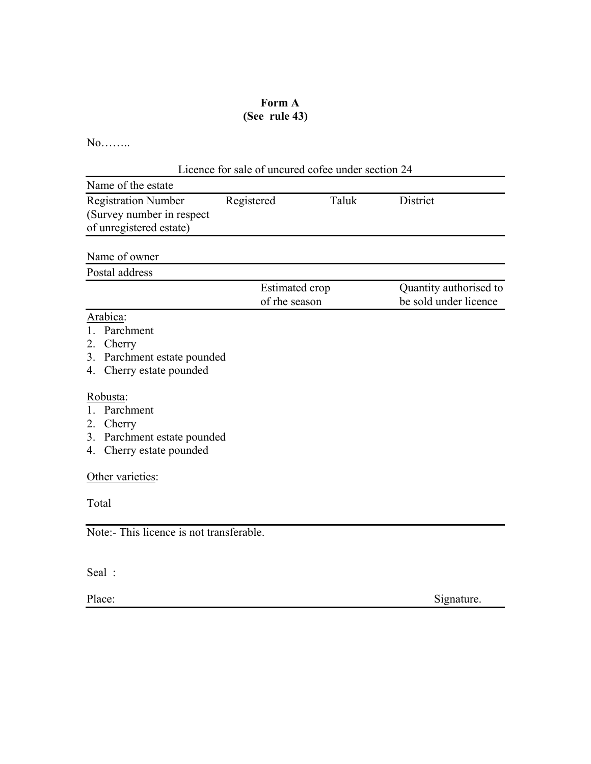### **Form A (See rule 43)**

No……..

| Licence for sale of uncured cofee under section 24                                                            |                                        |       |                                                 |  |  |
|---------------------------------------------------------------------------------------------------------------|----------------------------------------|-------|-------------------------------------------------|--|--|
| Name of the estate                                                                                            |                                        |       |                                                 |  |  |
| <b>Registration Number</b><br>(Survey number in respect)<br>of unregistered estate)                           | Registered                             | Taluk | <b>District</b>                                 |  |  |
| Name of owner                                                                                                 |                                        |       |                                                 |  |  |
| Postal address                                                                                                |                                        |       |                                                 |  |  |
|                                                                                                               | <b>Estimated</b> crop<br>of rhe season |       | Quantity authorised to<br>be sold under licence |  |  |
| Arabica:<br>Parchment<br>$\mathbf{1}$<br>2. Cherry<br>3. Parchment estate pounded<br>4. Cherry estate pounded |                                        |       |                                                 |  |  |
| Robusta:<br>Parchment<br>2. Cherry<br>3. Parchment estate pounded<br>4. Cherry estate pounded                 |                                        |       |                                                 |  |  |
| Other varieties:                                                                                              |                                        |       |                                                 |  |  |
| Total                                                                                                         |                                        |       |                                                 |  |  |
| Note:- This licence is not transferable.                                                                      |                                        |       |                                                 |  |  |
| Seal:                                                                                                         |                                        |       |                                                 |  |  |

Place: Signature.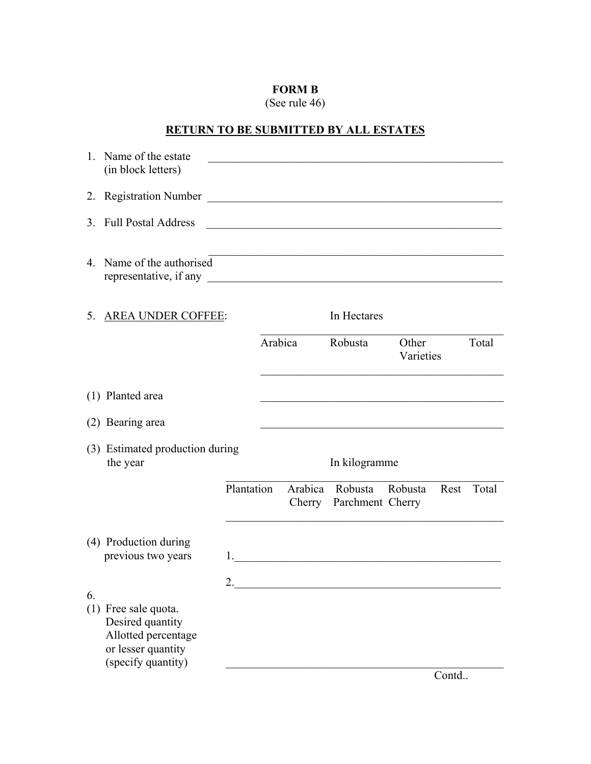## **FORM B**

(See rule 46)

# **RETURN TO BE SUBMITTED BY ALL ESTATES**

| $1_{-}$ | Name of the estate<br>(in block letters)                                                                    |            |         |                                                          |                    |       |       |
|---------|-------------------------------------------------------------------------------------------------------------|------------|---------|----------------------------------------------------------|--------------------|-------|-------|
| 2.      | <b>Registration Number</b>                                                                                  |            |         |                                                          |                    |       |       |
| 3.      | <b>Full Postal Address</b>                                                                                  |            |         |                                                          |                    |       |       |
|         | 4. Name of the authorised<br>representative, if any                                                         |            |         | <u> 1989 - Johann Barbara, martxa alemaniar arg</u>      |                    |       |       |
| 5.      | <b>AREA UNDER COFFEE:</b>                                                                                   |            |         | In Hectares                                              |                    |       |       |
|         |                                                                                                             |            | Arabica | Robusta                                                  | Other<br>Varieties |       | Total |
|         | (1) Planted area                                                                                            |            |         |                                                          |                    |       |       |
|         | (2) Bearing area                                                                                            |            |         |                                                          |                    |       |       |
|         | (3) Estimated production during<br>the year                                                                 |            |         | In kilogramme                                            |                    |       |       |
|         |                                                                                                             | Plantation |         | Arabica Robusta Robusta<br>Cherry Parchment Cherry       |                    | Rest  | Total |
|         | (4) Production during<br>previous two years                                                                 | 1.         |         | <u> 1980 - Jan Stein Berlin, Amerikaansk politiker (</u> |                    |       |       |
| 6.      | (1) Free sale quota.<br>Desired quantity<br>Allotted percentage<br>or lesser quantity<br>(specify quantity) | ∍          |         |                                                          |                    |       |       |
|         |                                                                                                             |            |         |                                                          |                    | Contd |       |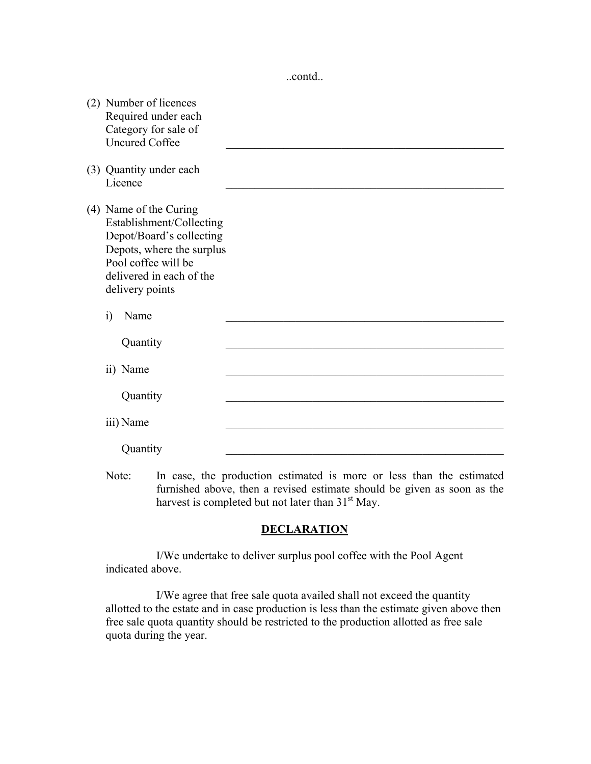..contd..

| (2) Number of licences<br>Required under each<br>Category for sale of<br><b>Uncured Coffee</b>                                                                                    |  |
|-----------------------------------------------------------------------------------------------------------------------------------------------------------------------------------|--|
| (3) Quantity under each<br>Licence                                                                                                                                                |  |
| (4) Name of the Curing<br>Establishment/Collecting<br>Depot/Board's collecting<br>Depots, where the surplus<br>Pool coffee will be<br>delivered in each of the<br>delivery points |  |
| $\ddot{1}$<br>Name                                                                                                                                                                |  |
| Quantity                                                                                                                                                                          |  |
| ii) Name                                                                                                                                                                          |  |
| Quantity                                                                                                                                                                          |  |
| iii) Name                                                                                                                                                                         |  |
| Quantity                                                                                                                                                                          |  |

Note: In case, the production estimated is more or less than the estimated furnished above, then a revised estimate should be given as soon as the harvest is completed but not later than  $31<sup>st</sup>$  May.

### **DECLARATION**

 I/We undertake to deliver surplus pool coffee with the Pool Agent indicated above.

 I/We agree that free sale quota availed shall not exceed the quantity allotted to the estate and in case production is less than the estimate given above then free sale quota quantity should be restricted to the production allotted as free sale quota during the year.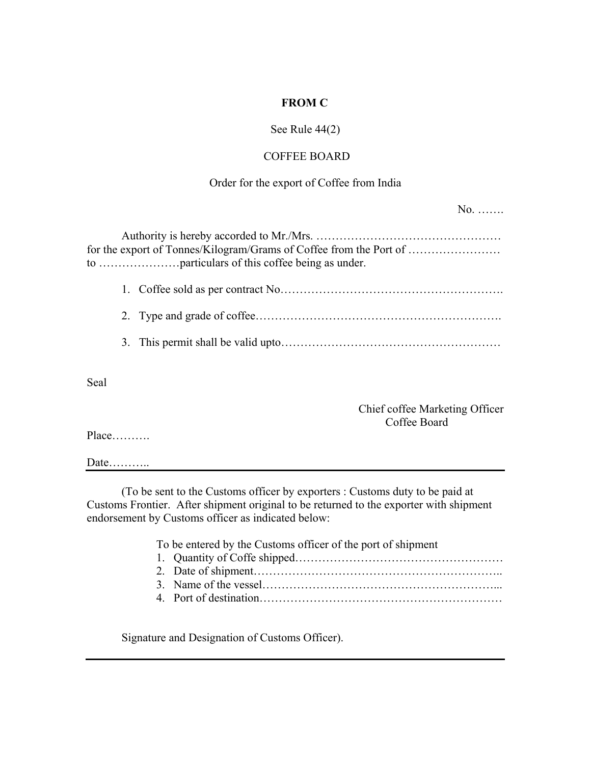### **FROM C**

### See Rule 44(2)

### COFFEE BOARD

#### Order for the export of Coffee from India

|  | for the export of Tonnes/Kilogram/Grams of Coffee from the Port of |
|--|--------------------------------------------------------------------|
|  |                                                                    |
|  |                                                                    |
|  |                                                                    |

Seal

Chief coffee Marketing Officer Coffee Board

No. …….

Place……….

Date………..

 (To be sent to the Customs officer by exporters : Customs duty to be paid at Customs Frontier. After shipment original to be returned to the exporter with shipment endorsement by Customs officer as indicated below:

To be entered by the Customs officer of the port of shipment

- 1. Quantity of Coffe shipped………………………………………………
- 2. Date of shipment………………………………………………………..
- 3. Name of the vessel……………………………………………………...
- 4. Port of destination………………………………………………………

Signature and Designation of Customs Officer).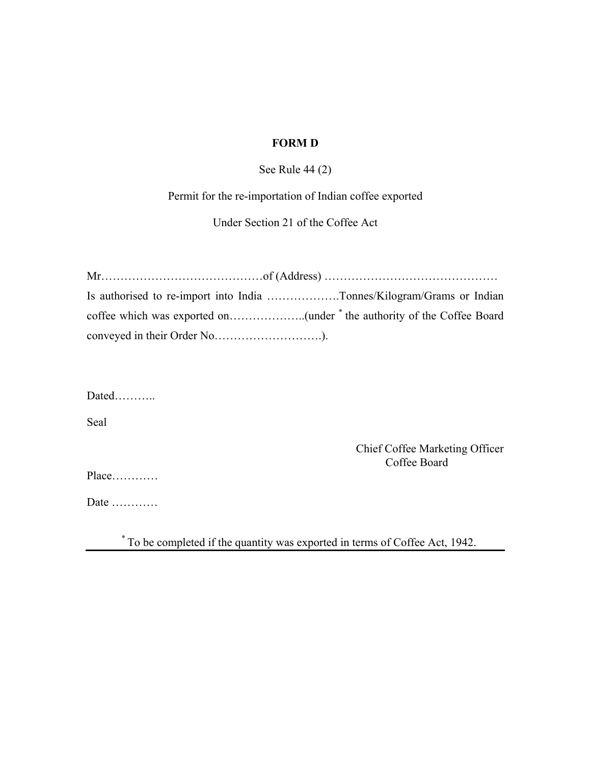### **FORM D**

See Rule 44 (2)

Permit for the re-importation of Indian coffee exported

Under Section 21 of the Coffee Act

| Is authorised to re-import into India Tonnes/Kilogram/Grams or Indian |  |
|-----------------------------------------------------------------------|--|
|                                                                       |  |
|                                                                       |  |

Dated………..

Seal

Chief Coffee Marketing Officer **Coffee Board** 

Place…………

Date …………

\* To be completed if the quantity was exported in terms of Coffee Act, 1942.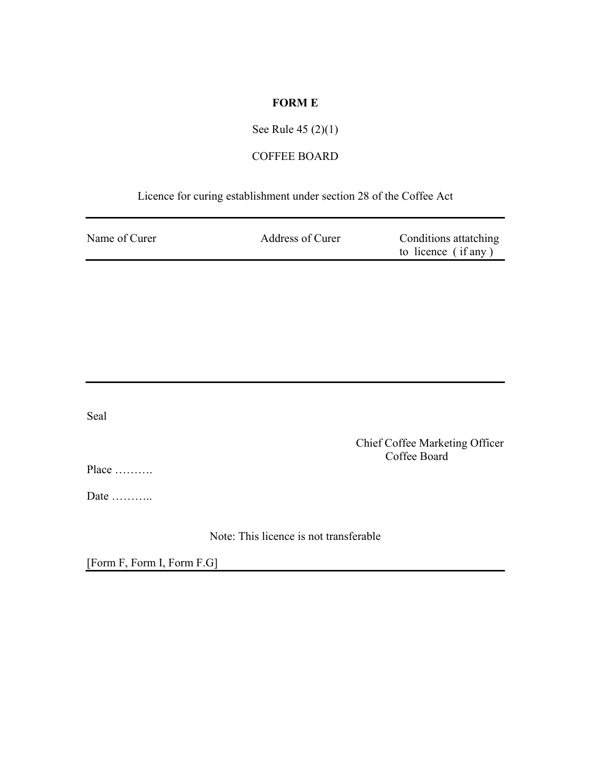### **FORM E**

# See Rule 45 (2)(1)

# COFFEE BOARD

### Licence for curing establishment under section 28 of the Coffee Act

| Name of Curer | Address of Curer | Conditions attatching |
|---------------|------------------|-----------------------|
|               |                  | to licence (if any)   |

Seal

Chief Coffee Marketing Officer Coffee Board

Place ……….

Date ………..

Note: This licence is not transferable

[Form F, Form I, Form F.G]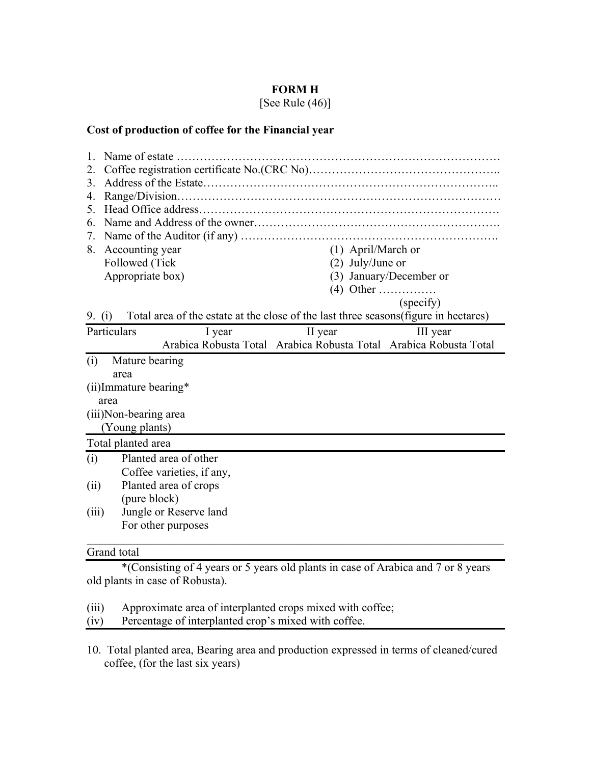### **FORM H**

[See Rule (46)]

### **Cost of production of coffee for the Financial year**

| 2.       |                        |                                                                                      |                                                                   |                         |
|----------|------------------------|--------------------------------------------------------------------------------------|-------------------------------------------------------------------|-------------------------|
| 3.       |                        |                                                                                      |                                                                   |                         |
| 4.       |                        |                                                                                      |                                                                   |                         |
| 5.       |                        |                                                                                      |                                                                   |                         |
| 6.       |                        |                                                                                      |                                                                   |                         |
| 7.       |                        |                                                                                      |                                                                   |                         |
| 8.       | Accounting year        |                                                                                      | (1) April/March or                                                |                         |
|          | Followed (Tick         |                                                                                      | $(2)$ July/June or                                                |                         |
|          | Appropriate box)       |                                                                                      |                                                                   | (3) January/December or |
|          |                        |                                                                                      | $(4)$ Other                                                       |                         |
|          |                        |                                                                                      |                                                                   | (specify)               |
| 9. $(i)$ |                        | Total area of the estate at the close of the last three seasons (figure in hectares) |                                                                   |                         |
|          | Particulars            | I year                                                                               | II year                                                           | III year                |
|          |                        |                                                                                      | Arabica Robusta Total Arabica Robusta Total Arabica Robusta Total |                         |
| (i)      | Mature bearing         |                                                                                      |                                                                   |                         |
|          | area                   |                                                                                      |                                                                   |                         |
|          | (ii) Immature bearing* |                                                                                      |                                                                   |                         |
|          | area                   |                                                                                      |                                                                   |                         |
|          | (iii)Non-bearing area  |                                                                                      |                                                                   |                         |
|          | (Young plants)         |                                                                                      |                                                                   |                         |
|          | Total planted area     |                                                                                      |                                                                   |                         |
| (i)      |                        | Planted area of other                                                                |                                                                   |                         |
|          |                        | Coffee varieties, if any,                                                            |                                                                   |                         |
| (ii)     |                        | Planted area of crops                                                                |                                                                   |                         |
|          | (pure block)           |                                                                                      |                                                                   |                         |
| (iii)    |                        | Jungle or Reserve land                                                               |                                                                   |                         |
|          |                        | For other purposes                                                                   |                                                                   |                         |
|          |                        |                                                                                      |                                                                   |                         |

#### Grand total

 \*(Consisting of 4 years or 5 years old plants in case of Arabica and 7 or 8 years old plants in case of Robusta).

(iii) Approximate area of interplanted crops mixed with coffee;<br>(iv) Percentage of interplanted crop's mixed with coffee.

Percentage of interplanted crop's mixed with coffee.

10. Total planted area, Bearing area and production expressed in terms of cleaned/cured coffee, (for the last six years)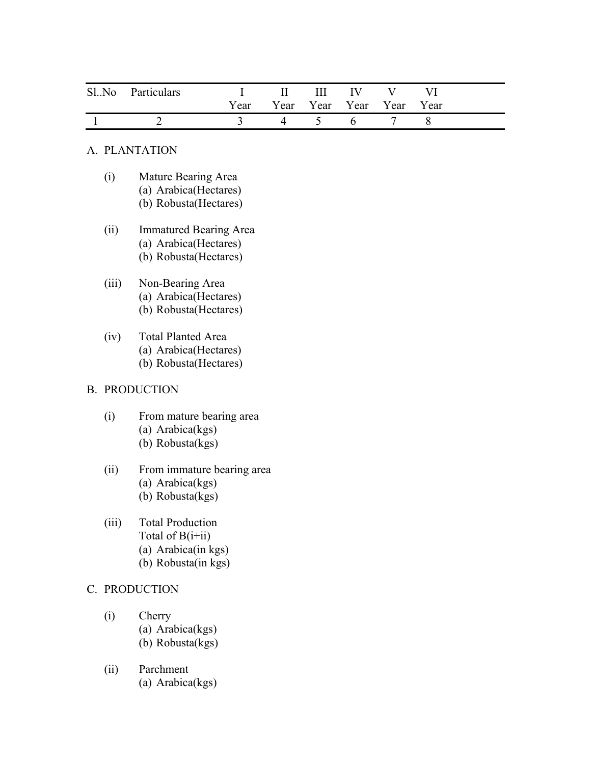| Sl. No Particulars | I II III IV V VI              |  |  |  |
|--------------------|-------------------------------|--|--|--|
|                    | Year Year Year Year Year Year |  |  |  |
|                    | 4 5 6                         |  |  |  |

### A. PLANTATION

- (i) Mature Bearing Area (a) Arabica(Hectares) (b) Robusta(Hectares)
- (ii) Immatured Bearing Area (a) Arabica(Hectares) (b) Robusta(Hectares)
- (iii) Non-Bearing Area (a) Arabica(Hectares) (b) Robusta(Hectares)
- (iv) Total Planted Area (a) Arabica(Hectares) (b) Robusta(Hectares)

#### B. PRODUCTION

- (i) From mature bearing area (a) Arabica(kgs) (b) Robusta(kgs)
- (ii) From immature bearing area (a) Arabica(kgs) (b) Robusta(kgs)
- (iii) Total Production Total of  $B(i+ii)$ (a) Arabica(in kgs) (b) Robusta(in kgs)

### C. PRODUCTION

- (i) Cherry (a) Arabica(kgs) (b) Robusta(kgs)
- (ii) Parchment (a) Arabica(kgs)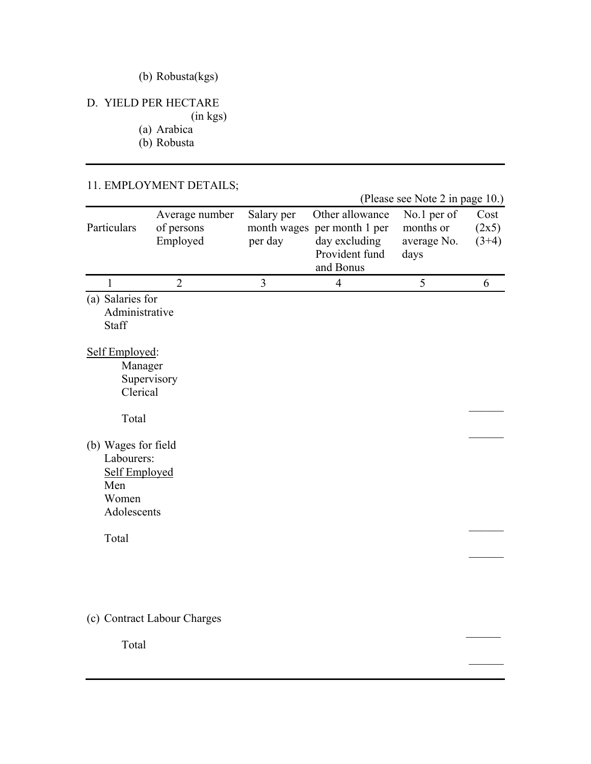# (b) Robusta(kgs)

## D. YIELD PER HECTARE

(in kgs)

(a) Arabica

(b) Robusta

### 11. EMPLOYMENT DETAILS;

|                                                                                   |                                          |                       |                                                                                                | (Please see Note 2 in page 10.)                 |                          |
|-----------------------------------------------------------------------------------|------------------------------------------|-----------------------|------------------------------------------------------------------------------------------------|-------------------------------------------------|--------------------------|
| Particulars                                                                       | Average number<br>of persons<br>Employed | Salary per<br>per day | Other allowance<br>month wages per month 1 per<br>day excluding<br>Provident fund<br>and Bonus | No.1 per of<br>months or<br>average No.<br>days | Cost<br>(2x5)<br>$(3+4)$ |
| 1                                                                                 | $\overline{2}$                           | 3                     | $\overline{4}$                                                                                 | 5                                               | 6                        |
| (a) Salaries for<br>Administrative<br>Staff                                       |                                          |                       |                                                                                                |                                                 |                          |
| Self Employed:<br>Manager<br>Clerical                                             | Supervisory                              |                       |                                                                                                |                                                 |                          |
| Total                                                                             |                                          |                       |                                                                                                |                                                 |                          |
| (b) Wages for field<br>Labourers:<br>Self Employed<br>Men<br>Women<br>Adolescents |                                          |                       |                                                                                                |                                                 |                          |
| Total                                                                             |                                          |                       |                                                                                                |                                                 |                          |
|                                                                                   |                                          |                       |                                                                                                |                                                 |                          |
|                                                                                   | (c) Contract Labour Charges              |                       |                                                                                                |                                                 |                          |

 $\mathcal{L}_\mathcal{L}$  , we can consider the constraint of the constraints of the constraints of the constraints of the constraints of the constraints of the constraints of the constraints of the constraints of the constraints of

Total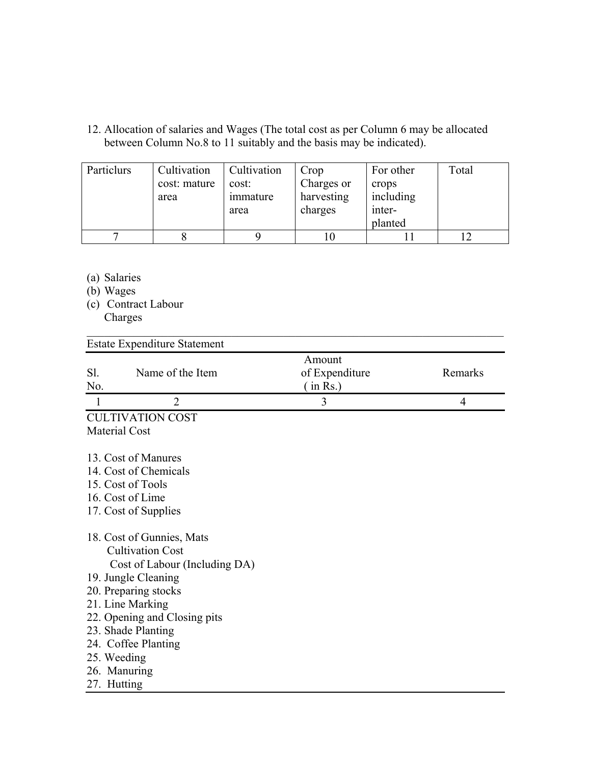12. Allocation of salaries and Wages (The total cost as per Column 6 may be allocated between Column No.8 to 11 suitably and the basis may be indicated).

| Particlurs | Cultivation  | Cultivation | Crop       | For other | Total |
|------------|--------------|-------------|------------|-----------|-------|
|            | cost: mature | cost:       | Charges or | crops     |       |
|            | area         | immature    | harvesting | including |       |
|            |              | area        | charges    | inter-    |       |
|            |              |             |            | planted   |       |
|            |              |             |            |           |       |

 $\mathcal{L}_\text{max} = \mathcal{L}_\text{max} = \mathcal{L}_\text{max} = \mathcal{L}_\text{max} = \mathcal{L}_\text{max} = \mathcal{L}_\text{max} = \mathcal{L}_\text{max} = \mathcal{L}_\text{max} = \mathcal{L}_\text{max} = \mathcal{L}_\text{max} = \mathcal{L}_\text{max} = \mathcal{L}_\text{max} = \mathcal{L}_\text{max} = \mathcal{L}_\text{max} = \mathcal{L}_\text{max} = \mathcal{L}_\text{max} = \mathcal{L}_\text{max} = \mathcal{L}_\text{max} = \mathcal{$ 

- (a) Salaries
- (b) Wages
- (c) Contract Labour Charges

| <b>Estate Expenditure Statement</b>                                                                                                                                                                                                                                                 |                                      |                |
|-------------------------------------------------------------------------------------------------------------------------------------------------------------------------------------------------------------------------------------------------------------------------------------|--------------------------------------|----------------|
| Name of the Item<br>Sl.<br>No.                                                                                                                                                                                                                                                      | Amount<br>of Expenditure<br>(in Rs.) | Remarks        |
| $\overline{2}$<br>$\mathbf{1}$                                                                                                                                                                                                                                                      | 3                                    | $\overline{4}$ |
| <b>CULTIVATION COST</b>                                                                                                                                                                                                                                                             |                                      |                |
| <b>Material Cost</b>                                                                                                                                                                                                                                                                |                                      |                |
| 13. Cost of Manures<br>14. Cost of Chemicals<br>15. Cost of Tools<br>16. Cost of Lime<br>17. Cost of Supplies                                                                                                                                                                       |                                      |                |
| 18. Cost of Gunnies, Mats<br><b>Cultivation Cost</b><br>Cost of Labour (Including DA)<br>19. Jungle Cleaning<br>20. Preparing stocks<br>21. Line Marking<br>22. Opening and Closing pits<br>23. Shade Planting<br>24. Coffee Planting<br>25. Weeding<br>26. Manuring<br>27. Hutting |                                      |                |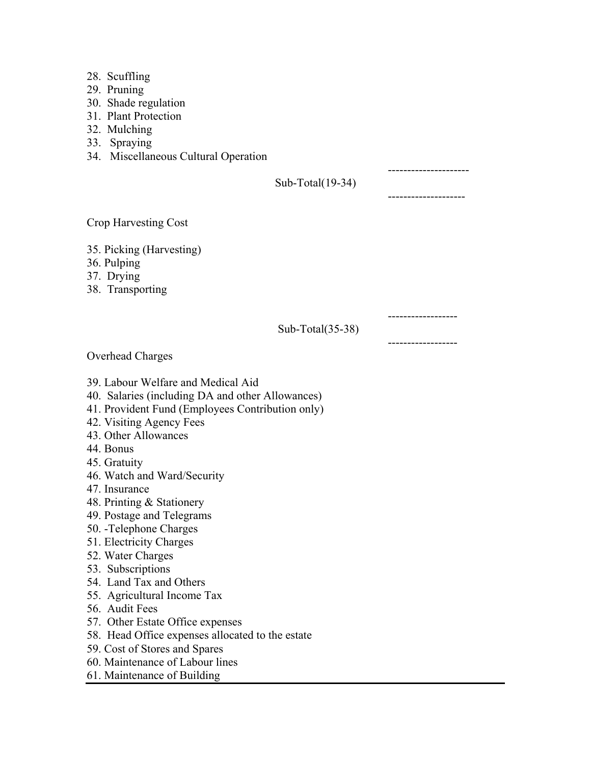- 28. Scuffling
- 29. Pruning
- 30. Shade regulation
- 31. Plant Protection
- 32. Mulching
- 33. Spraying
- 34. Miscellaneous Cultural Operation

 --------------------- Sub-Total(19-34)

--------------------

------------------

Crop Harvesting Cost

- 35. Picking (Harvesting)
- 36. Pulping
- 37. Drying
- 38. Transporting

 ------------------ Sub-Total(35-38)

Overhead Charges

- 39. Labour Welfare and Medical Aid
- 40. Salaries (including DA and other Allowances)
- 41. Provident Fund (Employees Contribution only)
- 42. Visiting Agency Fees
- 43. Other Allowances
- 44. Bonus
- 45. Gratuity
- 46. Watch and Ward/Security
- 47. Insurance
- 48. Printing & Stationery
- 49. Postage and Telegrams
- 50. -Telephone Charges
- 51. Electricity Charges
- 52. Water Charges
- 53. Subscriptions
- 54. Land Tax and Others
- 55. Agricultural Income Tax
- 56. Audit Fees
- 57. Other Estate Office expenses
- 58. Head Office expenses allocated to the estate
- 59. Cost of Stores and Spares
- 60. Maintenance of Labour lines
- 61. Maintenance of Building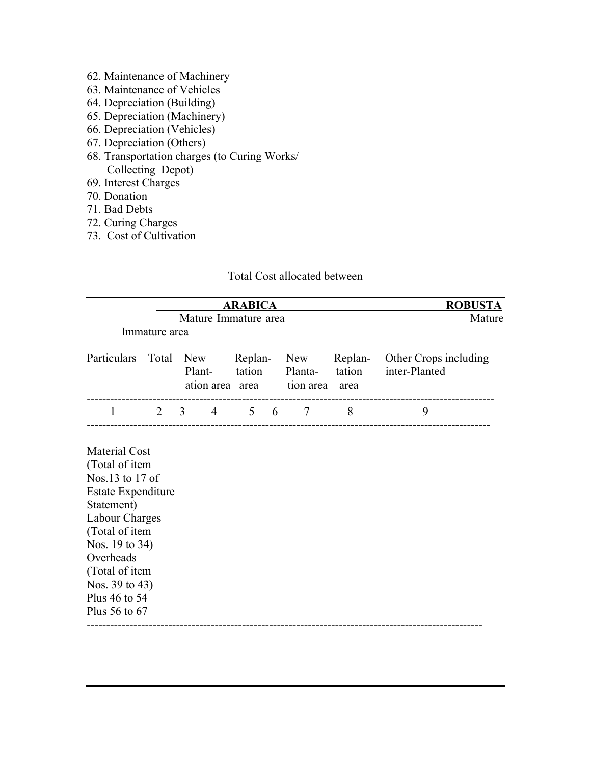- 62. Maintenance of Machinery
- 63. Maintenance of Vehicles
- 64. Depreciation (Building)
- 65. Depreciation (Machinery)
- 66. Depreciation (Vehicles)
- 67. Depreciation (Others)
- 68. Transportation charges (to Curing Works/ Collecting Depot)
- 69. Interest Charges
- 70. Donation
- 71. Bad Debts
- 72. Curing Charges
- 73. Cost of Cultivation

### Total Cost allocated between

| <b>ARABICA</b>                                                                                                                                                                                                                                |               |                                        |                   |                                    |                | <b>ROBUSTA</b>                                 |
|-----------------------------------------------------------------------------------------------------------------------------------------------------------------------------------------------------------------------------------------------|---------------|----------------------------------------|-------------------|------------------------------------|----------------|------------------------------------------------|
|                                                                                                                                                                                                                                               |               | Mature                                 |                   |                                    |                |                                                |
|                                                                                                                                                                                                                                               | Immature area |                                        |                   |                                    |                |                                                |
| Particulars                                                                                                                                                                                                                                   |               | Total New<br>Plant-<br>ation area area | Replan-<br>tation | <b>New</b><br>Planta-<br>tion area | tation<br>area | Replan- Other Crops including<br>inter-Planted |
| 1                                                                                                                                                                                                                                             |               | $2 \quad 3$                            | 4 5 6 7           |                                    | 8              | 9                                              |
| <b>Material Cost</b><br>(Total of item<br>Nos.13 to 17 of<br><b>Estate Expenditure</b><br>Statement)<br>Labour Charges<br>(Total of item<br>Nos. 19 to 34)<br>Overheads<br>(Total of item<br>Nos. 39 to 43)<br>Plus 46 to 54<br>Plus 56 to 67 |               |                                        |                   |                                    |                |                                                |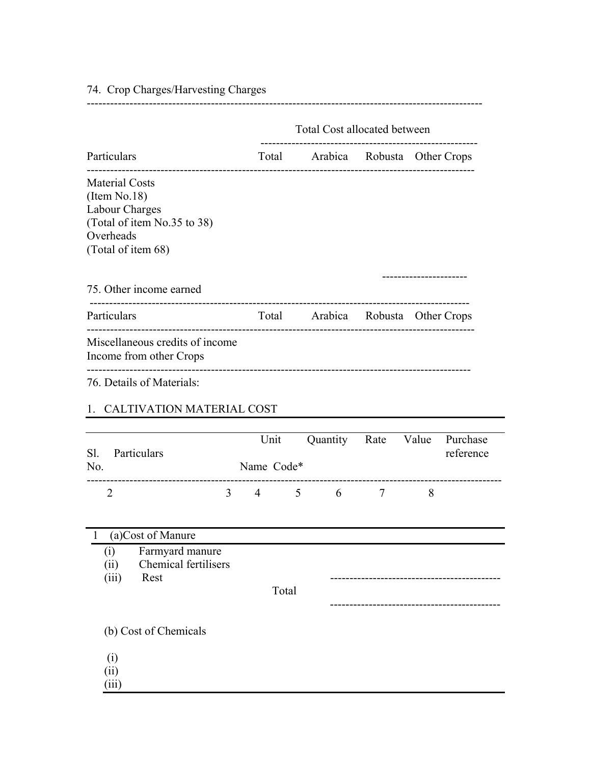|                                                                                                                           | Total Cost allocated between |                                   |                     |                                    |  |
|---------------------------------------------------------------------------------------------------------------------------|------------------------------|-----------------------------------|---------------------|------------------------------------|--|
| Particulars                                                                                                               |                              | Total Arabica Robusta Other Crops |                     |                                    |  |
| <b>Material Costs</b><br>(Item No.18)<br>Labour Charges<br>(Total of item No.35 to 38)<br>Overheads<br>(Total of item 68) |                              |                                   |                     |                                    |  |
| 75. Other income earned                                                                                                   |                              |                                   |                     |                                    |  |
| Particulars                                                                                                               |                              | Total Arabica Robusta Other Crops |                     | ---------------------------------- |  |
| Miscellaneous credits of income<br>Income from other Crops                                                                |                              |                                   |                     |                                    |  |
| 76. Details of Materials:                                                                                                 |                              |                                   |                     |                                    |  |
| 1. CALTIVATION MATERIAL COST                                                                                              |                              |                                   |                     |                                    |  |
| S1.<br>Particulars<br>No.                                                                                                 | Unit<br>Name Code*           |                                   | Quantity Rate Value | Purchase<br>reference              |  |
| $\overline{2}$                                                                                                            |                              | $3 \t 4 \t 5 \t 6$                | $\overline{7}$      | 8                                  |  |
| (a)Cost of Manure<br>$\bf{l}$                                                                                             |                              |                                   |                     |                                    |  |
| Farmyard manure<br>(i)<br>Chemical fertilisers<br>(ii)<br>Rest<br>(iii)                                                   | Total                        |                                   |                     |                                    |  |
| (b) Cost of Chemicals                                                                                                     |                              |                                   |                     |                                    |  |
| (i)<br>(ii)<br>(iii)                                                                                                      |                              |                                   |                     |                                    |  |

74. Crop Charges/Harvesting Charges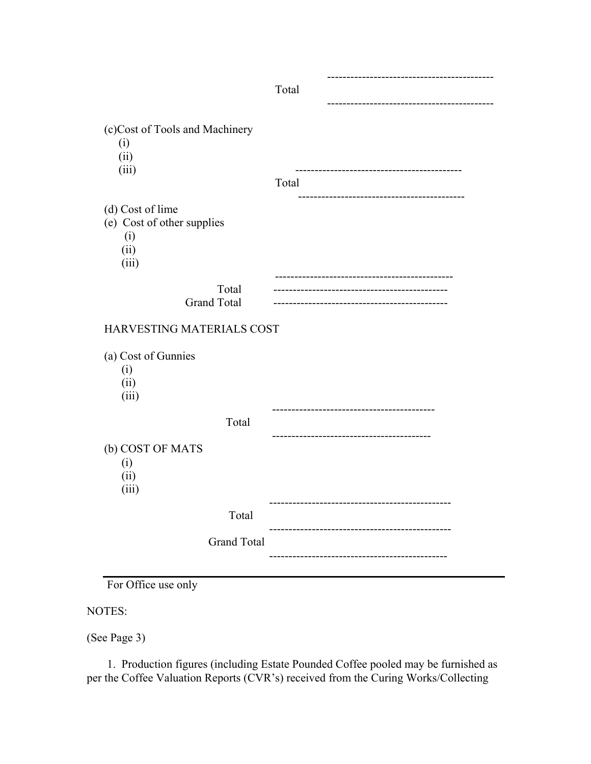|                                                                        | Total               |
|------------------------------------------------------------------------|---------------------|
|                                                                        |                     |
| (c)Cost of Tools and Machinery<br>(i)<br>(ii)<br>(iii)                 | Total               |
| (d) Cost of lime<br>(e) Cost of other supplies<br>(i)<br>(ii)<br>(iii) |                     |
| Total<br><b>Grand Total</b>                                            |                     |
| HARVESTING MATERIALS COST                                              |                     |
| (a) Cost of Gunnies<br>(i)<br>(ii)<br>(iii)                            |                     |
| Total                                                                  |                     |
| (b) COST OF MATS<br>(i)<br>(ii)<br>(iii)                               |                     |
| Total                                                                  |                     |
| <b>Grand Total</b>                                                     | ------------------- |
|                                                                        |                     |

For Office use only

NOTES:

(See Page 3)

 1. Production figures (including Estate Pounded Coffee pooled may be furnished as per the Coffee Valuation Reports (CVR's) received from the Curing Works/Collecting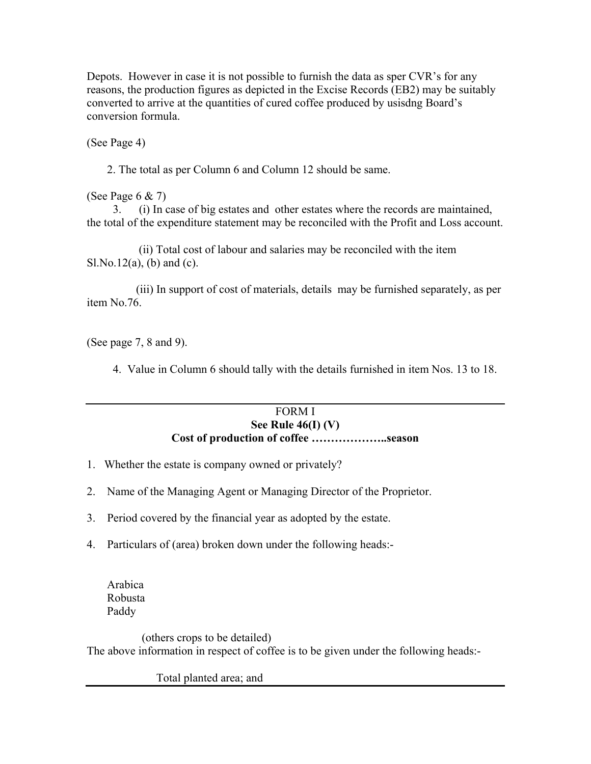Depots. However in case it is not possible to furnish the data as sper CVR's for any reasons, the production figures as depicted in the Excise Records (EB2) may be suitably converted to arrive at the quantities of cured coffee produced by usisdng Board's conversion formula.

(See Page 4)

2. The total as per Column 6 and Column 12 should be same.

(See Page 6 & 7)

 3. (i) In case of big estates and other estates where the records are maintained, the total of the expenditure statement may be reconciled with the Profit and Loss account.

 (ii) Total cost of labour and salaries may be reconciled with the item  $S1.No.12(a)$ , (b) and (c).

 (iii) In support of cost of materials, details may be furnished separately, as per item No.76.

(See page 7, 8 and 9).

4. Value in Column 6 should tally with the details furnished in item Nos. 13 to 18.

### FORM I **See Rule 46(I) (V) Cost of production of coffee ………………..season**

- 1. Whether the estate is company owned or privately?
- 2. Name of the Managing Agent or Managing Director of the Proprietor.
- 3. Period covered by the financial year as adopted by the estate.
- 4. Particulars of (area) broken down under the following heads:-

 Arabica Robusta Paddy

 (others crops to be detailed) The above information in respect of coffee is to be given under the following heads:-

Total planted area; and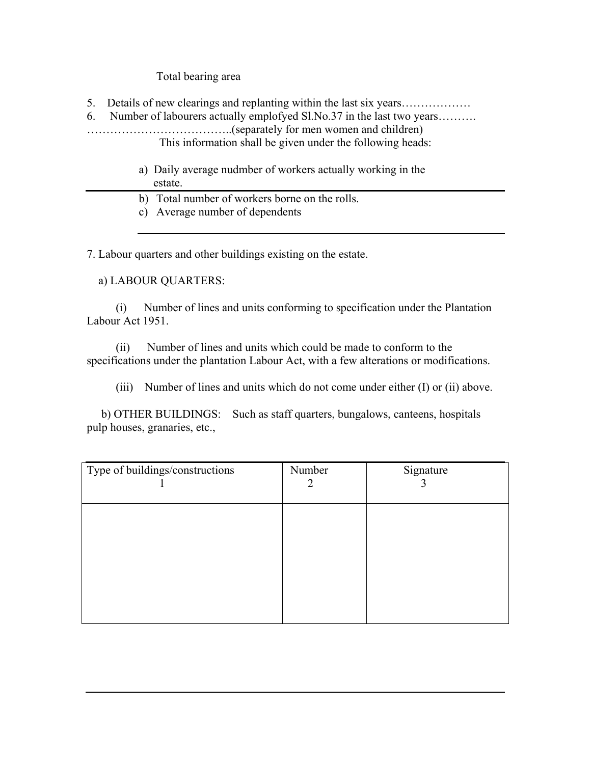Total bearing area

5. Details of new clearings and replanting within the last six years………………

6. Number of labourers actually emplofyed Sl.No.37 in the last two years………. ………………………………..(separately for men women and children) This information shall be given under the following heads:

- a) Daily average nudmber of workers actually working in the estate.
- b) Total number of workers borne on the rolls.

c) Average number of dependents

7. Labour quarters and other buildings existing on the estate.

a) LABOUR QUARTERS:

 (i) Number of lines and units conforming to specification under the Plantation Labour Act 1951.

 (ii) Number of lines and units which could be made to conform to the specifications under the plantation Labour Act, with a few alterations or modifications.

(iii) Number of lines and units which do not come under either (I) or (ii) above.

 b) OTHER BUILDINGS: Such as staff quarters, bungalows, canteens, hospitals pulp houses, granaries, etc.,

| Type of buildings/constructions | Number<br>2 | Signature |
|---------------------------------|-------------|-----------|
|                                 |             |           |
|                                 |             |           |
|                                 |             |           |